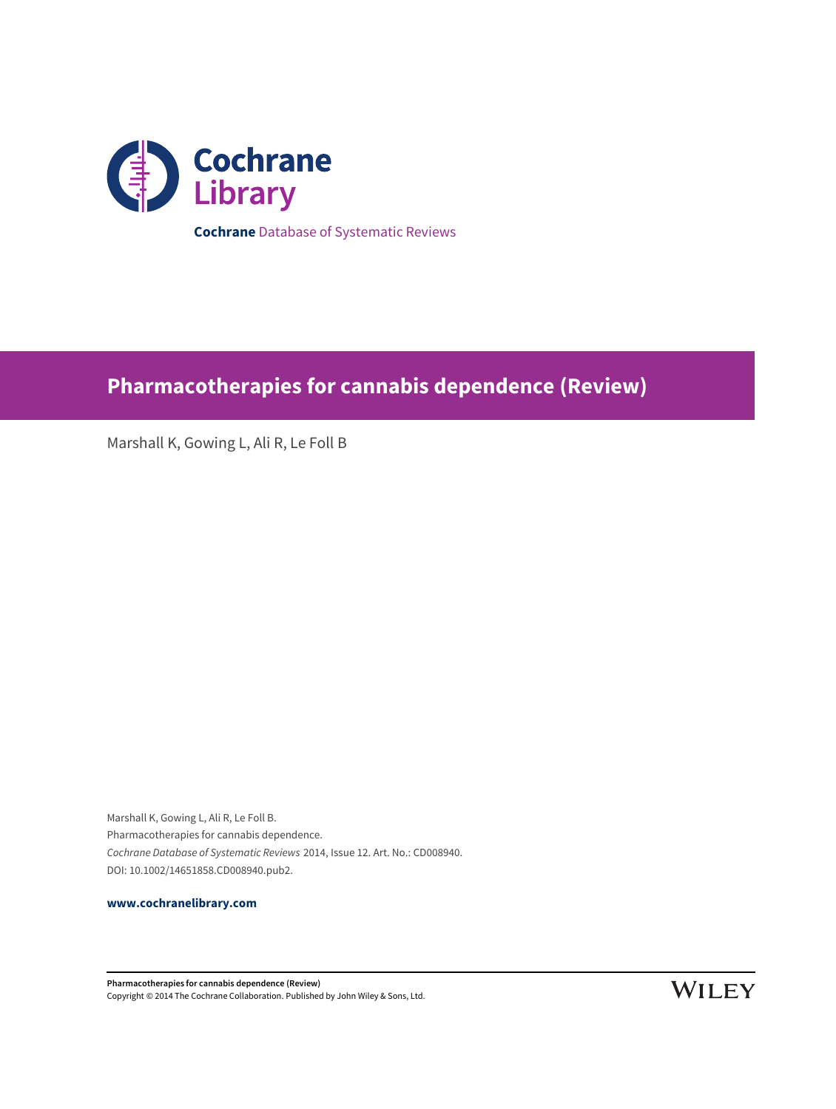

# **Pharmacotherapies for cannabis dependence (Review)**

Marshall K, Gowing L, Ali R, Le Foll B

Marshall K, Gowing L, Ali R, Le Foll B. Pharmacotherapies for cannabis dependence. Cochrane Database of Systematic Reviews 2014, Issue 12. Art. No.: CD008940. DOI: 10.1002/14651858.CD008940.pub2.

**[www.cochranelibrary.com](http://www.cochranelibrary.com)**

**Pharmacotherapies for cannabis dependence (Review)** Copyright © 2014 The Cochrane Collaboration. Published by John Wiley & Sons, Ltd.

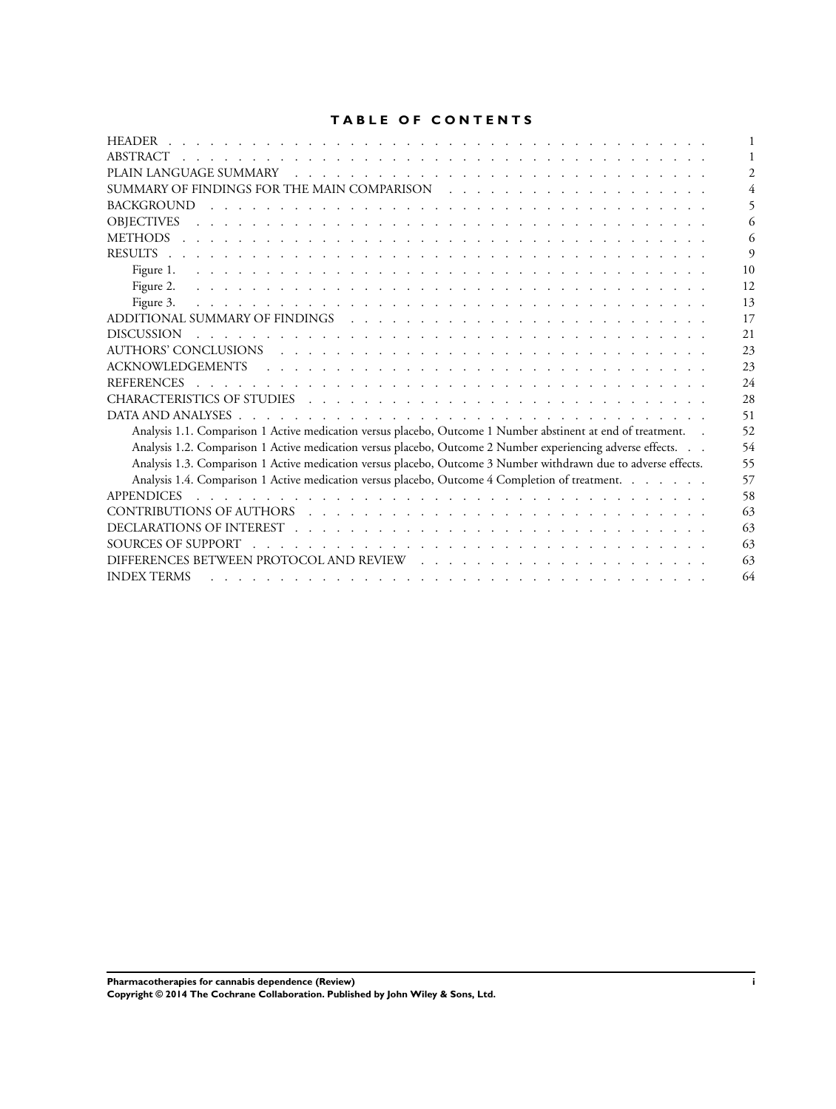# **TABLE OF CONTENTS**

| <b>OBJECTIVES</b><br><u>. In the second contract of the second contract of the second contract of the second contract of the second contract of the second contract of the second contract of the second contract of the second contract of the secon</u> |
|-----------------------------------------------------------------------------------------------------------------------------------------------------------------------------------------------------------------------------------------------------------|
|                                                                                                                                                                                                                                                           |
|                                                                                                                                                                                                                                                           |
| Figure 1.<br>10                                                                                                                                                                                                                                           |
| 12                                                                                                                                                                                                                                                        |
| Figure 3.<br>13                                                                                                                                                                                                                                           |
| 17                                                                                                                                                                                                                                                        |
| <b>DISCUSSION</b><br>a constitution de la constitución de la constitución de la constitución de la constitución de la constitución<br>21                                                                                                                  |
| 2 <sup>3</sup>                                                                                                                                                                                                                                            |
| 23                                                                                                                                                                                                                                                        |
| <b>REFERENCES</b><br>a constitution de la constitution de la constitution de la constitution de la constitution de la constitution<br>24                                                                                                                  |
| 28                                                                                                                                                                                                                                                        |
| 51                                                                                                                                                                                                                                                        |
| Analysis 1.1. Comparison 1 Active medication versus placebo, Outcome 1 Number abstinent at end of treatment.<br>52                                                                                                                                        |
| Analysis 1.2. Comparison 1 Active medication versus placebo, Outcome 2 Number experiencing adverse effects.<br>54                                                                                                                                         |
| Analysis 1.3. Comparison 1 Active medication versus placebo, Outcome 3 Number withdrawn due to adverse effects.<br>55                                                                                                                                     |
| Analysis 1.4. Comparison 1 Active medication versus placebo, Outcome 4 Completion of treatment.<br>57                                                                                                                                                     |
| <b>APPENDICES</b><br>58                                                                                                                                                                                                                                   |
| 63                                                                                                                                                                                                                                                        |
| 63                                                                                                                                                                                                                                                        |
| SOURCES OF SUPPORT<br>63<br>the contract of the contract of the contract of the contract of the contract of the contract of                                                                                                                               |
| 63                                                                                                                                                                                                                                                        |
| <b>INDEX TERMS</b><br>64                                                                                                                                                                                                                                  |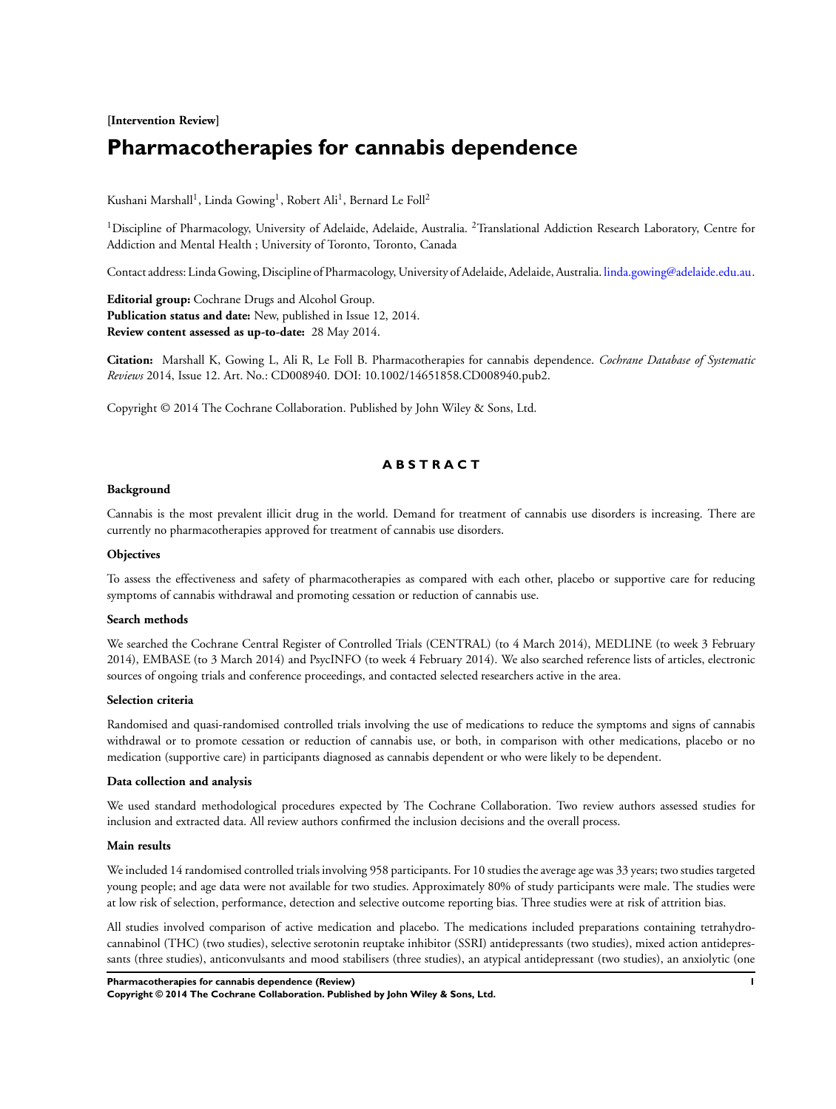**[Intervention Review]**

# **Pharmacotherapies for cannabis dependence**

Kushani Marshall $^1$ , Linda Gowing $^1$ , Robert Ali $^1$ , Bernard Le Foll $^2$ 

<sup>1</sup>Discipline of Pharmacology, University of Adelaide, Adelaide, Australia. <sup>2</sup>Translational Addiction Research Laboratory, Centre for Addiction and Mental Health ; University of Toronto, Toronto, Canada

Contact address: Linda Gowing, Discipline of Pharmacology, University of Adelaide, Adelaide, Australia. [linda.gowing@adelaide.edu.au.](mailto:linda.gowing@adelaide.edu.au)

**Editorial group:** Cochrane Drugs and Alcohol Group. **Publication status and date:** New, published in Issue 12, 2014. **Review content assessed as up-to-date:** 28 May 2014.

**Citation:** Marshall K, Gowing L, Ali R, Le Foll B. Pharmacotherapies for cannabis dependence. *Cochrane Database of Systematic Reviews* 2014, Issue 12. Art. No.: CD008940. DOI: 10.1002/14651858.CD008940.pub2.

Copyright © 2014 The Cochrane Collaboration. Published by John Wiley & Sons, Ltd.

# **A B S T R A C T**

#### **Background**

Cannabis is the most prevalent illicit drug in the world. Demand for treatment of cannabis use disorders is increasing. There are currently no pharmacotherapies approved for treatment of cannabis use disorders.

#### **Objectives**

To assess the effectiveness and safety of pharmacotherapies as compared with each other, placebo or supportive care for reducing symptoms of cannabis withdrawal and promoting cessation or reduction of cannabis use.

#### **Search methods**

We searched the Cochrane Central Register of Controlled Trials (CENTRAL) (to 4 March 2014), MEDLINE (to week 3 February 2014), EMBASE (to 3 March 2014) and PsycINFO (to week 4 February 2014). We also searched reference lists of articles, electronic sources of ongoing trials and conference proceedings, and contacted selected researchers active in the area.

#### **Selection criteria**

Randomised and quasi-randomised controlled trials involving the use of medications to reduce the symptoms and signs of cannabis withdrawal or to promote cessation or reduction of cannabis use, or both, in comparison with other medications, placebo or no medication (supportive care) in participants diagnosed as cannabis dependent or who were likely to be dependent.

#### **Data collection and analysis**

We used standard methodological procedures expected by The Cochrane Collaboration. Two review authors assessed studies for inclusion and extracted data. All review authors confirmed the inclusion decisions and the overall process.

#### **Main results**

We included 14 randomised controlled trials involving 958 participants. For 10 studies the average age was 33 years; two studies targeted young people; and age data were not available for two studies. Approximately 80% of study participants were male. The studies were at low risk of selection, performance, detection and selective outcome reporting bias. Three studies were at risk of attrition bias.

All studies involved comparison of active medication and placebo. The medications included preparations containing tetrahydrocannabinol (THC) (two studies), selective serotonin reuptake inhibitor (SSRI) antidepressants (two studies), mixed action antidepressants (three studies), anticonvulsants and mood stabilisers (three studies), an atypical antidepressant (two studies), an anxiolytic (one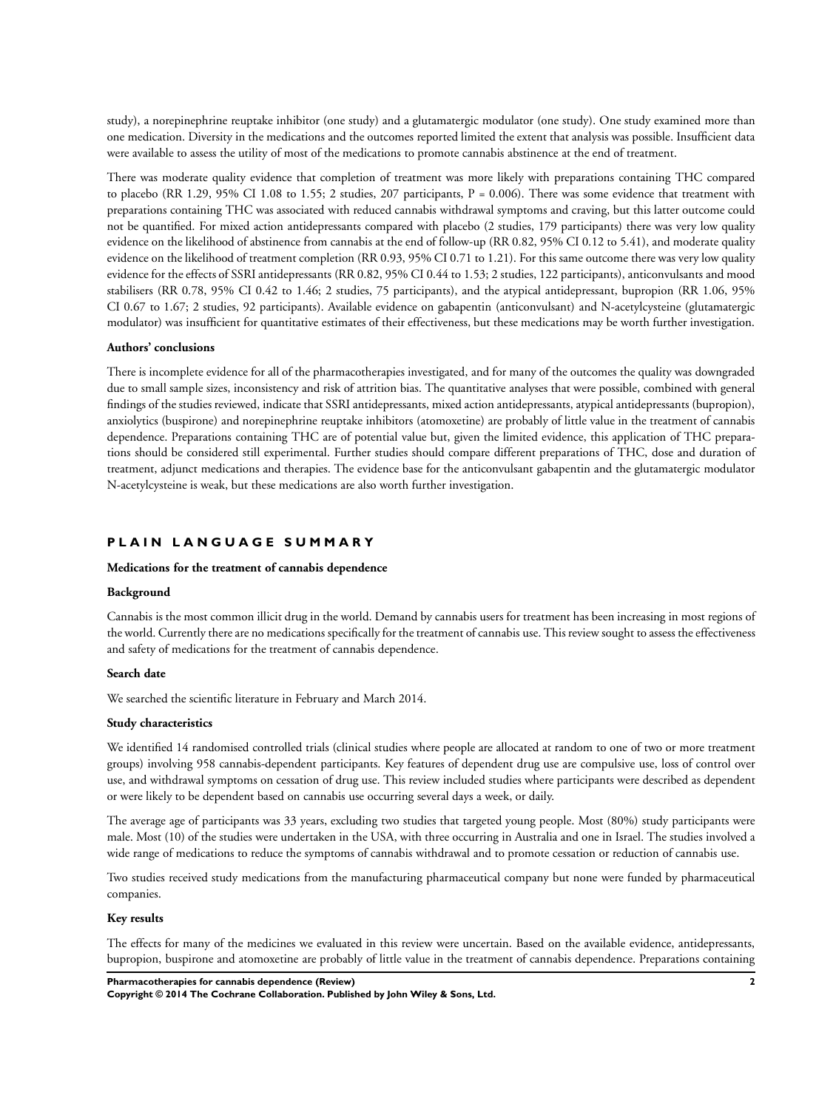study), a norepinephrine reuptake inhibitor (one study) and a glutamatergic modulator (one study). One study examined more than one medication. Diversity in the medications and the outcomes reported limited the extent that analysis was possible. Insufficient data were available to assess the utility of most of the medications to promote cannabis abstinence at the end of treatment.

There was moderate quality evidence that completion of treatment was more likely with preparations containing THC compared to placebo (RR 1.29, 95% CI 1.08 to 1.55; 2 studies, 207 participants,  $P = 0.006$ ). There was some evidence that treatment with preparations containing THC was associated with reduced cannabis withdrawal symptoms and craving, but this latter outcome could not be quantified. For mixed action antidepressants compared with placebo (2 studies, 179 participants) there was very low quality evidence on the likelihood of abstinence from cannabis at the end of follow-up (RR 0.82, 95% CI 0.12 to 5.41), and moderate quality evidence on the likelihood of treatment completion (RR 0.93, 95% CI 0.71 to 1.21). For this same outcome there was very low quality evidence for the effects of SSRI antidepressants (RR 0.82, 95% CI 0.44 to 1.53; 2 studies, 122 participants), anticonvulsants and mood stabilisers (RR 0.78, 95% CI 0.42 to 1.46; 2 studies, 75 participants), and the atypical antidepressant, bupropion (RR 1.06, 95% CI 0.67 to 1.67; 2 studies, 92 participants). Available evidence on gabapentin (anticonvulsant) and N-acetylcysteine (glutamatergic modulator) was insufficient for quantitative estimates of their effectiveness, but these medications may be worth further investigation.

#### **Authors' conclusions**

There is incomplete evidence for all of the pharmacotherapies investigated, and for many of the outcomes the quality was downgraded due to small sample sizes, inconsistency and risk of attrition bias. The quantitative analyses that were possible, combined with general findings of the studies reviewed, indicate that SSRI antidepressants, mixed action antidepressants, atypical antidepressants (bupropion), anxiolytics (buspirone) and norepinephrine reuptake inhibitors (atomoxetine) are probably of little value in the treatment of cannabis dependence. Preparations containing THC are of potential value but, given the limited evidence, this application of THC preparations should be considered still experimental. Further studies should compare different preparations of THC, dose and duration of treatment, adjunct medications and therapies. The evidence base for the anticonvulsant gabapentin and the glutamatergic modulator N-acetylcysteine is weak, but these medications are also worth further investigation.

### **P L A I N L A N G U A G E S U M M A R Y**

#### **Medications for the treatment of cannabis dependence**

#### **Background**

Cannabis is the most common illicit drug in the world. Demand by cannabis users for treatment has been increasing in most regions of the world. Currently there are no medications specifically for the treatment of cannabis use. This review sought to assess the effectiveness and safety of medications for the treatment of cannabis dependence.

#### **Search date**

We searched the scientific literature in February and March 2014.

#### **Study characteristics**

We identified 14 randomised controlled trials (clinical studies where people are allocated at random to one of two or more treatment groups) involving 958 cannabis-dependent participants. Key features of dependent drug use are compulsive use, loss of control over use, and withdrawal symptoms on cessation of drug use. This review included studies where participants were described as dependent or were likely to be dependent based on cannabis use occurring several days a week, or daily.

The average age of participants was 33 years, excluding two studies that targeted young people. Most (80%) study participants were male. Most (10) of the studies were undertaken in the USA, with three occurring in Australia and one in Israel. The studies involved a wide range of medications to reduce the symptoms of cannabis withdrawal and to promote cessation or reduction of cannabis use.

Two studies received study medications from the manufacturing pharmaceutical company but none were funded by pharmaceutical companies.

#### **Key results**

The effects for many of the medicines we evaluated in this review were uncertain. Based on the available evidence, antidepressants, bupropion, buspirone and atomoxetine are probably of little value in the treatment of cannabis dependence. Preparations containing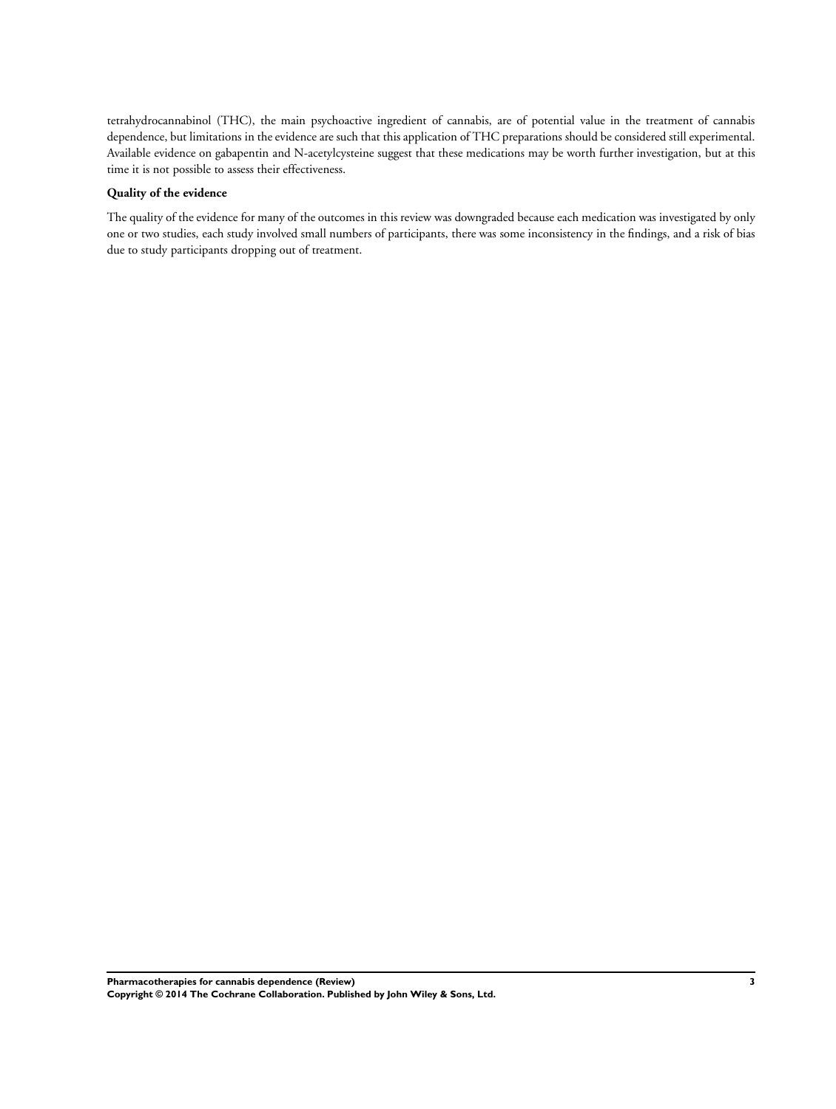tetrahydrocannabinol (THC), the main psychoactive ingredient of cannabis, are of potential value in the treatment of cannabis dependence, but limitations in the evidence are such that this application of THC preparations should be considered still experimental. Available evidence on gabapentin and N-acetylcysteine suggest that these medications may be worth further investigation, but at this time it is not possible to assess their effectiveness.

### **Quality of the evidence**

The quality of the evidence for many of the outcomes in this review was downgraded because each medication was investigated by only one or two studies, each study involved small numbers of participants, there was some inconsistency in the findings, and a risk of bias due to study participants dropping out of treatment.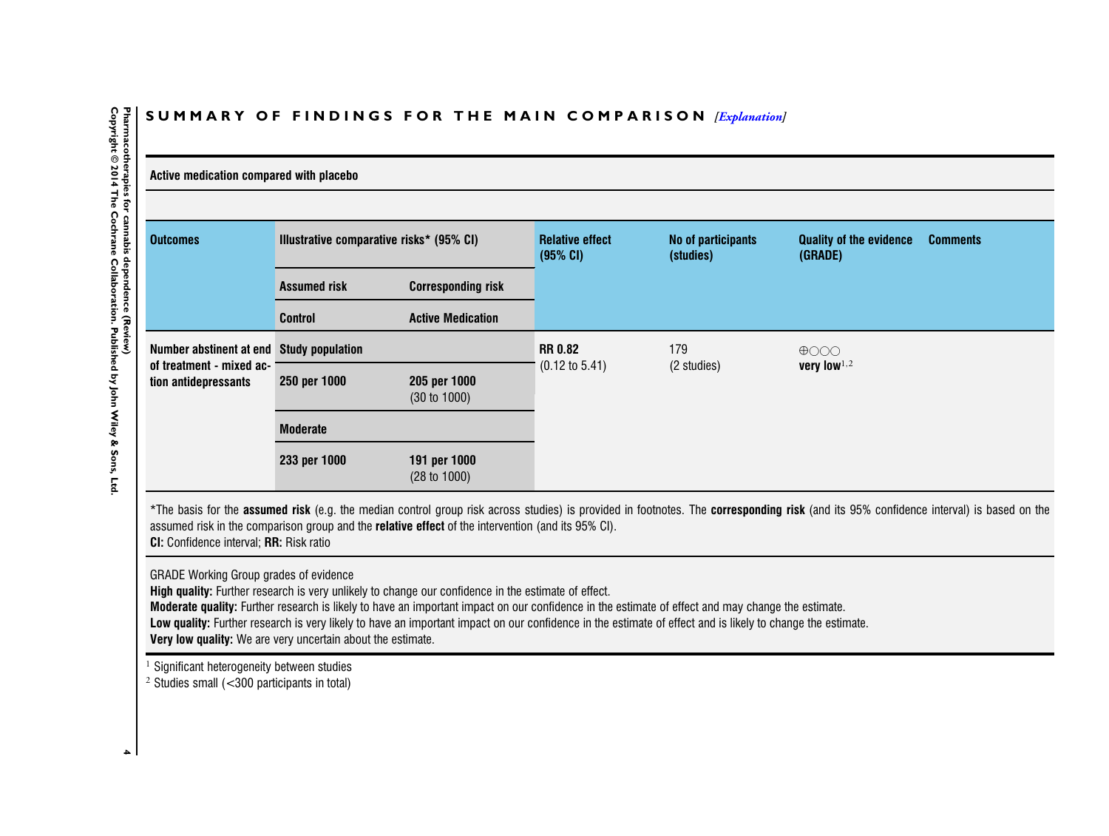# <span id="page-5-0"></span>SUMMARY OF FINDINGS FOR THE MAIN COMPARISON *[\[Explanation\]](http://www.thecochranelibrary.com/view/0/SummaryFindings.html)*

| Active medication compared with placebo          |                                          |                              |                                    |                                 |                                           |                 |
|--------------------------------------------------|------------------------------------------|------------------------------|------------------------------------|---------------------------------|-------------------------------------------|-----------------|
|                                                  |                                          |                              |                                    |                                 |                                           |                 |
| <b>Outcomes</b>                                  | Illustrative comparative risks* (95% CI) |                              | <b>Relative effect</b><br>(95% CI) | No of participants<br>(studies) | <b>Quality of the evidence</b><br>(GRADE) | <b>Comments</b> |
|                                                  | <b>Assumed risk</b>                      | <b>Corresponding risk</b>    |                                    |                                 |                                           |                 |
|                                                  | <b>Control</b>                           | <b>Active Medication</b>     |                                    |                                 |                                           |                 |
| Number abstinent at end Study population         |                                          |                              | <b>RR 0.82</b>                     | 179                             | $\bigoplus$ OOO                           |                 |
| of treatment - mixed ac-<br>tion antidepressants | 250 per 1000                             | 205 per 1000<br>(30 to 1000) | $(0.12 \text{ to } 5.41)$          | (2 studies)                     | very low $1,2$                            |                 |
|                                                  | <b>Moderate</b>                          |                              |                                    |                                 |                                           |                 |
|                                                  | 233 per 1000                             | 191 per 1000<br>(28 to 1000) |                                    |                                 |                                           |                 |

\*The basis for the **assumed risk** (e.g. the median control group risk across studies) is provided in footnotes. The **corresponding risk** (and its 95% confidence interval) is based on the assumed risk in the comparison group and the **relative effect** of the intervention (and its 95% CI). **CI:** Confidence interval; **RR:** Risk ratio

GRADE Working Group grades of evidence

**High quality:** Further research is very unlikely to change our confidence in the estimate of effect.

**Moderate quality:** Further research is likely to have an important impact on our confidence in the estimate of effect and may change the estimate.

Low quality: Further research is very likely to have an important impact on our confidence in the estimate of effect and is likely to change the estimate.

**Very low quality:** We are very uncertain about the estimate.

 $1$  Significant heterogeneity between studies

<sup>2</sup> Studies small  $\left($  < 300 participants in total)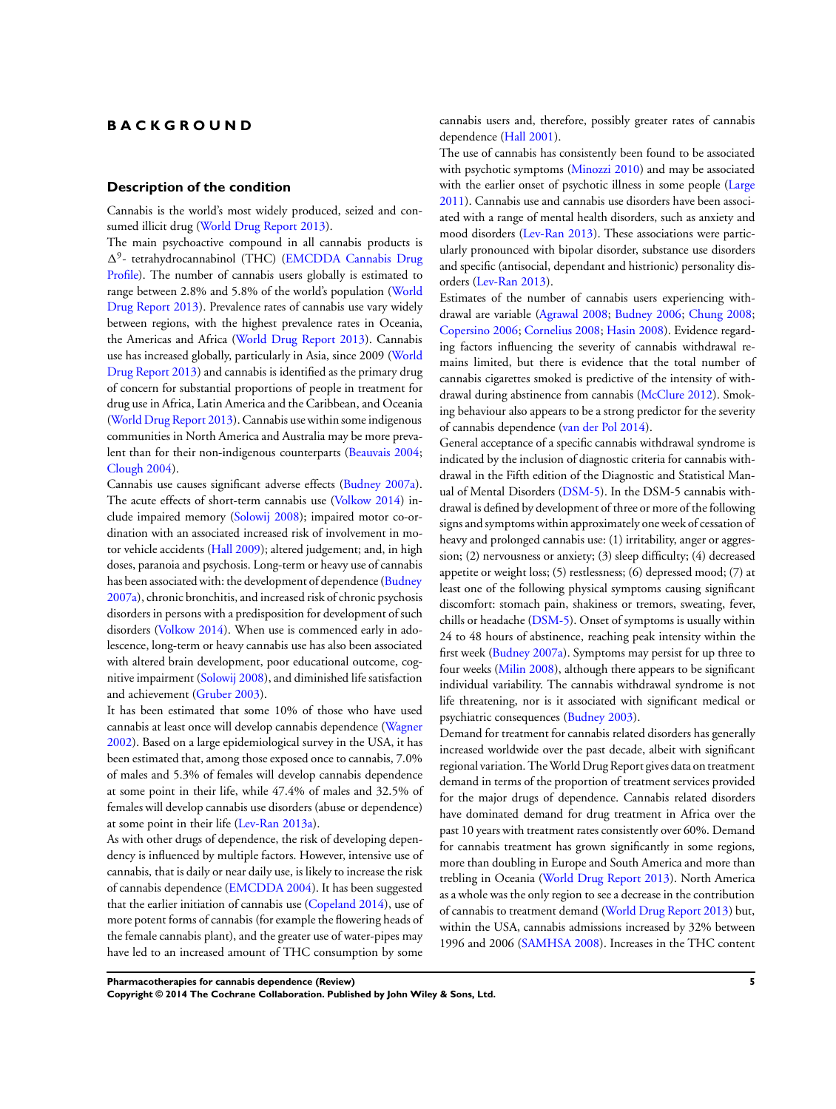# **B A C K G R O U N D**

# **Description of the condition**

Cannabis is the world's most widely produced, seized and consumed illicit drug ([World Drug Report 2013](#page-25-0)).

The main psychoactive compound in all cannabis products is  $\Delta^9$ - tetrahydrocannabinol (THC) [\(EMCDDA Cannabis Drug](#page-25-0) [Profile\)](#page-25-0). The number of cannabis users globally is estimated to range between 2.8% and 5.8% of the world's population [\(World](#page-25-0) [Drug Report 2013\)](#page-25-0). Prevalence rates of cannabis use vary widely between regions, with the highest prevalence rates in Oceania, the Americas and Africa [\(World Drug Report 2013](#page-25-0)). Cannabis use has increased globally, particularly in Asia, since 2009 [\(World](#page-25-0) [Drug Report 2013\)](#page-25-0) and cannabis is identified as the primary drug of concern for substantial proportions of people in treatment for drug use in Africa, Latin America and the Caribbean, and Oceania [\(World Drug Report 2013](#page-25-0)). Cannabis use within some indigenous communities in North America and Australia may be more prevalent than for their non-indigenous counterparts [\(Beauvais 2004;](#page-25-0) [Clough 2004\)](#page-25-0).

Cannabis use causes significant adverse effects ([Budney 2007a](#page-25-0)). The acute effects of short-term cannabis use [\(Volkow 2014](#page-25-0)) include impaired memory ([Solowij 2008](#page-25-0)); impaired motor co-ordination with an associated increased risk of involvement in motor vehicle accidents [\(Hall 2009\)](#page-25-0); altered judgement; and, in high doses, paranoia and psychosis. Long-term or heavy use of cannabis has been associated with: the development of dependence ([Budney](#page-25-0) [2007a\)](#page-25-0), chronic bronchitis, and increased risk of chronic psychosis disorders in persons with a predisposition for development of such disorders ([Volkow 2014](#page-25-0)). When use is commenced early in adolescence, long-term or heavy cannabis use has also been associated with altered brain development, poor educational outcome, cognitive impairment ([Solowij 2008](#page-25-0)), and diminished life satisfaction and achievement ([Gruber 2003](#page-25-0)).

It has been estimated that some 10% of those who have used cannabis at least once will develop cannabis dependence [\(Wagner](#page-25-0) [2002](#page-25-0)). Based on a large epidemiological survey in the USA, it has been estimated that, among those exposed once to cannabis, 7.0% of males and 5.3% of females will develop cannabis dependence at some point in their life, while 47.4% of males and 32.5% of females will develop cannabis use disorders (abuse or dependence) at some point in their life ([Lev-Ran 2013a\)](#page-25-0).

As with other drugs of dependence, the risk of developing dependency is influenced by multiple factors. However, intensive use of cannabis, that is daily or near daily use, is likely to increase the risk of cannabis dependence ([EMCDDA 2004](#page-25-0)). It has been suggested that the earlier initiation of cannabis use ([Copeland 2014\)](#page-25-0), use of more potent forms of cannabis (for example the flowering heads of the female cannabis plant), and the greater use of water-pipes may have led to an increased amount of THC consumption by some

cannabis users and, therefore, possibly greater rates of cannabis dependence [\(Hall 2001\)](#page-25-0).

The use of cannabis has consistently been found to be associated with psychotic symptoms [\(Minozzi 2010](#page-25-0)) and may be associated with the earlier onset of psychotic illness in some people ([Large](#page-25-0) [2011](#page-25-0)). Cannabis use and cannabis use disorders have been associated with a range of mental health disorders, such as anxiety and mood disorders ([Lev-Ran 2013\)](#page-25-0). These associations were particularly pronounced with bipolar disorder, substance use disorders and specific (antisocial, dependant and histrionic) personality disorders ([Lev-Ran 2013](#page-25-0)).

Estimates of the number of cannabis users experiencing withdrawal are variable [\(Agrawal 2008](#page-25-0); [Budney 2006;](#page-25-0) [Chung 2008;](#page-25-0) [Copersino 2006](#page-25-0); [Cornelius 2008;](#page-25-0) [Hasin 2008](#page-25-0)). Evidence regarding factors influencing the severity of cannabis withdrawal remains limited, but there is evidence that the total number of cannabis cigarettes smoked is predictive of the intensity of withdrawal during abstinence from cannabis ([McClure 2012\)](#page-25-0). Smoking behaviour also appears to be a strong predictor for the severity of cannabis dependence ([van der Pol 2014\)](#page-25-0).

General acceptance of a specific cannabis withdrawal syndrome is indicated by the inclusion of diagnostic criteria for cannabis withdrawal in the Fifth edition of the Diagnostic and Statistical Manual of Mental Disorders ([DSM-5\)](#page-25-0). In the DSM-5 cannabis withdrawal is defined by development of three or more of the following signs and symptoms within approximately one week of cessation of heavy and prolonged cannabis use: (1) irritability, anger or aggression; (2) nervousness or anxiety; (3) sleep difficulty; (4) decreased appetite or weight loss; (5) restlessness; (6) depressed mood; (7) at least one of the following physical symptoms causing significant discomfort: stomach pain, shakiness or tremors, sweating, fever, chills or headache ([DSM-5\)](#page-25-0). Onset of symptoms is usually within 24 to 48 hours of abstinence, reaching peak intensity within the first week ([Budney 2007a](#page-25-0)). Symptoms may persist for up three to four weeks [\(Milin 2008](#page-25-0)), although there appears to be significant individual variability. The cannabis withdrawal syndrome is not life threatening, nor is it associated with significant medical or psychiatric consequences [\(Budney 2003](#page-25-0)).

Demand for treatment for cannabis related disorders has generally increased worldwide over the past decade, albeit with significant regional variation. TheWorld Drug Report gives data on treatment demand in terms of the proportion of treatment services provided for the major drugs of dependence. Cannabis related disorders have dominated demand for drug treatment in Africa over the past 10 years with treatment rates consistently over 60%. Demand for cannabis treatment has grown significantly in some regions, more than doubling in Europe and South America and more than trebling in Oceania ([World Drug Report 2013](#page-25-0)). North America as a whole was the only region to see a decrease in the contribution of cannabis to treatment demand [\(World Drug Report 2013](#page-25-0)) but, within the USA, cannabis admissions increased by 32% between 1996 and 2006 ([SAMHSA 2008](#page-25-0)). Increases in the THC content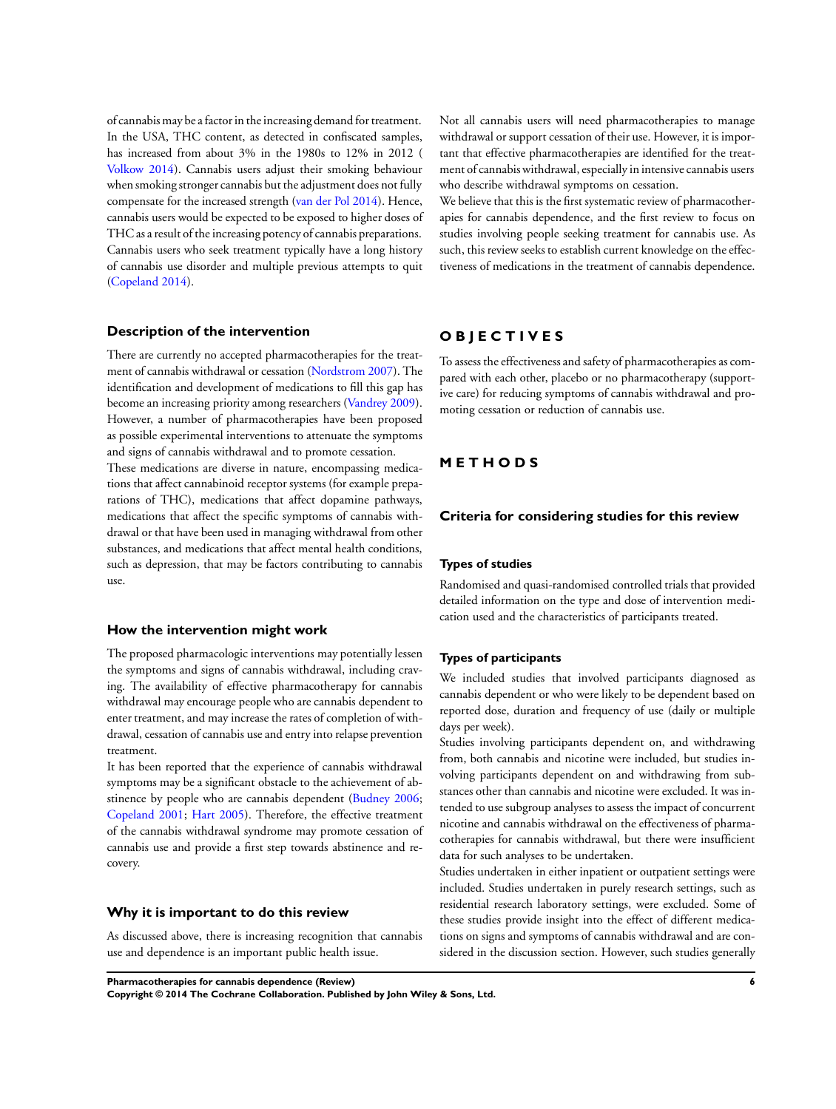of cannabis may be afactor in the increasing demand for treatment. In the USA, THC content, as detected in confiscated samples, has increased from about 3% in the 1980s to 12% in 2012 ( [Volkow 2014](#page-25-0)). Cannabis users adjust their smoking behaviour when smoking stronger cannabis but the adjustment does not fully compensate for the increased strength ([van der Pol 2014](#page-25-0)). Hence, cannabis users would be expected to be exposed to higher doses of THC as a result of the increasing potency of cannabis preparations. Cannabis users who seek treatment typically have a long history of cannabis use disorder and multiple previous attempts to quit [\(Copeland 2014](#page-25-0)).

#### **Description of the intervention**

There are currently no accepted pharmacotherapies for the treatment of cannabis withdrawal or cessation ([Nordstrom 2007](#page-25-0)). The identification and development of medications to fill this gap has become an increasing priority among researchers ([Vandrey 2009](#page-25-0)). However, a number of pharmacotherapies have been proposed as possible experimental interventions to attenuate the symptoms and signs of cannabis withdrawal and to promote cessation.

These medications are diverse in nature, encompassing medications that affect cannabinoid receptor systems (for example preparations of THC), medications that affect dopamine pathways, medications that affect the specific symptoms of cannabis withdrawal or that have been used in managing withdrawal from other substances, and medications that affect mental health conditions, such as depression, that may be factors contributing to cannabis use.

### **How the intervention might work**

The proposed pharmacologic interventions may potentially lessen the symptoms and signs of cannabis withdrawal, including craving. The availability of effective pharmacotherapy for cannabis withdrawal may encourage people who are cannabis dependent to enter treatment, and may increase the rates of completion of withdrawal, cessation of cannabis use and entry into relapse prevention treatment.

It has been reported that the experience of cannabis withdrawal symptoms may be a significant obstacle to the achievement of abstinence by people who are cannabis dependent [\(Budney 2006;](#page-25-0) [Copeland 2001](#page-25-0); [Hart 2005](#page-25-0)). Therefore, the effective treatment of the cannabis withdrawal syndrome may promote cessation of cannabis use and provide a first step towards abstinence and recovery.

### **Why it is important to do this review**

As discussed above, there is increasing recognition that cannabis use and dependence is an important public health issue.

Not all cannabis users will need pharmacotherapies to manage withdrawal or support cessation of their use. However, it is important that effective pharmacotherapies are identified for the treatment of cannabis withdrawal, especially in intensive cannabis users who describe withdrawal symptoms on cessation.

We believe that this is the first systematic review of pharmacotherapies for cannabis dependence, and the first review to focus on studies involving people seeking treatment for cannabis use. As such, this review seeks to establish current knowledge on the effectiveness of medications in the treatment of cannabis dependence.

# **O B J E C T I V E S**

To assess the effectiveness and safety of pharmacotherapies as compared with each other, placebo or no pharmacotherapy (supportive care) for reducing symptoms of cannabis withdrawal and promoting cessation or reduction of cannabis use.

# **M E T H O D S**

#### **Criteria for considering studies for this review**

#### **Types of studies**

Randomised and quasi-randomised controlled trials that provided detailed information on the type and dose of intervention medication used and the characteristics of participants treated.

#### **Types of participants**

We included studies that involved participants diagnosed as cannabis dependent or who were likely to be dependent based on reported dose, duration and frequency of use (daily or multiple days per week).

Studies involving participants dependent on, and withdrawing from, both cannabis and nicotine were included, but studies involving participants dependent on and withdrawing from substances other than cannabis and nicotine were excluded. It was intended to use subgroup analyses to assess the impact of concurrent nicotine and cannabis withdrawal on the effectiveness of pharmacotherapies for cannabis withdrawal, but there were insufficient data for such analyses to be undertaken.

Studies undertaken in either inpatient or outpatient settings were included. Studies undertaken in purely research settings, such as residential research laboratory settings, were excluded. Some of these studies provide insight into the effect of different medications on signs and symptoms of cannabis withdrawal and are considered in the discussion section. However, such studies generally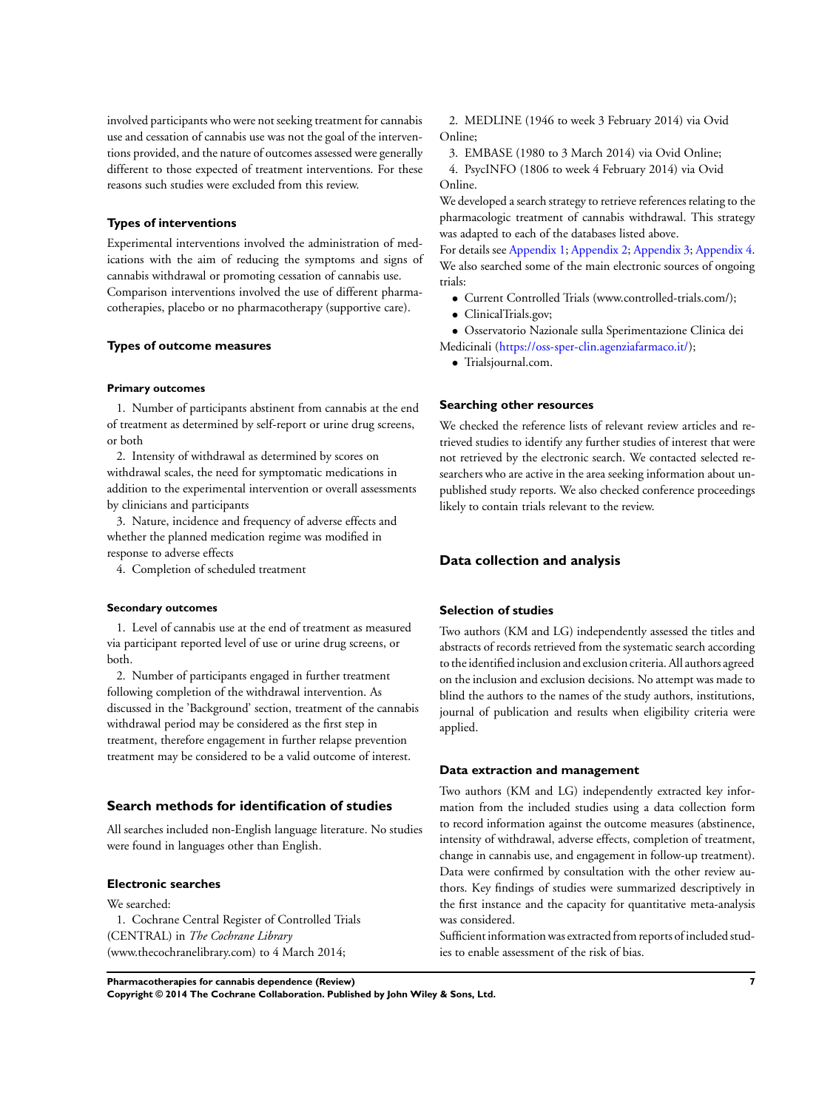involved participants who were not seeking treatment for cannabis use and cessation of cannabis use was not the goal of the interventions provided, and the nature of outcomes assessed were generally different to those expected of treatment interventions. For these reasons such studies were excluded from this review.

#### **Types of interventions**

Experimental interventions involved the administration of medications with the aim of reducing the symptoms and signs of cannabis withdrawal or promoting cessation of cannabis use. Comparison interventions involved the use of different pharmacotherapies, placebo or no pharmacotherapy (supportive care).

#### **Types of outcome measures**

#### **Primary outcomes**

1. Number of participants abstinent from cannabis at the end of treatment as determined by self-report or urine drug screens, or both

2. Intensity of withdrawal as determined by scores on withdrawal scales, the need for symptomatic medications in addition to the experimental intervention or overall assessments by clinicians and participants

3. Nature, incidence and frequency of adverse effects and whether the planned medication regime was modified in response to adverse effects

4. Completion of scheduled treatment

#### **Secondary outcomes**

1. Level of cannabis use at the end of treatment as measured via participant reported level of use or urine drug screens, or both.

2. Number of participants engaged in further treatment following completion of the withdrawal intervention. As discussed in the 'Background' section, treatment of the cannabis withdrawal period may be considered as the first step in treatment, therefore engagement in further relapse prevention treatment may be considered to be a valid outcome of interest.

### **Search methods for identification of studies**

All searches included non-English language literature. No studies were found in languages other than English.

#### **Electronic searches**

We searched: 1. Cochrane Central Register of Controlled Trials (CENTRAL) in *The Cochrane Library* (www.thecochranelibrary.com) to 4 March 2014;

2. MEDLINE (1946 to week 3 February 2014) via Ovid Online;

3. EMBASE (1980 to 3 March 2014) via Ovid Online;

4. PsycINFO (1806 to week 4 February 2014) via Ovid Online.

We developed a search strategy to retrieve references relating to the pharmacologic treatment of cannabis withdrawal. This strategy was adapted to each of the databases listed above.

For details see [Appendix 1;](#page-60-0) [Appendix 2](#page-60-0); [Appendix 3;](#page-60-0) [Appendix 4.](#page-61-0) We also searched some of the main electronic sources of ongoing trials:

- Current Controlled Trials (www.controlled-trials.com/);
- ClinicalTrials.gov;
- Osservatorio Nazionale sulla Sperimentazione Clinica dei
- Medicinali ([https://oss-sper-clin.agenziafarmaco.it/\)](https://oss-sper-clin.agenziafarmaco.it/);
	- Trialsjournal.com.

#### **Searching other resources**

We checked the reference lists of relevant review articles and retrieved studies to identify any further studies of interest that were not retrieved by the electronic search. We contacted selected researchers who are active in the area seeking information about unpublished study reports. We also checked conference proceedings likely to contain trials relevant to the review.

### **Data collection and analysis**

# **Selection of studies**

Two authors (KM and LG) independently assessed the titles and abstracts of records retrieved from the systematic search according to the identified inclusion and exclusion criteria. All authors agreed on the inclusion and exclusion decisions. No attempt was made to blind the authors to the names of the study authors, institutions, journal of publication and results when eligibility criteria were applied.

#### **Data extraction and management**

Two authors (KM and LG) independently extracted key information from the included studies using a data collection form to record information against the outcome measures (abstinence, intensity of withdrawal, adverse effects, completion of treatment, change in cannabis use, and engagement in follow-up treatment). Data were confirmed by consultation with the other review authors. Key findings of studies were summarized descriptively in the first instance and the capacity for quantitative meta-analysis was considered.

Sufficient information was extracted from reports of included studies to enable assessment of the risk of bias.

**Pharmacotherapies for cannabis dependence (Review) 7**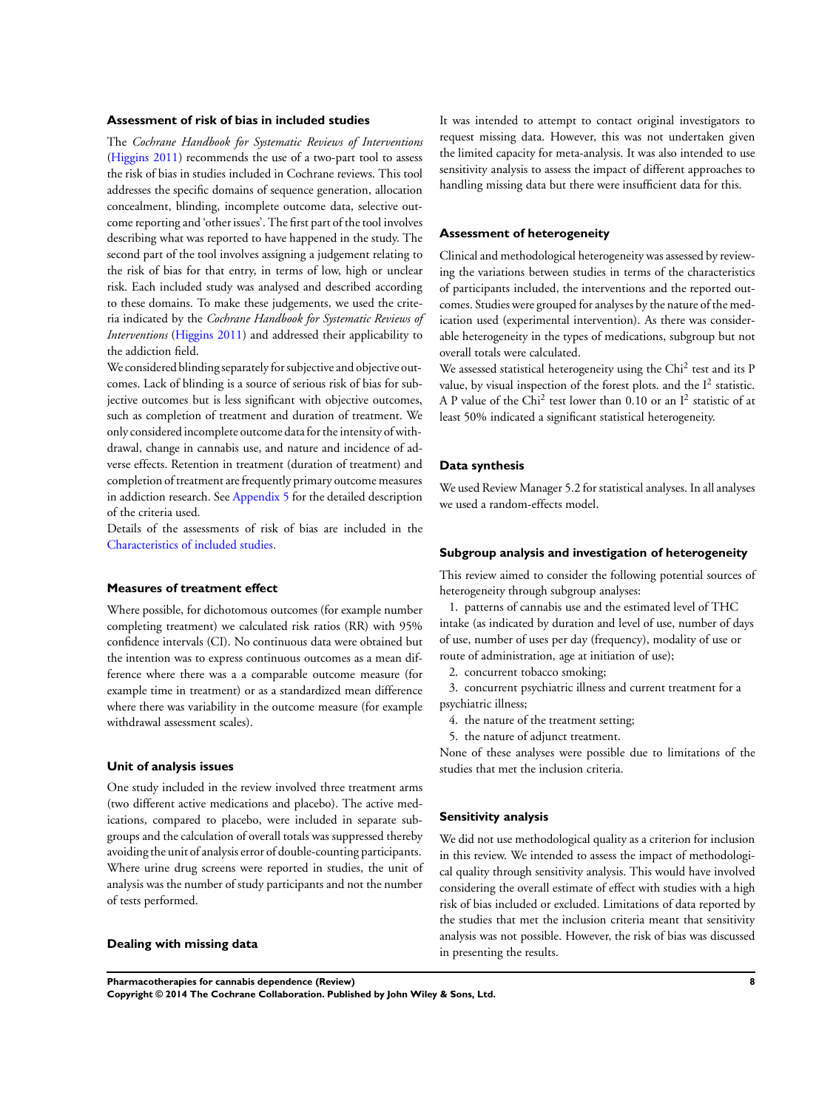### **Assessment of risk of bias in included studies**

The *Cochrane Handbook for Systematic Reviews of Interventions* [\(Higgins 2011](#page-25-0)) recommends the use of a two-part tool to assess the risk of bias in studies included in Cochrane reviews. This tool addresses the specific domains of sequence generation, allocation concealment, blinding, incomplete outcome data, selective outcome reporting and 'other issues'. The first part of the tool involves describing what was reported to have happened in the study. The second part of the tool involves assigning a judgement relating to the risk of bias for that entry, in terms of low, high or unclear risk. Each included study was analysed and described according to these domains. To make these judgements, we used the criteria indicated by the *Cochrane Handbook for Systematic Reviews of Interventions* ([Higgins 2011\)](#page-25-0) and addressed their applicability to the addiction field.

We considered blinding separately for subjective and objective outcomes. Lack of blinding is a source of serious risk of bias for subjective outcomes but is less significant with objective outcomes, such as completion of treatment and duration of treatment. We only considered incomplete outcome datafor the intensity of withdrawal, change in cannabis use, and nature and incidence of adverse effects. Retention in treatment (duration of treatment) and completion of treatment are frequently primary outcome measures in addiction research. See [Appendix 5](#page-61-0) for the detailed description of the criteria used.

Details of the assessments of risk of bias are included in the [Characteristics of included studies.](#page-30-0)

### **Measures of treatment effect**

Where possible, for dichotomous outcomes (for example number completing treatment) we calculated risk ratios (RR) with 95% confidence intervals (CI). No continuous data were obtained but the intention was to express continuous outcomes as a mean difference where there was a a comparable outcome measure (for example time in treatment) or as a standardized mean difference where there was variability in the outcome measure (for example withdrawal assessment scales).

### **Unit of analysis issues**

One study included in the review involved three treatment arms (two different active medications and placebo). The active medications, compared to placebo, were included in separate subgroups and the calculation of overall totals was suppressed thereby avoiding the unit of analysis error of double-counting participants. Where urine drug screens were reported in studies, the unit of analysis was the number of study participants and not the number of tests performed.

#### **Dealing with missing data**

It was intended to attempt to contact original investigators to request missing data. However, this was not undertaken given the limited capacity for meta-analysis. It was also intended to use sensitivity analysis to assess the impact of different approaches to handling missing data but there were insufficient data for this.

#### **Assessment of heterogeneity**

Clinical and methodological heterogeneity was assessed by reviewing the variations between studies in terms of the characteristics of participants included, the interventions and the reported outcomes. Studies were grouped for analyses by the nature of the medication used (experimental intervention). As there was considerable heterogeneity in the types of medications, subgroup but not overall totals were calculated.

We assessed statistical heterogeneity using the Chi<sup>2</sup> test and its P value, by visual inspection of the forest plots. and the  $I^2$  statistic. A P value of the Chi<sup>2</sup> test lower than 0.10 or an  $I^2$  statistic of at least 50% indicated a significant statistical heterogeneity.

# **Data synthesis**

We used Review Manager 5.2 for statistical analyses. In all analyses we used a random-effects model.

#### **Subgroup analysis and investigation of heterogeneity**

This review aimed to consider the following potential sources of heterogeneity through subgroup analyses:

1. patterns of cannabis use and the estimated level of THC intake (as indicated by duration and level of use, number of days of use, number of uses per day (frequency), modality of use or route of administration, age at initiation of use);

2. concurrent tobacco smoking;

3. concurrent psychiatric illness and current treatment for a psychiatric illness;

- 4. the nature of the treatment setting;
- 5. the nature of adjunct treatment.

None of these analyses were possible due to limitations of the studies that met the inclusion criteria.

## **Sensitivity analysis**

We did not use methodological quality as a criterion for inclusion in this review. We intended to assess the impact of methodological quality through sensitivity analysis. This would have involved considering the overall estimate of effect with studies with a high risk of bias included or excluded. Limitations of data reported by the studies that met the inclusion criteria meant that sensitivity analysis was not possible. However, the risk of bias was discussed in presenting the results.

**Pharmacotherapies for cannabis dependence (Review) 8**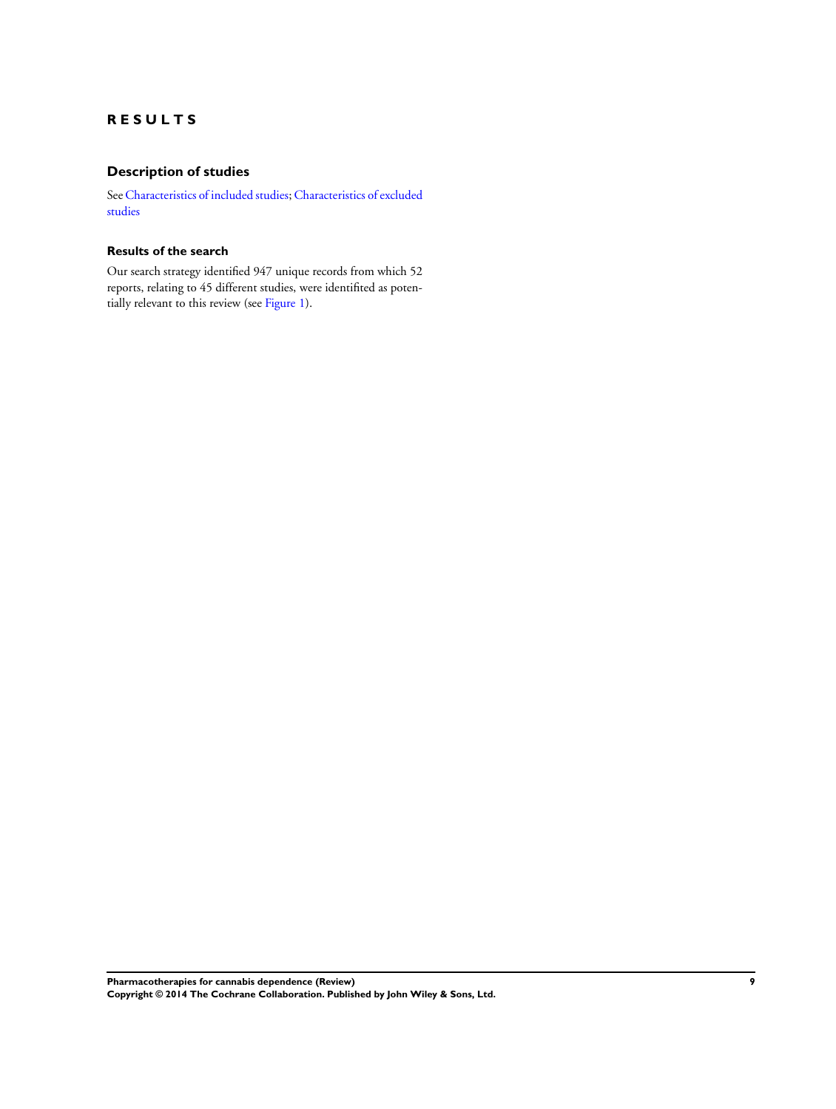# **R E S U L T S**

# **Description of studies**

See [Characteristics of included studies;](#page-30-0) [Characteristics of excluded](#page-49-0) [studies](#page-49-0)

# **Results of the search**

Our search strategy identified 947 unique records from which 52 reports, relating to 45 different studies, were identifited as potentially relevant to this review (see [Figure 1\)](#page-11-0).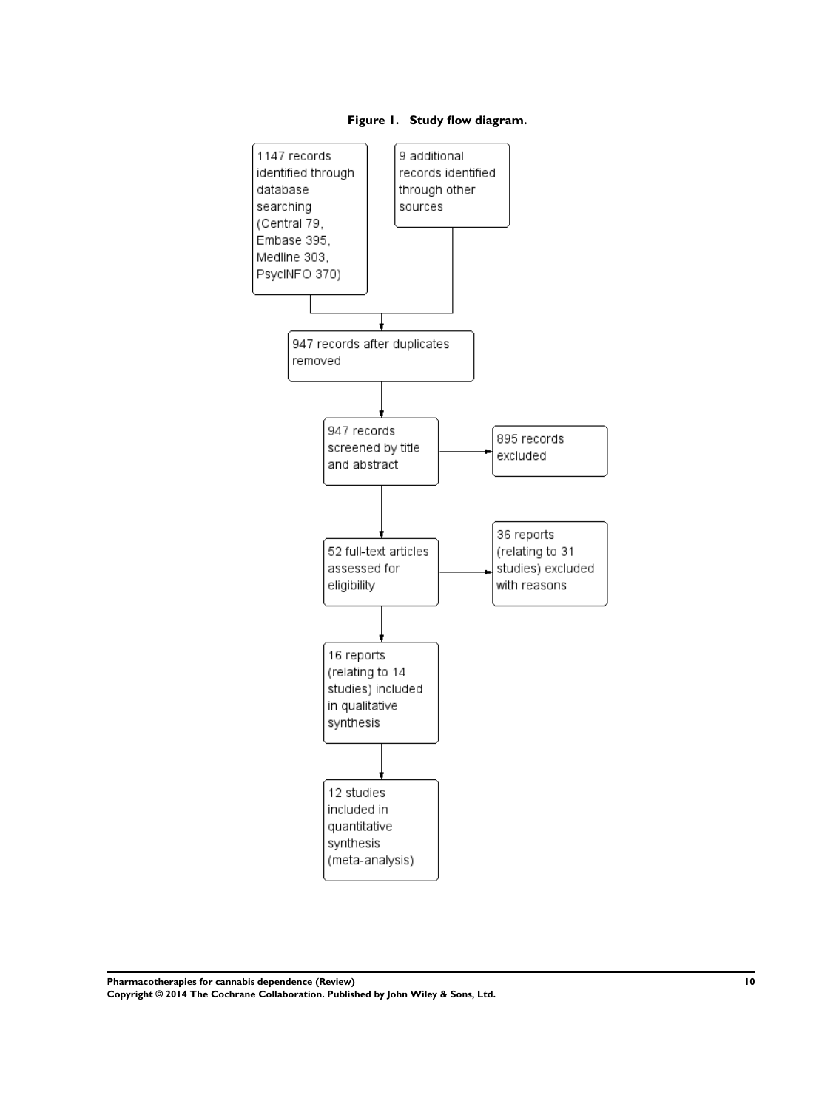<span id="page-11-0"></span>

**Figure 1. Study flow diagram.**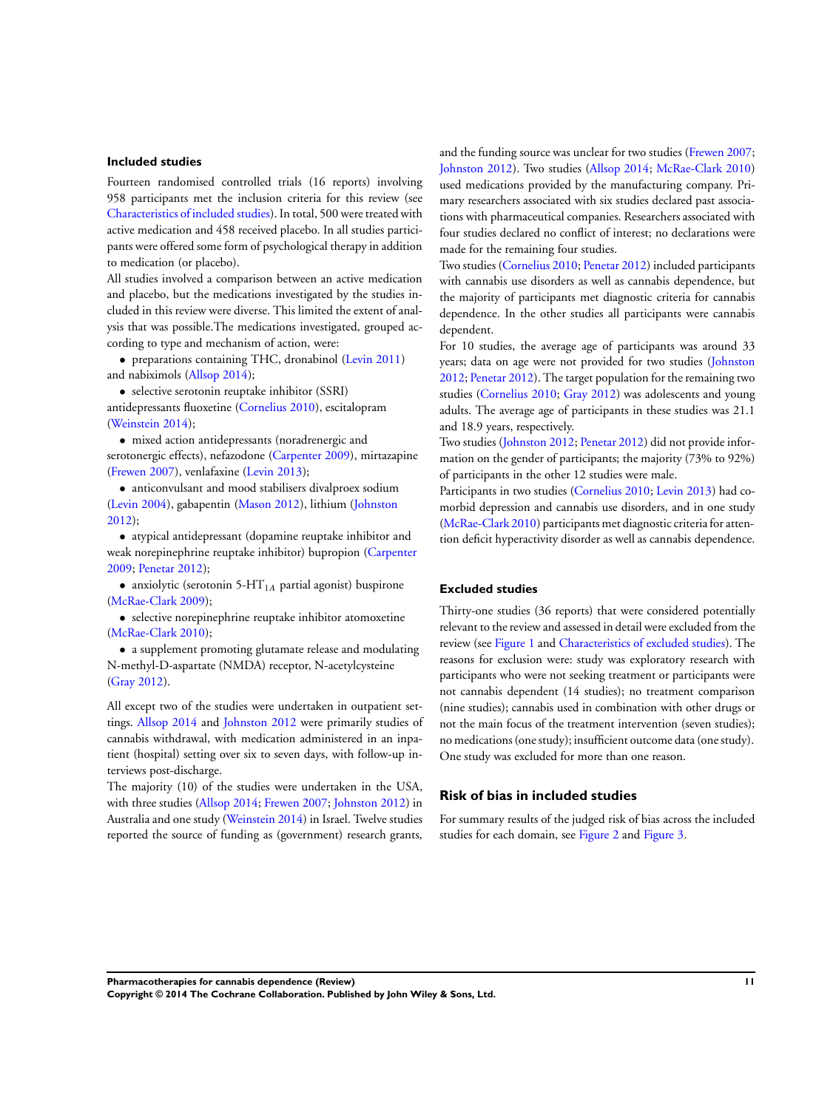#### **Included studies**

Fourteen randomised controlled trials (16 reports) involving 958 participants met the inclusion criteria for this review (see [Characteristics of included studies](#page-30-0)). In total, 500 were treated with active medication and 458 received placebo. In all studies participants were offered some form of psychological therapy in addition to medication (or placebo).

All studies involved a comparison between an active medication and placebo, but the medications investigated by the studies included in this review were diverse. This limited the extent of analysis that was possible.The medications investigated, grouped according to type and mechanism of action, were:

• preparations containing THC, dronabinol [\(Levin 2011\)](#page-25-0) and nabiximols ([Allsop 2014\)](#page-25-0);

• selective serotonin reuptake inhibitor (SSRI)

antidepressants fluoxetine [\(Cornelius 2010\)](#page-25-0), escitalopram [\(Weinstein 2014](#page-25-0));

• mixed action antidepressants (noradrenergic and serotonergic effects), nefazodone [\(Carpenter 2009](#page-25-0)), mirtazapine [\(Frewen 2007\)](#page-25-0), venlafaxine ([Levin 2013\)](#page-25-0);

• anticonvulsant and mood stabilisers divalproex sodium [\(Levin 2004\)](#page-25-0), gabapentin ([Mason 2012\)](#page-25-0), lithium [\(Johnston](#page-25-0) [2012](#page-25-0));

• atypical antidepressant (dopamine reuptake inhibitor and weak norepinephrine reuptake inhibitor) bupropion ([Carpenter](#page-25-0) [2009](#page-25-0); [Penetar 2012\)](#page-25-0);

• anxiolytic (serotonin 5-HT<sub>1A</sub> partial agonist) buspirone [\(McRae-Clark 2009](#page-25-0));

• selective norepinephrine reuptake inhibitor atomoxetine [\(McRae-Clark 2010](#page-25-0));

• a supplement promoting glutamate release and modulating N-methyl-D-aspartate (NMDA) receptor, N-acetylcysteine [\(Gray 2012](#page-25-0)).

All except two of the studies were undertaken in outpatient settings. [Allsop 2014](#page-25-0) and [Johnston 2012](#page-25-0) were primarily studies of cannabis withdrawal, with medication administered in an inpatient (hospital) setting over six to seven days, with follow-up interviews post-discharge.

The majority (10) of the studies were undertaken in the USA, with three studies ([Allsop 2014;](#page-25-0) [Frewen 2007;](#page-25-0) [Johnston 2012](#page-25-0)) in Australia and one study [\(Weinstein 2014](#page-25-0)) in Israel. Twelve studies reported the source of funding as (government) research grants, and the funding source was unclear for two studies ([Frewen 2007;](#page-25-0) [Johnston 2012](#page-25-0)). Two studies [\(Allsop 2014;](#page-25-0) [McRae-Clark 2010](#page-25-0)) used medications provided by the manufacturing company. Primary researchers associated with six studies declared past associations with pharmaceutical companies. Researchers associated with four studies declared no conflict of interest; no declarations were made for the remaining four studies.

Two studies [\(Cornelius 2010;](#page-25-0) [Penetar 2012\)](#page-25-0) included participants with cannabis use disorders as well as cannabis dependence, but the majority of participants met diagnostic criteria for cannabis dependence. In the other studies all participants were cannabis dependent.

For 10 studies, the average age of participants was around 33 years; data on age were not provided for two studies ([Johnston](#page-25-0) [2012](#page-25-0); [Penetar 2012](#page-25-0)). The target population for the remaining two studies [\(Cornelius 2010;](#page-25-0) [Gray 2012](#page-25-0)) was adolescents and young adults. The average age of participants in these studies was 21.1 and 18.9 years, respectively.

Two studies [\(Johnston 2012](#page-25-0); [Penetar 2012\)](#page-25-0) did not provide information on the gender of participants; the majority (73% to 92%) of participants in the other 12 studies were male.

Participants in two studies [\(Cornelius 2010](#page-25-0); [Levin 2013](#page-25-0)) had comorbid depression and cannabis use disorders, and in one study [\(McRae-Clark 2010](#page-25-0)) participants met diagnostic criteria for attention deficit hyperactivity disorder as well as cannabis dependence.

#### **Excluded studies**

Thirty-one studies (36 reports) that were considered potentially relevant to the review and assessed in detail were excluded from the review (see [Figure 1](#page-11-0) and [Characteristics of excluded studies\)](#page-49-0). The reasons for exclusion were: study was exploratory research with participants who were not seeking treatment or participants were not cannabis dependent (14 studies); no treatment comparison (nine studies); cannabis used in combination with other drugs or not the main focus of the treatment intervention (seven studies); no medications (one study); insufficient outcome data (one study). One study was excluded for more than one reason.

#### **Risk of bias in included studies**

For summary results of the judged risk of bias across the included studies for each domain, see [Figure 2](#page-13-0) and [Figure 3](#page-14-0).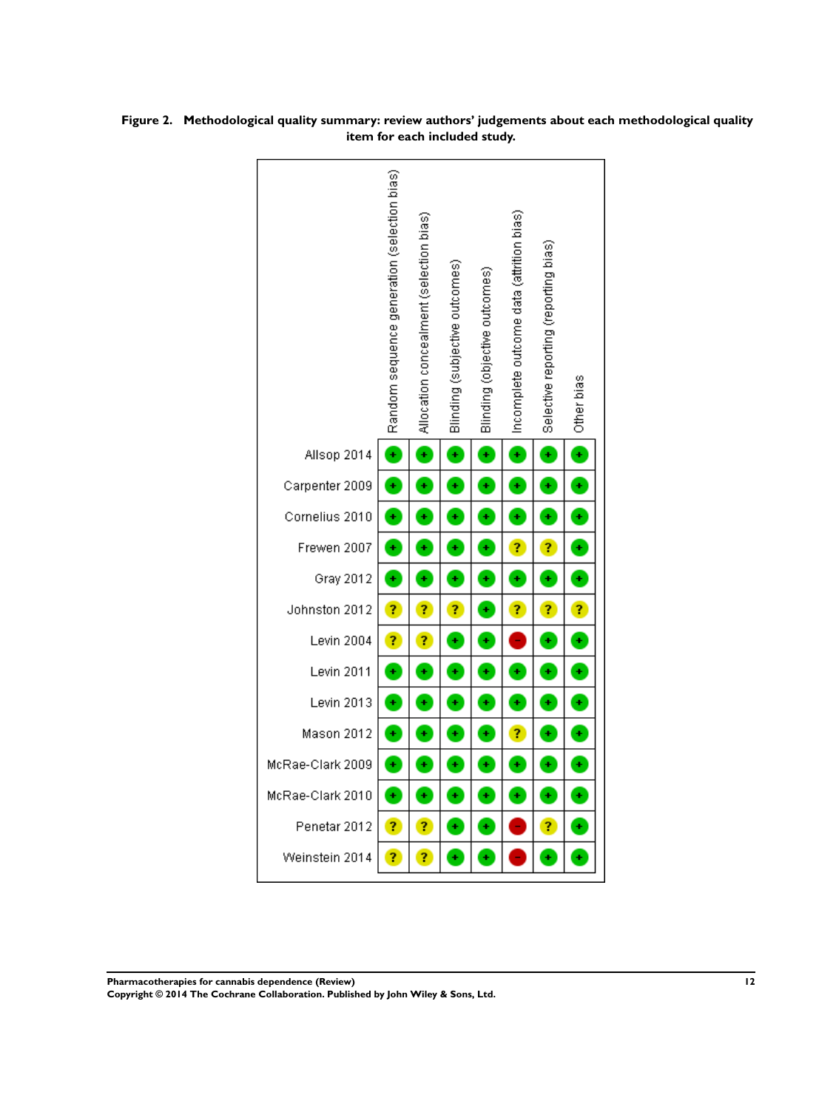

<span id="page-13-0"></span>**Figure 2. Methodological quality summary: review authors' judgements about each methodological quality item for each included study.**

**Pharmacotherapies for cannabis dependence (Review) 12**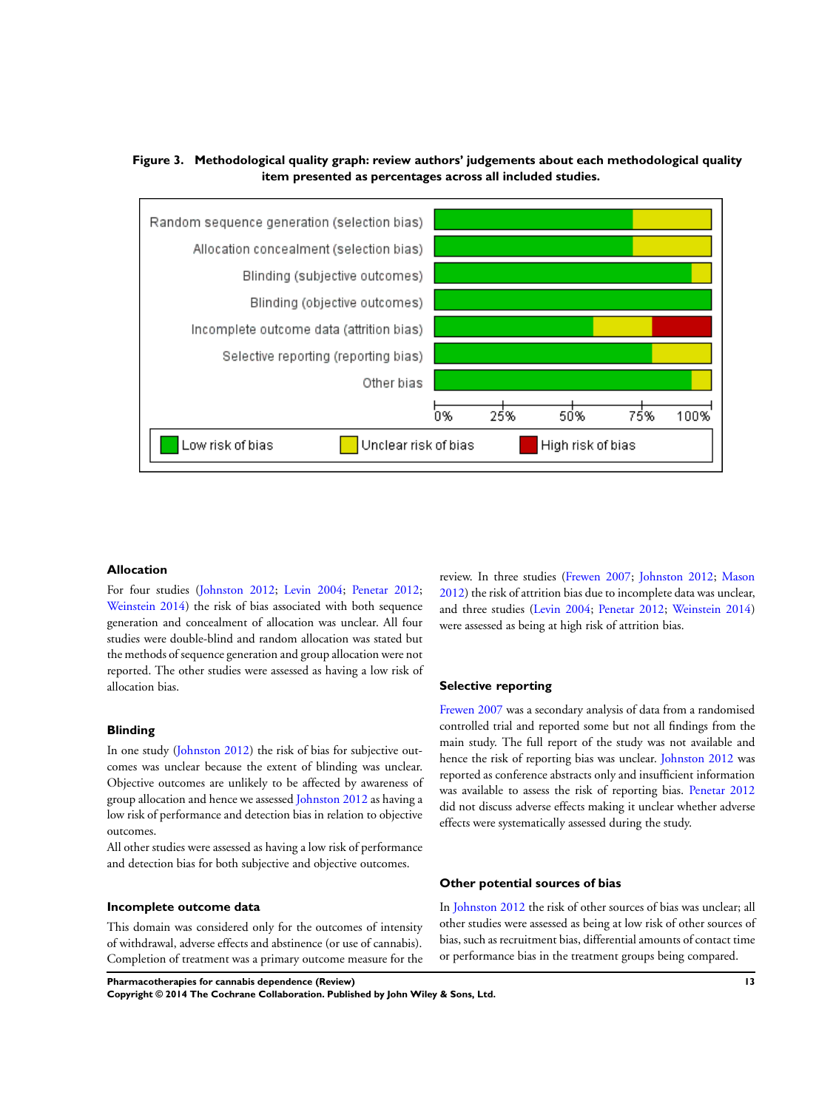<span id="page-14-0"></span>**Figure 3. Methodological quality graph: review authors' judgements about each methodological quality item presented as percentages across all included studies.**



# **Allocation**

For four studies [\(Johnston 2012;](#page-25-0) [Levin 2004](#page-25-0); [Penetar 2012;](#page-25-0) [Weinstein 2014](#page-25-0)) the risk of bias associated with both sequence generation and concealment of allocation was unclear. All four studies were double-blind and random allocation was stated but the methods of sequence generation and group allocation were not reported. The other studies were assessed as having a low risk of allocation bias.

#### **Blinding**

In one study ([Johnston 2012\)](#page-25-0) the risk of bias for subjective outcomes was unclear because the extent of blinding was unclear. Objective outcomes are unlikely to be affected by awareness of group allocation and hence we assessed [Johnston 2012](#page-25-0) as having a low risk of performance and detection bias in relation to objective outcomes.

All other studies were assessed as having a low risk of performance and detection bias for both subjective and objective outcomes.

#### **Incomplete outcome data**

This domain was considered only for the outcomes of intensity of withdrawal, adverse effects and abstinence (or use of cannabis). Completion of treatment was a primary outcome measure for the

**Pharmacotherapies for cannabis dependence (Review) 13**

**Copyright © 2014 The Cochrane Collaboration. Published by John Wiley & Sons, Ltd.**

review. In three studies ([Frewen 2007;](#page-25-0) [Johnston 2012;](#page-25-0) [Mason](#page-25-0) [2012](#page-25-0)) the risk of attrition bias due to incomplete data was unclear, and three studies [\(Levin 2004;](#page-25-0) [Penetar 2012;](#page-25-0) [Weinstein 2014](#page-25-0)) were assessed as being at high risk of attrition bias.

#### **Selective reporting**

[Frewen 2007](#page-25-0) was a secondary analysis of data from a randomised controlled trial and reported some but not all findings from the main study. The full report of the study was not available and hence the risk of reporting bias was unclear. [Johnston 2012](#page-25-0) was reported as conference abstracts only and insufficient information was available to assess the risk of reporting bias. [Penetar 2012](#page-25-0) did not discuss adverse effects making it unclear whether adverse effects were systematically assessed during the study.

#### **Other potential sources of bias**

In [Johnston 2012](#page-25-0) the risk of other sources of bias was unclear; all other studies were assessed as being at low risk of other sources of bias, such as recruitment bias, differential amounts of contact time or performance bias in the treatment groups being compared.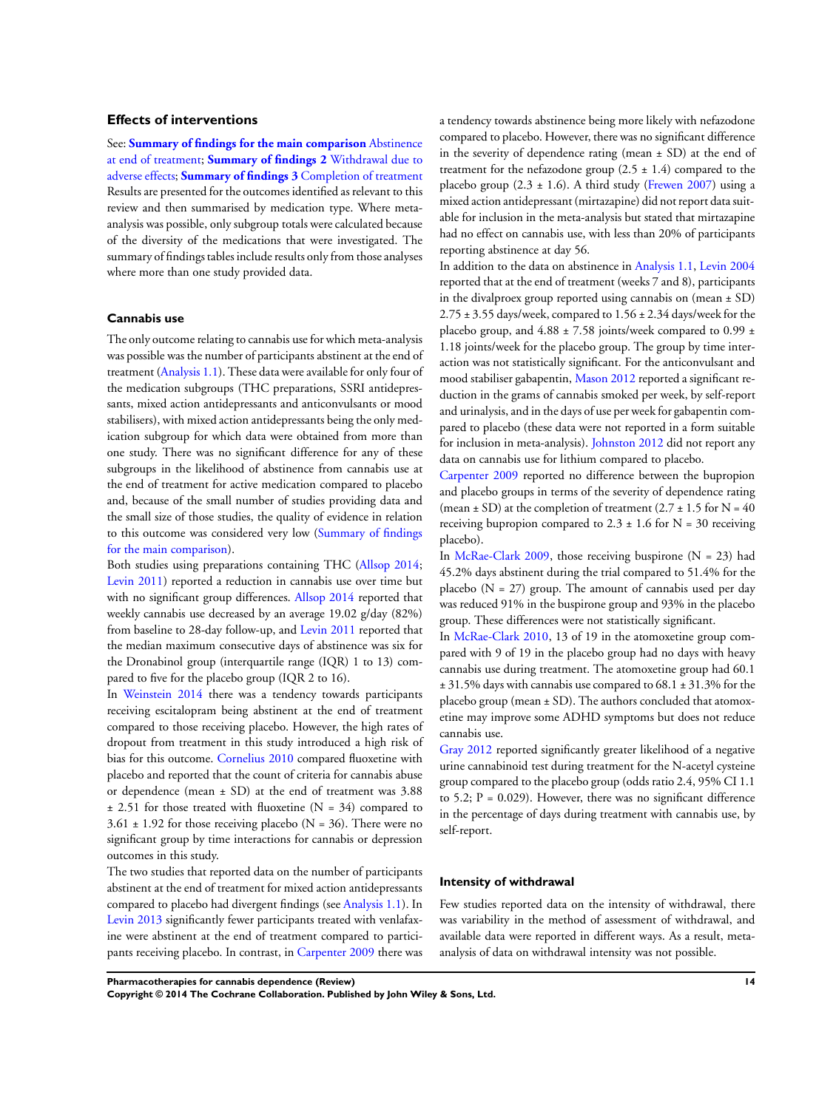## **Effects of interventions**

See: **[Summary of findings for the main comparison](#page-5-0)** [Abstinence](#page-5-0) [at end of treatment](#page-5-0); **[Summary of findings 2](#page-19-0)** [Withdrawal due to](#page-19-0) [adverse effects;](#page-19-0) **[Summary of findings 3](#page-20-0)** [Completion of treatment](#page-20-0) Results are presented for the outcomes identified as relevant to this review and then summarised by medication type. Where metaanalysis was possible, only subgroup totals were calculated because of the diversity of the medications that were investigated. The summary of findings tables include results only from those analyses where more than one study provided data.

#### **Cannabis use**

The only outcome relating to cannabis use for which meta-analysis was possible was the number of participants abstinent at the end of treatment [\(Analysis 1.1\)](#page-54-0). These data were available for only four of the medication subgroups (THC preparations, SSRI antidepressants, mixed action antidepressants and anticonvulsants or mood stabilisers), with mixed action antidepressants being the only medication subgroup for which data were obtained from more than one study. There was no significant difference for any of these subgroups in the likelihood of abstinence from cannabis use at the end of treatment for active medication compared to placebo and, because of the small number of studies providing data and the small size of those studies, the quality of evidence in relation to this outcome was considered very low ([Summary of findings](#page-5-0) [for the main comparison](#page-5-0)).

Both studies using preparations containing THC [\(Allsop 2014;](#page-25-0) [Levin 2011](#page-25-0)) reported a reduction in cannabis use over time but with no significant group differences. [Allsop 2014](#page-25-0) reported that weekly cannabis use decreased by an average 19.02 g/day (82%) from baseline to 28-day follow-up, and [Levin 2011](#page-25-0) reported that the median maximum consecutive days of abstinence was six for the Dronabinol group (interquartile range (IQR) 1 to 13) compared to five for the placebo group (IQR 2 to 16).

In [Weinstein 2014](#page-25-0) there was a tendency towards participants receiving escitalopram being abstinent at the end of treatment compared to those receiving placebo. However, the high rates of dropout from treatment in this study introduced a high risk of bias for this outcome. [Cornelius 2010](#page-25-0) compared fluoxetine with placebo and reported that the count of criteria for cannabis abuse or dependence (mean  $\pm$  SD) at the end of treatment was 3.88 ± 2.51 for those treated with fluoxetine (N = 34) compared to  $3.61 \pm 1.92$  for those receiving placebo (N = 36). There were no significant group by time interactions for cannabis or depression outcomes in this study.

The two studies that reported data on the number of participants abstinent at the end of treatment for mixed action antidepressants compared to placebo had divergent findings (see [Analysis 1.1](#page-54-0)). In [Levin 2013](#page-25-0) significantly fewer participants treated with venlafaxine were abstinent at the end of treatment compared to participants receiving placebo. In contrast, in [Carpenter 2009](#page-25-0) there was

a tendency towards abstinence being more likely with nefazodone compared to placebo. However, there was no significant difference in the severity of dependence rating (mean  $\pm$  SD) at the end of treatment for the nefazodone group  $(2.5 \pm 1.4)$  compared to the placebo group (2.3  $\pm$  1.6). A third study ([Frewen 2007\)](#page-25-0) using a mixed action antidepressant (mirtazapine) did not report data suitable for inclusion in the meta-analysis but stated that mirtazapine had no effect on cannabis use, with less than 20% of participants reporting abstinence at day 56.

In addition to the data on abstinence in [Analysis 1.1](#page-54-0), [Levin 2004](#page-25-0) reported that at the end of treatment (weeks 7 and 8), participants in the divalproex group reported using cannabis on (mean  $\pm$  SD)  $2.75 \pm 3.55$  days/week, compared to  $1.56 \pm 2.34$  days/week for the placebo group, and  $4.88 \pm 7.58$  joints/week compared to 0.99  $\pm$ 1.18 joints/week for the placebo group. The group by time interaction was not statistically significant. For the anticonvulsant and mood stabiliser gabapentin, [Mason 2012](#page-25-0) reported a significant reduction in the grams of cannabis smoked per week, by self-report and urinalysis, and in the days of use per week for gabapentin compared to placebo (these data were not reported in a form suitable for inclusion in meta-analysis). [Johnston 2012](#page-25-0) did not report any data on cannabis use for lithium compared to placebo.

[Carpenter 2009](#page-25-0) reported no difference between the bupropion and placebo groups in terms of the severity of dependence rating (mean  $\pm$  SD) at the completion of treatment (2.7  $\pm$  1.5 for N = 40 receiving bupropion compared to  $2.3 \pm 1.6$  for N = 30 receiving placebo).

In [McRae-Clark 2009,](#page-25-0) those receiving buspirone  $(N = 23)$  had 45.2% days abstinent during the trial compared to 51.4% for the placebo ( $N = 27$ ) group. The amount of cannabis used per day was reduced 91% in the buspirone group and 93% in the placebo group. These differences were not statistically significant.

In [McRae-Clark 2010,](#page-25-0) 13 of 19 in the atomoxetine group compared with 9 of 19 in the placebo group had no days with heavy cannabis use during treatment. The atomoxetine group had 60.1 ± 31.5% days with cannabis use compared to 68.1 ± 31.3% for the placebo group (mean ± SD). The authors concluded that atomoxetine may improve some ADHD symptoms but does not reduce cannabis use.

[Gray 2012](#page-25-0) reported significantly greater likelihood of a negative urine cannabinoid test during treatment for the N-acetyl cysteine group compared to the placebo group (odds ratio 2.4, 95% CI 1.1 to 5.2;  $P = 0.029$ ). However, there was no significant difference in the percentage of days during treatment with cannabis use, by self-report.

#### **Intensity of withdrawal**

Few studies reported data on the intensity of withdrawal, there was variability in the method of assessment of withdrawal, and available data were reported in different ways. As a result, metaanalysis of data on withdrawal intensity was not possible.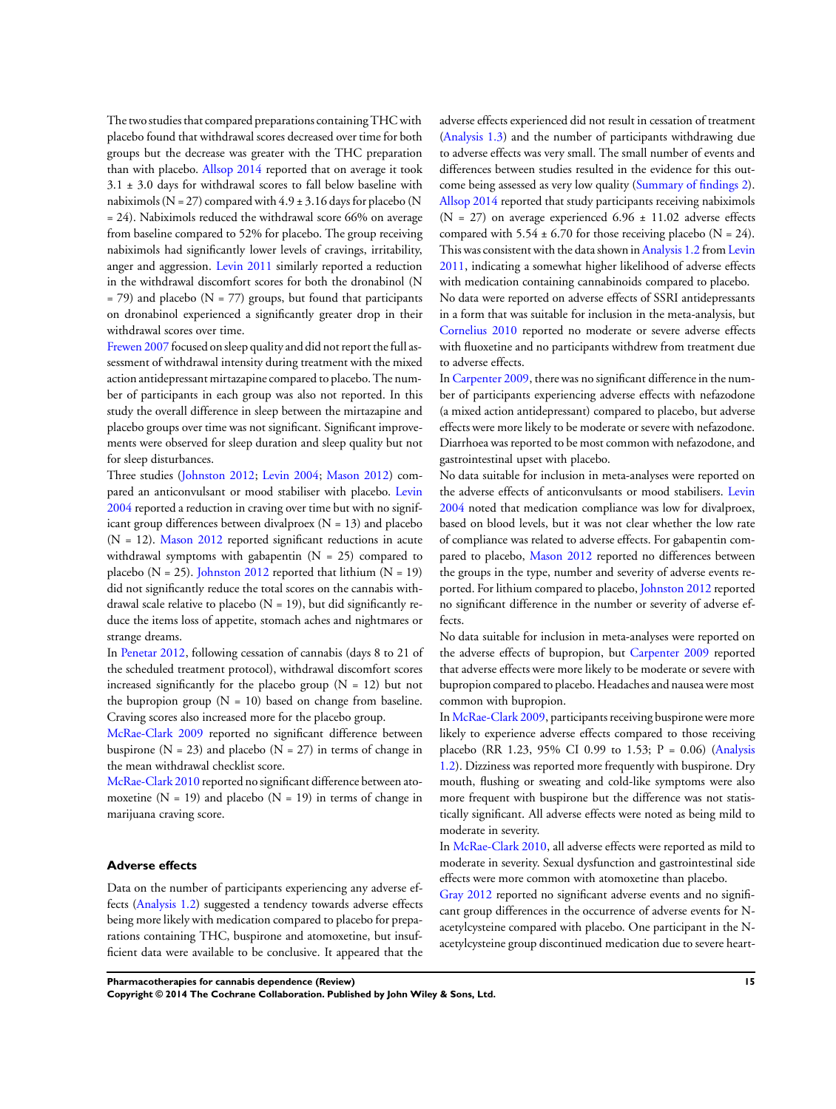The two studies that compared preparations containing THC with placebo found that withdrawal scores decreased over time for both groups but the decrease was greater with the THC preparation than with placebo. [Allsop 2014](#page-25-0) reported that on average it took  $3.1 \pm 3.0$  days for withdrawal scores to fall below baseline with nabiximols ( $N = 27$ ) compared with  $4.9 \pm 3.16$  days for placebo (N  $= 24$ ). Nabiximols reduced the withdrawal score 66% on average from baseline compared to 52% for placebo. The group receiving nabiximols had significantly lower levels of cravings, irritability, anger and aggression. [Levin 2011](#page-25-0) similarly reported a reduction in the withdrawal discomfort scores for both the dronabinol (N  $=$  79) and placebo (N  $=$  77) groups, but found that participants on dronabinol experienced a significantly greater drop in their withdrawal scores over time.

[Frewen 2007](#page-25-0) focused on sleep quality and did not report the full assessment of withdrawal intensity during treatment with the mixed action antidepressant mirtazapine compared to placebo. The number of participants in each group was also not reported. In this study the overall difference in sleep between the mirtazapine and placebo groups over time was not significant. Significant improvements were observed for sleep duration and sleep quality but not for sleep disturbances.

Three studies [\(Johnston 2012;](#page-25-0) [Levin 2004](#page-25-0); [Mason 2012](#page-25-0)) compared an anticonvulsant or mood stabiliser with placebo. [Levin](#page-25-0) [2004](#page-25-0) reported a reduction in craving over time but with no significant group differences between divalproex  $(N = 13)$  and placebo (N = 12). [Mason 2012](#page-25-0) reported significant reductions in acute withdrawal symptoms with gabapentin  $(N = 25)$  compared to placebo ( $N = 25$ ). [Johnston 2012](#page-25-0) reported that lithium ( $N = 19$ ) did not significantly reduce the total scores on the cannabis withdrawal scale relative to placebo ( $N = 19$ ), but did significantly reduce the items loss of appetite, stomach aches and nightmares or strange dreams.

In [Penetar 2012](#page-25-0), following cessation of cannabis (days 8 to 21 of the scheduled treatment protocol), withdrawal discomfort scores increased significantly for the placebo group  $(N = 12)$  but not the bupropion group  $(N = 10)$  based on change from baseline. Craving scores also increased more for the placebo group.

[McRae-Clark 2009](#page-25-0) reported no significant difference between buspirone ( $N = 23$ ) and placebo ( $N = 27$ ) in terms of change in the mean withdrawal checklist score.

[McRae-Clark 2010](#page-25-0) reported no significant difference between atomoxetine  $(N = 19)$  and placebo  $(N = 19)$  in terms of change in marijuana craving score.

# **Adverse effects**

Data on the number of participants experiencing any adverse effects [\(Analysis 1.2\)](#page-55-0) suggested a tendency towards adverse effects being more likely with medication compared to placebo for preparations containing THC, buspirone and atomoxetine, but insufficient data were available to be conclusive. It appeared that the

adverse effects experienced did not result in cessation of treatment [\(Analysis 1.3\)](#page-57-0) and the number of participants withdrawing due to adverse effects was very small. The small number of events and differences between studies resulted in the evidence for this outcome being assessed as very low quality [\(Summary of findings 2](#page-19-0)). [Allsop 2014](#page-25-0) reported that study participants receiving nabiximols (N = 27) on average experienced  $6.96 \pm 11.02$  adverse effects compared with 5.54  $\pm$  6.70 for those receiving placebo (N = 24). This was consistent with the data shown in [Analysis 1.2](#page-55-0) from [Levin](#page-25-0) [2011](#page-25-0), indicating a somewhat higher likelihood of adverse effects with medication containing cannabinoids compared to placebo. No data were reported on adverse effects of SSRI antidepressants in a form that was suitable for inclusion in the meta-analysis, but [Cornelius 2010](#page-25-0) reported no moderate or severe adverse effects with fluoxetine and no participants withdrew from treatment due to adverse effects.

In [Carpenter 2009](#page-25-0), there was no significant difference in the number of participants experiencing adverse effects with nefazodone (a mixed action antidepressant) compared to placebo, but adverse effects were more likely to be moderate or severe with nefazodone. Diarrhoea was reported to be most common with nefazodone, and gastrointestinal upset with placebo.

No data suitable for inclusion in meta-analyses were reported on the adverse effects of anticonvulsants or mood stabilisers. [Levin](#page-25-0) [2004](#page-25-0) noted that medication compliance was low for divalproex, based on blood levels, but it was not clear whether the low rate of compliance was related to adverse effects. For gabapentin compared to placebo, [Mason 2012](#page-25-0) reported no differences between the groups in the type, number and severity of adverse events reported. For lithium compared to placebo, [Johnston 2012](#page-25-0) reported no significant difference in the number or severity of adverse effects.

No data suitable for inclusion in meta-analyses were reported on the adverse effects of bupropion, but [Carpenter 2009](#page-25-0) reported that adverse effects were more likely to be moderate or severe with bupropion compared to placebo. Headaches and nausea were most common with bupropion.

In [McRae-Clark 2009,](#page-25-0) participants receiving buspirone were more likely to experience adverse effects compared to those receiving placebo (RR 1.23, 95% CI 0.99 to 1.53; P = 0.06) ([Analysis](#page-55-0) [1.2](#page-55-0)). Dizziness was reported more frequently with buspirone. Dry mouth, flushing or sweating and cold-like symptoms were also more frequent with buspirone but the difference was not statistically significant. All adverse effects were noted as being mild to moderate in severity.

In [McRae-Clark 2010,](#page-25-0) all adverse effects were reported as mild to moderate in severity. Sexual dysfunction and gastrointestinal side effects were more common with atomoxetine than placebo.

[Gray 2012](#page-25-0) reported no significant adverse events and no significant group differences in the occurrence of adverse events for Nacetylcysteine compared with placebo. One participant in the Nacetylcysteine group discontinued medication due to severe heart-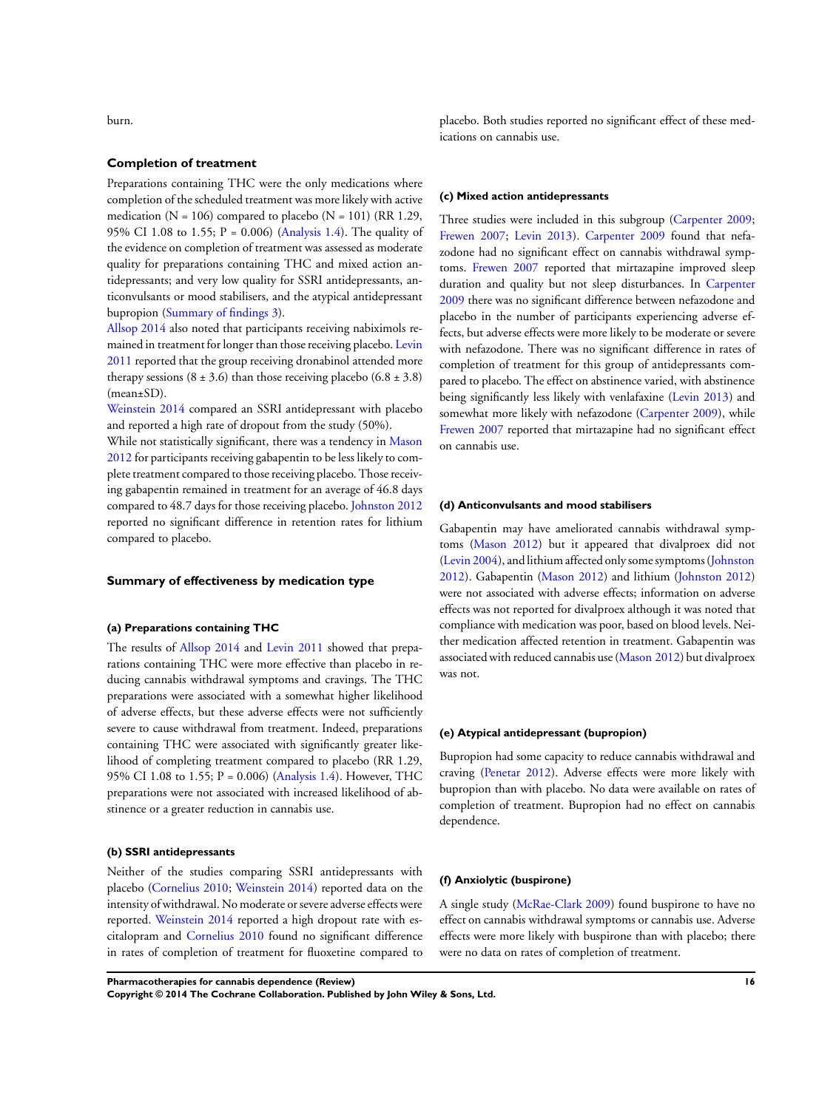burn.

#### **Completion of treatment**

Preparations containing THC were the only medications where completion of the scheduled treatment was more likely with active medication ( $N = 106$ ) compared to placebo ( $N = 101$ ) ( $RR 1.29$ , 95% CI 1.08 to 1.55; P = 0.006) ([Analysis 1.4\)](#page-57-0). The quality of the evidence on completion of treatment was assessed as moderate quality for preparations containing THC and mixed action antidepressants; and very low quality for SSRI antidepressants, anticonvulsants or mood stabilisers, and the atypical antidepressant bupropion [\(Summary of findings 3](#page-20-0)).

[Allsop 2014](#page-25-0) also noted that participants receiving nabiximols remained in treatment for longer than those receiving placebo. [Levin](#page-25-0) [2011](#page-25-0) reported that the group receiving dronabinol attended more therapy sessions  $(8 \pm 3.6)$  than those receiving placebo  $(6.8 \pm 3.8)$ (mean±SD).

[Weinstein 2014](#page-25-0) compared an SSRI antidepressant with placebo and reported a high rate of dropout from the study (50%).

While not statistically significant, there was a tendency in [Mason](#page-25-0) [2012](#page-25-0) for participants receiving gabapentin to be less likely to complete treatment compared to those receiving placebo. Those receiving gabapentin remained in treatment for an average of 46.8 days compared to 48.7 days for those receiving placebo. [Johnston 2012](#page-25-0) reported no significant difference in retention rates for lithium compared to placebo.

#### **Summary of effectiveness by medication type**

#### **(a) Preparations containing THC**

The results of [Allsop 2014](#page-25-0) and [Levin 2011](#page-25-0) showed that preparations containing THC were more effective than placebo in reducing cannabis withdrawal symptoms and cravings. The THC preparations were associated with a somewhat higher likelihood of adverse effects, but these adverse effects were not sufficiently severe to cause withdrawal from treatment. Indeed, preparations containing THC were associated with significantly greater likelihood of completing treatment compared to placebo (RR 1.29, 95% CI 1.08 to 1.55; P = 0.006) [\(Analysis 1.4](#page-57-0)). However, THC preparations were not associated with increased likelihood of abstinence or a greater reduction in cannabis use.

#### **(b) SSRI antidepressants**

Neither of the studies comparing SSRI antidepressants with placebo [\(Cornelius 2010;](#page-25-0) [Weinstein 2014](#page-25-0)) reported data on the intensity of withdrawal. No moderate or severe adverse effects were reported. [Weinstein 2014](#page-25-0) reported a high dropout rate with escitalopram and [Cornelius 2010](#page-25-0) found no significant difference in rates of completion of treatment for fluoxetine compared to

placebo. Both studies reported no significant effect of these medications on cannabis use.

#### **(c) Mixed action antidepressants**

Three studies were included in this subgroup ([Carpenter 2009;](#page-25-0) [Frewen 2007](#page-25-0); [Levin 2013](#page-25-0)). [Carpenter 2009](#page-25-0) found that nefazodone had no significant effect on cannabis withdrawal symptoms. [Frewen 2007](#page-25-0) reported that mirtazapine improved sleep duration and quality but not sleep disturbances. In [Carpenter](#page-25-0) [2009](#page-25-0) there was no significant difference between nefazodone and placebo in the number of participants experiencing adverse effects, but adverse effects were more likely to be moderate or severe with nefazodone. There was no significant difference in rates of completion of treatment for this group of antidepressants compared to placebo. The effect on abstinence varied, with abstinence being significantly less likely with venlafaxine [\(Levin 2013](#page-25-0)) and somewhat more likely with nefazodone [\(Carpenter 2009\)](#page-25-0), while [Frewen 2007](#page-25-0) reported that mirtazapine had no significant effect on cannabis use.

#### **(d) Anticonvulsants and mood stabilisers**

Gabapentin may have ameliorated cannabis withdrawal symptoms ([Mason 2012\)](#page-25-0) but it appeared that divalproex did not [\(Levin 2004\)](#page-25-0), and lithium affected only some symptoms ([Johnston](#page-25-0) [2012](#page-25-0)). Gabapentin ([Mason 2012](#page-25-0)) and lithium [\(Johnston 2012](#page-25-0)) were not associated with adverse effects; information on adverse effects was not reported for divalproex although it was noted that compliance with medication was poor, based on blood levels. Neither medication affected retention in treatment. Gabapentin was associated with reduced cannabis use [\(Mason 2012\)](#page-25-0) but divalproex was not.

### **(e) Atypical antidepressant (bupropion)**

Bupropion had some capacity to reduce cannabis withdrawal and craving [\(Penetar 2012\)](#page-25-0). Adverse effects were more likely with bupropion than with placebo. No data were available on rates of completion of treatment. Bupropion had no effect on cannabis dependence.

### **(f) Anxiolytic (buspirone)**

A single study ([McRae-Clark 2009](#page-25-0)) found buspirone to have no effect on cannabis withdrawal symptoms or cannabis use. Adverse effects were more likely with buspirone than with placebo; there were no data on rates of completion of treatment.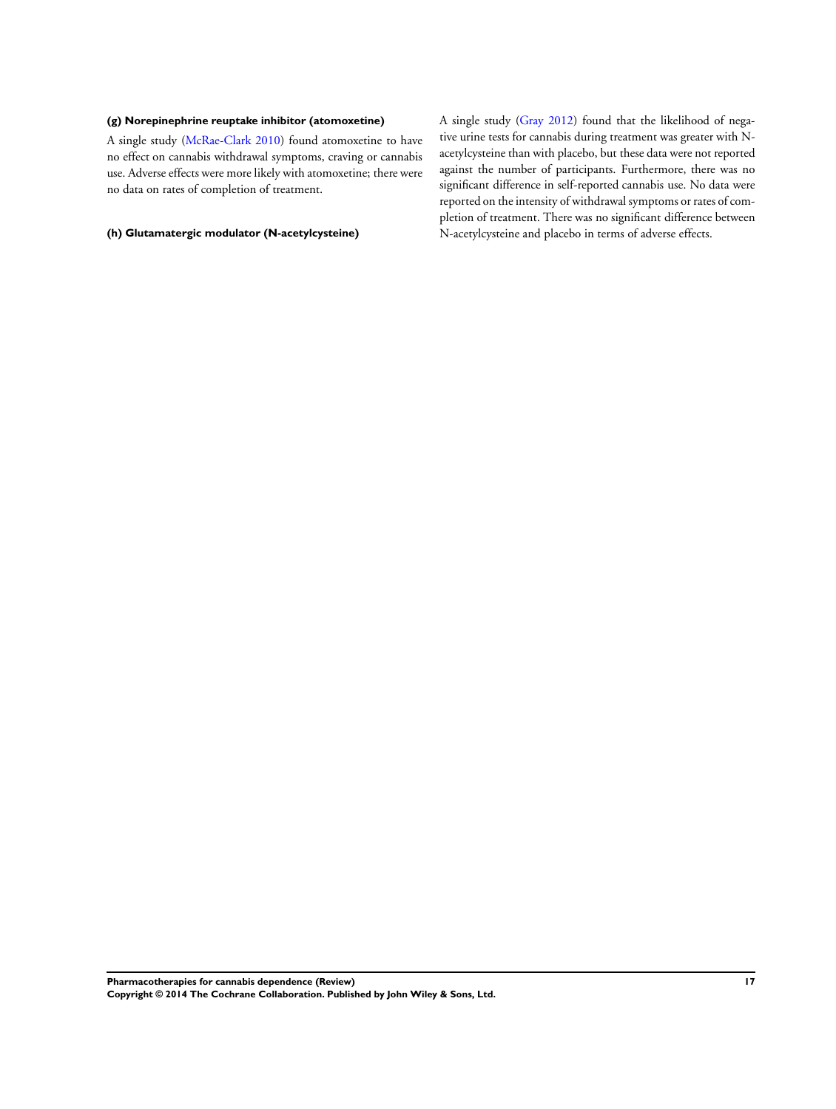# **(g) Norepinephrine reuptake inhibitor (atomoxetine)**

A single study [\(McRae-Clark 2010\)](#page-25-0) found atomoxetine to have no effect on cannabis withdrawal symptoms, craving or cannabis use. Adverse effects were more likely with atomoxetine; there were no data on rates of completion of treatment.

#### **(h) Glutamatergic modulator (N-acetylcysteine)**

A single study [\(Gray 2012\)](#page-25-0) found that the likelihood of negative urine tests for cannabis during treatment was greater with Nacetylcysteine than with placebo, but these data were not reported against the number of participants. Furthermore, there was no significant difference in self-reported cannabis use. No data were reported on the intensity of withdrawal symptoms or rates of completion of treatment. There was no significant difference between N-acetylcysteine and placebo in terms of adverse effects.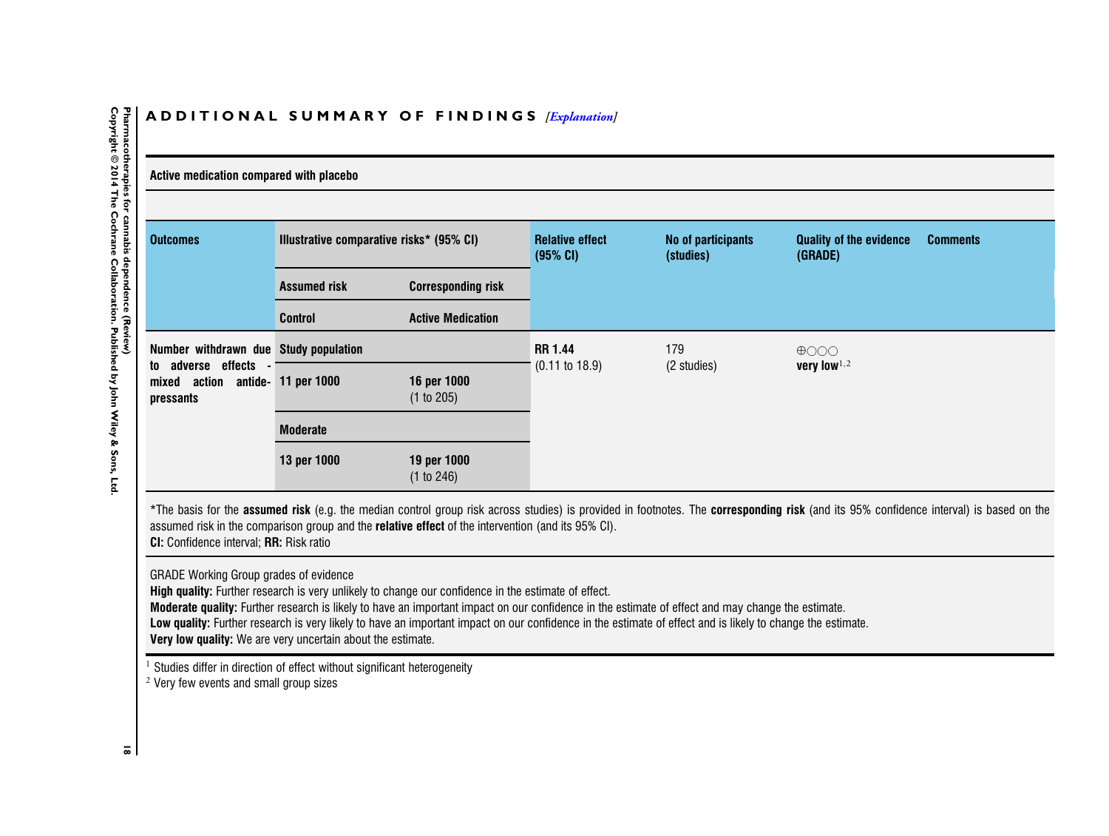# <span id="page-19-0"></span>ADDITIONAL SUMMARY OF FINDINGS *[\[Explanation\]](http://www.thecochranelibrary.com/view/0/SummaryFindings.html)*

| Active medication compared with placebo                               |                                                        |                           |                                    |                                 |                                           |                 |
|-----------------------------------------------------------------------|--------------------------------------------------------|---------------------------|------------------------------------|---------------------------------|-------------------------------------------|-----------------|
|                                                                       |                                                        |                           |                                    |                                 |                                           |                 |
| <b>Outcomes</b>                                                       | Illustrative comparative risks* (95% CI)               |                           | <b>Relative effect</b><br>(95% CI) | No of participants<br>(studies) | <b>Quality of the evidence</b><br>(GRADE) | <b>Comments</b> |
|                                                                       | <b>Assumed risk</b>                                    | <b>Corresponding risk</b> |                                    |                                 |                                           |                 |
|                                                                       | <b>Control</b>                                         | <b>Active Medication</b>  |                                    |                                 |                                           |                 |
| Number withdrawn due Study population                                 |                                                        |                           | <b>RR 1.44</b>                     | 179<br>(2 studies)              | $\bigoplus$ OOO<br>very $low1,2$          |                 |
| to adverse effects -<br>mixed action antide- 11 per 1000<br>pressants | $(0.11 \text{ to } 18.9)$<br>16 per 1000<br>(1 to 205) |                           |                                    |                                 |                                           |                 |
|                                                                       | <b>Moderate</b>                                        |                           |                                    |                                 |                                           |                 |
|                                                                       | 13 per 1000                                            | 19 per 1000<br>(1 to 246) |                                    |                                 |                                           |                 |

\*The basis for the **assumed risk** (e.g. the median control group risk across studies) is provided in footnotes. The **corresponding risk** (and its 95% confidence interval) is based on the assumed risk in the comparison group and the **relative effect** of the intervention (and its 95% CI). **CI:** Confidence interval; **RR:** Risk ratio

GRADE Working Group grades of evidence

**High quality:** Further research is very unlikely to change our confidence in the estimate of effect.

**Moderate quality:** Further research is likely to have an important impact on our confidence in the estimate of effect and may change the estimate.

Low **quality:** Further research is very likely to have an important impact on our confidence in the estimate of effect and is likely to change the estimate.

**Very low quality:** We are very uncertain about the estimate.

 $1$  Studies differ in direction of effect without significant heterogeneity

 $2$  Very few events and small group sizes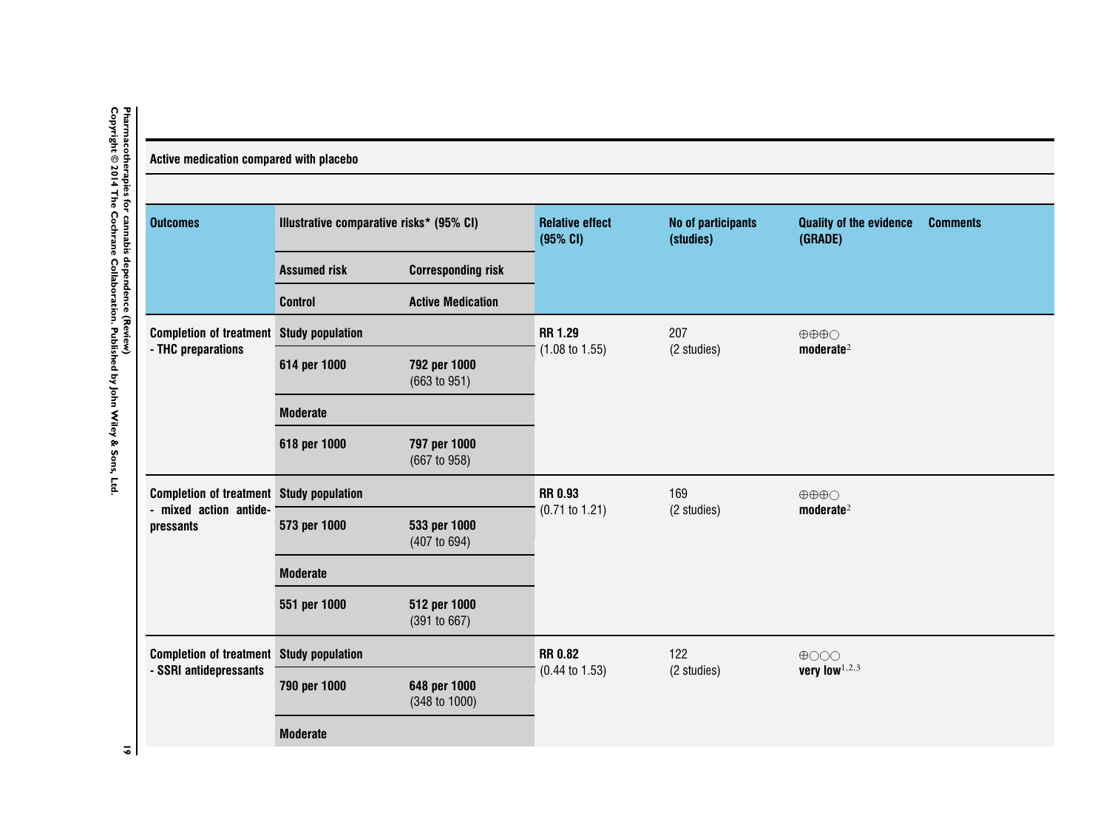| Active medication compared with placebo         |                                          |                               |                                    |                                 |                                           |                 |
|-------------------------------------------------|------------------------------------------|-------------------------------|------------------------------------|---------------------------------|-------------------------------------------|-----------------|
| <b>Outcomes</b>                                 | Illustrative comparative risks* (95% CI) |                               | <b>Relative effect</b><br>(95% CI) | No of participants<br>(studies) | <b>Quality of the evidence</b><br>(GRADE) | <b>Comments</b> |
|                                                 | <b>Assumed risk</b>                      | <b>Corresponding risk</b>     |                                    |                                 |                                           |                 |
|                                                 | <b>Control</b>                           | <b>Active Medication</b>      |                                    |                                 |                                           |                 |
| <b>Completion of treatment</b>                  | <b>Study population</b>                  |                               | <b>RR 1.29</b>                     | 207                             | $\oplus \oplus \oplus \bigcirc$           |                 |
| - THC preparations                              | 614 per 1000                             | 792 per 1000<br>(663 to 951)  | $(1.08 \text{ to } 1.55)$          | (2 studies)                     | moderate <sup>2</sup>                     |                 |
|                                                 | <b>Moderate</b>                          |                               |                                    |                                 |                                           |                 |
|                                                 | 618 per 1000                             | 797 per 1000<br>(667 to 958)  |                                    |                                 |                                           |                 |
| <b>Completion of treatment Study population</b> |                                          |                               | <b>RR 0.93</b>                     | 169                             | $\oplus \oplus \oplus \bigcirc$           |                 |
| - mixed action antide-<br>pressants             | 573 per 1000                             | 533 per 1000<br>(407 to 694)  | $(0.71 \text{ to } 1.21)$          | (2 studies)                     | moderate <sup>2</sup>                     |                 |
|                                                 | <b>Moderate</b>                          |                               |                                    |                                 |                                           |                 |
|                                                 | 551 per 1000                             | 512 per 1000<br>(391 to 667)  |                                    |                                 |                                           |                 |
| <b>Completion of treatment Study population</b> |                                          |                               | <b>RR 0.82</b>                     | 122                             | $\bigoplus$ 000                           |                 |
| - SSRI antidepressants                          | 790 per 1000                             | 648 per 1000<br>(348 to 1000) | $(0.44 \text{ to } 1.53)$          | (2 studies)                     | very $low1,2,3$                           |                 |
|                                                 | <b>Moderate</b>                          |                               |                                    |                                 |                                           |                 |

<span id="page-20-0"></span>Pharmacotherapies for cannabis dependence (Review)<br>Copyright © 2014 The Cochrane Collaboration. Published by John Wiley & Sons, Ltd. **Copyright © 2014 The Cochrane Collaboration. Published by J ohn Wiley & Sons, Ltd.**

**19**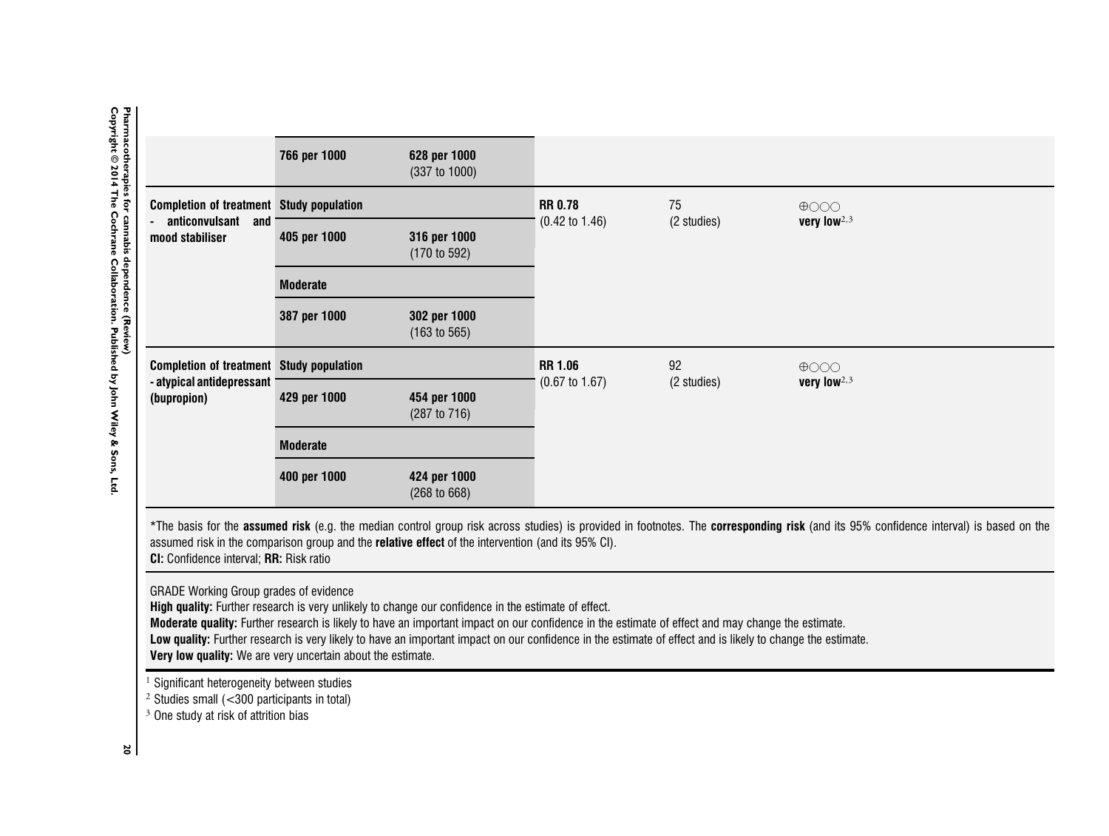|                                                                                             | 766 per 1000    | 628 per 1000<br>$(337 \text{ to } 1000)$ |                           |             |                                   |  |
|---------------------------------------------------------------------------------------------|-----------------|------------------------------------------|---------------------------|-------------|-----------------------------------|--|
| <b>Completion of treatment Study population</b><br>anticonvulsant<br>and<br>mood stabiliser |                 |                                          | <b>RR 0.78</b>            | 75          | $\bigoplus$ $\bigcirc$ $\bigcirc$ |  |
|                                                                                             | 405 per 1000    | 316 per 1000<br>$(170 \text{ to } 592)$  | $(0.42 \text{ to } 1.46)$ | (2 studies) | very low $^{2,3}$                 |  |
|                                                                                             | <b>Moderate</b> |                                          |                           |             |                                   |  |
|                                                                                             | 387 per 1000    | 302 per 1000<br>$(163 \text{ to } 565)$  |                           |             |                                   |  |
| <b>Completion of treatment Study population</b>                                             |                 |                                          | <b>RR 1.06</b>            | 92          | $\bigoplus$ $\bigcirc$ $\bigcirc$ |  |
| - atypical antidepressant<br>(bupropion)                                                    | 429 per 1000    | 454 per 1000<br>$(287 \text{ to } 716)$  | $(0.67 \text{ to } 1.67)$ | (2 studies) | very low $^{2,3}$                 |  |
|                                                                                             | <b>Moderate</b> |                                          |                           |             |                                   |  |
|                                                                                             | 400 per 1000    | 424 per 1000<br>$(268 \text{ to } 668)$  |                           |             |                                   |  |

GRADE Working Group grades of evidence

**High quality:** Further research is very unlikely to change our confidence in the estimate of effect.

**Moderate quality:** Further research is likely to have an important impact on our confidence in the estimate of effect and may change the estimate.

Low quality: Further research is very likely to have an important impact on our confidence in the estimate of effect and is likely to change the estimate. **Very low quality:** We are very uncertain about the estimate.

 $1$  Significant heterogeneity between studies

 $2$  Studies small (<300 participants in total)

 $3$  One study at risk of attrition bias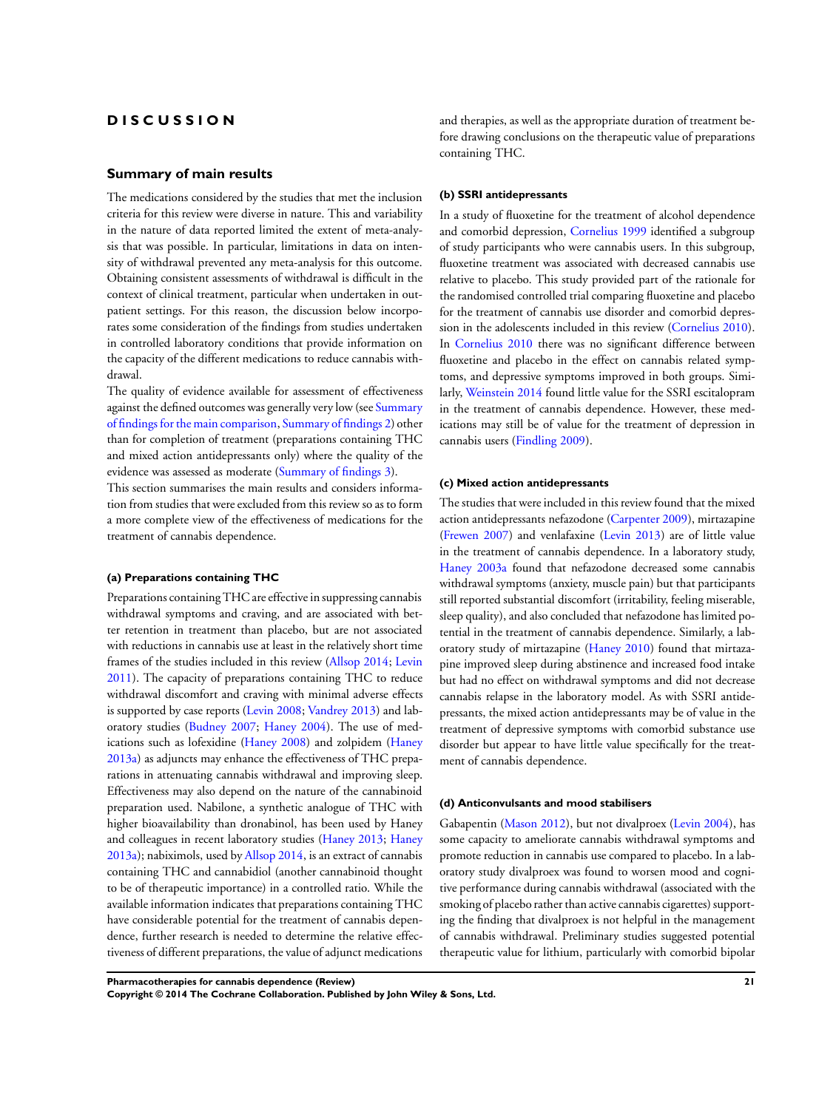# **D I S C U S S I O N**

#### **Summary of main results**

The medications considered by the studies that met the inclusion criteria for this review were diverse in nature. This and variability in the nature of data reported limited the extent of meta-analysis that was possible. In particular, limitations in data on intensity of withdrawal prevented any meta-analysis for this outcome. Obtaining consistent assessments of withdrawal is difficult in the context of clinical treatment, particular when undertaken in outpatient settings. For this reason, the discussion below incorporates some consideration of the findings from studies undertaken in controlled laboratory conditions that provide information on the capacity of the different medications to reduce cannabis withdrawal.

The quality of evidence available for assessment of effectiveness against the defined outcomes was generally very low (see [Summary](#page-5-0) [of findings for the main comparison,](#page-5-0) [Summary of findings 2\)](#page-19-0) other than for completion of treatment (preparations containing THC and mixed action antidepressants only) where the quality of the evidence was assessed as moderate ([Summary of findings 3\)](#page-20-0).

This section summarises the main results and considers information from studies that were excluded from this review so as to form a more complete view of the effectiveness of medications for the treatment of cannabis dependence.

#### **(a) Preparations containing THC**

Preparations containing THC are effective in suppressing cannabis withdrawal symptoms and craving, and are associated with better retention in treatment than placebo, but are not associated with reductions in cannabis use at least in the relatively short time frames of the studies included in this review ([Allsop 2014](#page-25-0); [Levin](#page-25-0) [2011](#page-25-0)). The capacity of preparations containing THC to reduce withdrawal discomfort and craving with minimal adverse effects is supported by case reports ([Levin 2008](#page-25-0); [Vandrey 2013](#page-25-0)) and laboratory studies ([Budney 2007;](#page-25-0) [Haney 2004\)](#page-25-0). The use of medications such as lofexidine [\(Haney 2008](#page-25-0)) and zolpidem [\(Haney](#page-25-0) [2013a\)](#page-25-0) as adjuncts may enhance the effectiveness of THC preparations in attenuating cannabis withdrawal and improving sleep. Effectiveness may also depend on the nature of the cannabinoid preparation used. Nabilone, a synthetic analogue of THC with higher bioavailability than dronabinol, has been used by Haney and colleagues in recent laboratory studies ([Haney 2013](#page-25-0); [Haney](#page-25-0) [2013a\)](#page-25-0); nabiximols, used by [Allsop 2014](#page-25-0), is an extract of cannabis containing THC and cannabidiol (another cannabinoid thought to be of therapeutic importance) in a controlled ratio. While the available information indicates that preparations containing THC have considerable potential for the treatment of cannabis dependence, further research is needed to determine the relative effectiveness of different preparations, the value of adjunct medications

and therapies, as well as the appropriate duration of treatment before drawing conclusions on the therapeutic value of preparations containing THC.

#### **(b) SSRI antidepressants**

In a study of fluoxetine for the treatment of alcohol dependence and comorbid depression, [Cornelius 1999](#page-25-0) identified a subgroup of study participants who were cannabis users. In this subgroup, fluoxetine treatment was associated with decreased cannabis use relative to placebo. This study provided part of the rationale for the randomised controlled trial comparing fluoxetine and placebo for the treatment of cannabis use disorder and comorbid depression in the adolescents included in this review ([Cornelius 2010](#page-25-0)). In [Cornelius 2010](#page-25-0) there was no significant difference between fluoxetine and placebo in the effect on cannabis related symptoms, and depressive symptoms improved in both groups. Similarly, [Weinstein 2014](#page-25-0) found little value for the SSRI escitalopram in the treatment of cannabis dependence. However, these medications may still be of value for the treatment of depression in cannabis users ([Findling 2009](#page-25-0)).

#### **(c) Mixed action antidepressants**

The studies that were included in this review found that the mixed action antidepressants nefazodone [\(Carpenter 2009](#page-25-0)), mirtazapine [\(Frewen 2007\)](#page-25-0) and venlafaxine [\(Levin 2013](#page-25-0)) are of little value in the treatment of cannabis dependence. In a laboratory study, [Haney 2003a](#page-25-0) found that nefazodone decreased some cannabis withdrawal symptoms (anxiety, muscle pain) but that participants still reported substantial discomfort (irritability, feeling miserable, sleep quality), and also concluded that nefazodone has limited potential in the treatment of cannabis dependence. Similarly, a laboratory study of mirtazapine ([Haney 2010](#page-25-0)) found that mirtazapine improved sleep during abstinence and increased food intake but had no effect on withdrawal symptoms and did not decrease cannabis relapse in the laboratory model. As with SSRI antidepressants, the mixed action antidepressants may be of value in the treatment of depressive symptoms with comorbid substance use disorder but appear to have little value specifically for the treatment of cannabis dependence.

#### **(d) Anticonvulsants and mood stabilisers**

Gabapentin [\(Mason 2012](#page-25-0)), but not divalproex ([Levin 2004\)](#page-25-0), has some capacity to ameliorate cannabis withdrawal symptoms and promote reduction in cannabis use compared to placebo. In a laboratory study divalproex was found to worsen mood and cognitive performance during cannabis withdrawal (associated with the smoking of placebo rather than active cannabis cigarettes) supporting the finding that divalproex is not helpful in the management of cannabis withdrawal. Preliminary studies suggested potential therapeutic value for lithium, particularly with comorbid bipolar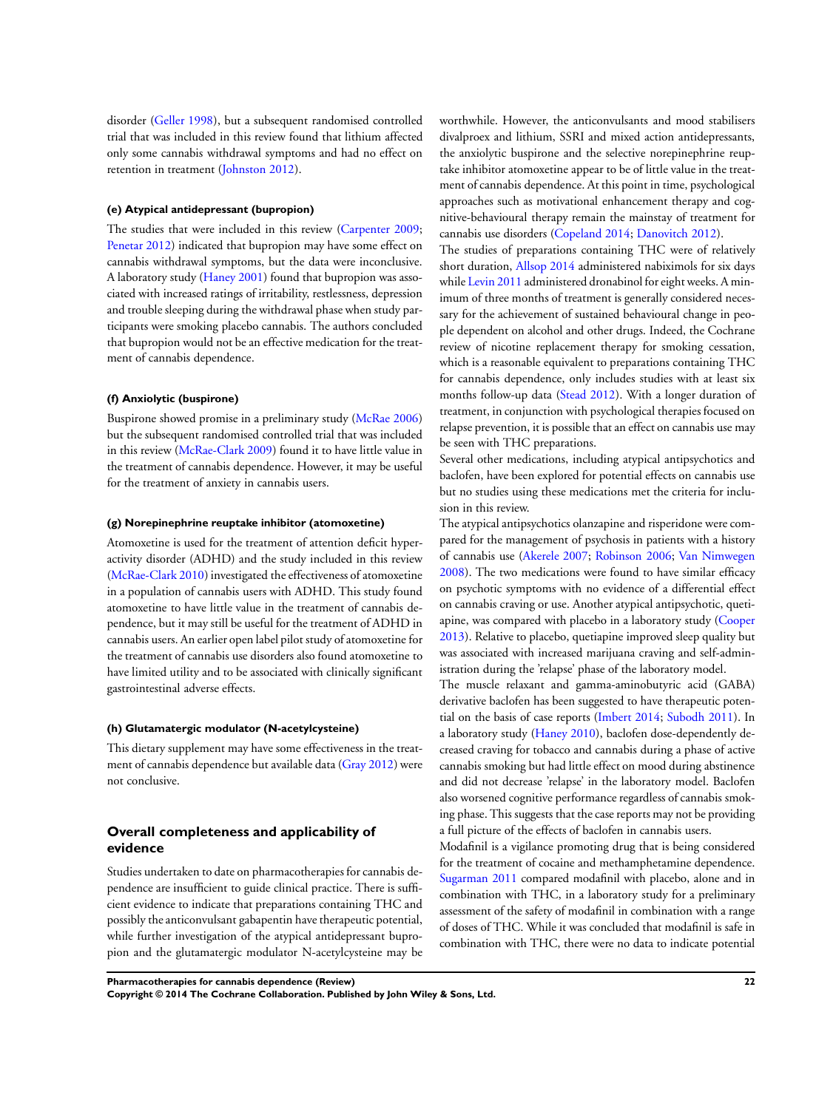disorder [\(Geller 1998](#page-25-0)), but a subsequent randomised controlled trial that was included in this review found that lithium affected only some cannabis withdrawal symptoms and had no effect on retention in treatment [\(Johnston 2012\)](#page-25-0).

#### **(e) Atypical antidepressant (bupropion)**

The studies that were included in this review ([Carpenter 2009;](#page-25-0) [Penetar 2012](#page-25-0)) indicated that bupropion may have some effect on cannabis withdrawal symptoms, but the data were inconclusive. A laboratory study ([Haney 2001\)](#page-25-0) found that bupropion was associated with increased ratings of irritability, restlessness, depression and trouble sleeping during the withdrawal phase when study participants were smoking placebo cannabis. The authors concluded that bupropion would not be an effective medication for the treatment of cannabis dependence.

#### **(f) Anxiolytic (buspirone)**

Buspirone showed promise in a preliminary study [\(McRae 2006](#page-25-0)) but the subsequent randomised controlled trial that was included in this review [\(McRae-Clark 2009](#page-25-0)) found it to have little value in the treatment of cannabis dependence. However, it may be useful for the treatment of anxiety in cannabis users.

#### **(g) Norepinephrine reuptake inhibitor (atomoxetine)**

Atomoxetine is used for the treatment of attention deficit hyperactivity disorder (ADHD) and the study included in this review [\(McRae-Clark 2010\)](#page-25-0) investigated the effectiveness of atomoxetine in a population of cannabis users with ADHD. This study found atomoxetine to have little value in the treatment of cannabis dependence, but it may still be useful for the treatment of ADHD in cannabis users. An earlier open label pilot study of atomoxetine for the treatment of cannabis use disorders also found atomoxetine to have limited utility and to be associated with clinically significant gastrointestinal adverse effects.

#### **(h) Glutamatergic modulator (N-acetylcysteine)**

This dietary supplement may have some effectiveness in the treatment of cannabis dependence but available data ([Gray 2012\)](#page-25-0) were not conclusive.

# **Overall completeness and applicability of evidence**

Studies undertaken to date on pharmacotherapies for cannabis dependence are insufficient to guide clinical practice. There is sufficient evidence to indicate that preparations containing THC and possibly the anticonvulsant gabapentin have therapeutic potential, while further investigation of the atypical antidepressant bupropion and the glutamatergic modulator N-acetylcysteine may be worthwhile. However, the anticonvulsants and mood stabilisers divalproex and lithium, SSRI and mixed action antidepressants, the anxiolytic buspirone and the selective norepinephrine reuptake inhibitor atomoxetine appear to be of little value in the treatment of cannabis dependence. At this point in time, psychological approaches such as motivational enhancement therapy and cognitive-behavioural therapy remain the mainstay of treatment for cannabis use disorders [\(Copeland 2014](#page-25-0); [Danovitch 2012\)](#page-25-0).

The studies of preparations containing THC were of relatively short duration, [Allsop 2014](#page-25-0) administered nabiximols for six days while [Levin 2011](#page-25-0) administered dronabinol for eight weeks. A minimum of three months of treatment is generally considered necessary for the achievement of sustained behavioural change in people dependent on alcohol and other drugs. Indeed, the Cochrane review of nicotine replacement therapy for smoking cessation, which is a reasonable equivalent to preparations containing THC for cannabis dependence, only includes studies with at least six months follow-up data [\(Stead 2012\)](#page-25-0). With a longer duration of treatment, in conjunction with psychological therapies focused on relapse prevention, it is possible that an effect on cannabis use may be seen with THC preparations.

Several other medications, including atypical antipsychotics and baclofen, have been explored for potential effects on cannabis use but no studies using these medications met the criteria for inclusion in this review.

The atypical antipsychotics olanzapine and risperidone were compared for the management of psychosis in patients with a history of cannabis use ([Akerele 2007](#page-25-0); [Robinson 2006;](#page-25-0) [Van Nimwegen](#page-25-0) [2008](#page-25-0)). The two medications were found to have similar efficacy on psychotic symptoms with no evidence of a differential effect on cannabis craving or use. Another atypical antipsychotic, quetiapine, was compared with placebo in a laboratory study [\(Cooper](#page-25-0) [2013](#page-25-0)). Relative to placebo, quetiapine improved sleep quality but was associated with increased marijuana craving and self-administration during the 'relapse' phase of the laboratory model.

The muscle relaxant and gamma-aminobutyric acid (GABA) derivative baclofen has been suggested to have therapeutic potential on the basis of case reports [\(Imbert 2014;](#page-25-0) [Subodh 2011\)](#page-25-0). In a laboratory study [\(Haney 2010\)](#page-25-0), baclofen dose-dependently decreased craving for tobacco and cannabis during a phase of active cannabis smoking but had little effect on mood during abstinence and did not decrease 'relapse' in the laboratory model. Baclofen also worsened cognitive performance regardless of cannabis smoking phase. This suggests that the case reports may not be providing a full picture of the effects of baclofen in cannabis users.

Modafinil is a vigilance promoting drug that is being considered for the treatment of cocaine and methamphetamine dependence. [Sugarman 2011](#page-25-0) compared modafinil with placebo, alone and in combination with THC, in a laboratory study for a preliminary assessment of the safety of modafinil in combination with a range of doses of THC. While it was concluded that modafinil is safe in combination with THC, there were no data to indicate potential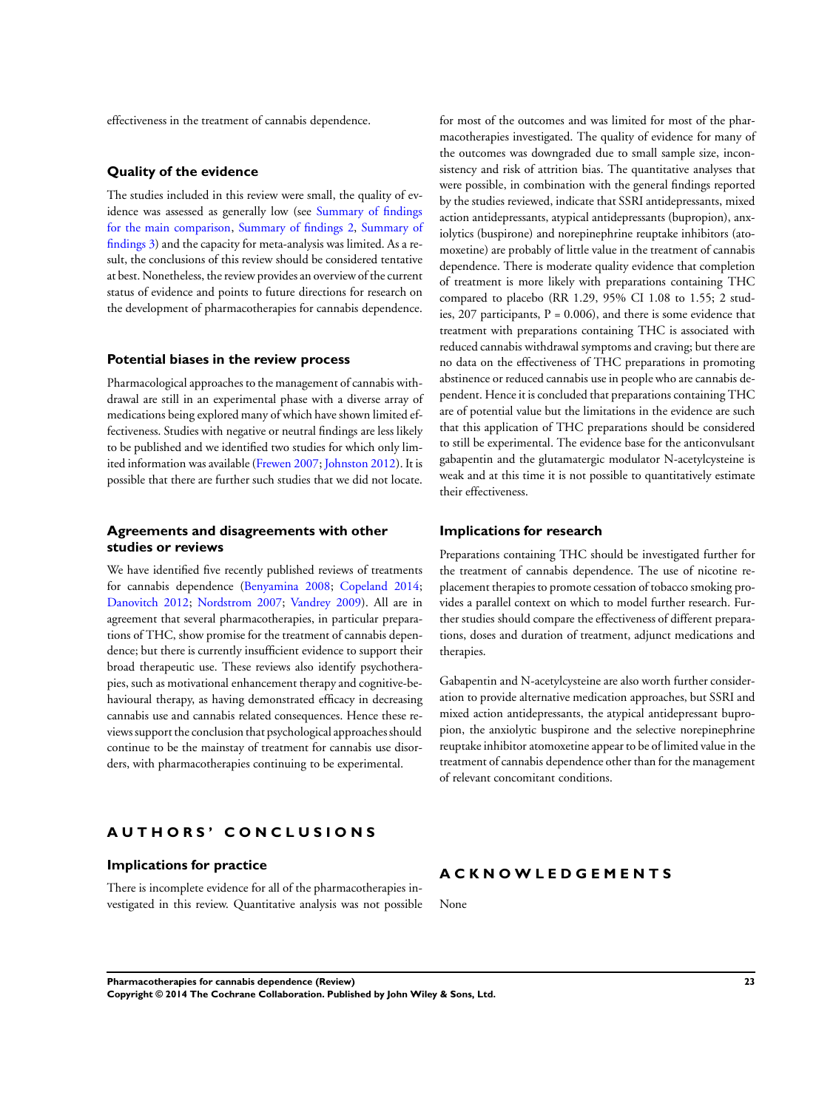effectiveness in the treatment of cannabis dependence.

# **Quality of the evidence**

The studies included in this review were small, the quality of evidence was assessed as generally low (see [Summary of findings](#page-5-0) [for the main comparison,](#page-5-0) [Summary of findings 2](#page-19-0), [Summary of](#page-20-0) [findings 3\)](#page-20-0) and the capacity for meta-analysis was limited. As a result, the conclusions of this review should be considered tentative at best. Nonetheless, the review provides an overview of the current status of evidence and points to future directions for research on the development of pharmacotherapies for cannabis dependence.

#### **Potential biases in the review process**

Pharmacological approaches to the management of cannabis withdrawal are still in an experimental phase with a diverse array of medications being explored many of which have shown limited effectiveness. Studies with negative or neutral findings are less likely to be published and we identified two studies for which only limited information was available ([Frewen 2007](#page-25-0); [Johnston 2012](#page-25-0)). It is possible that there are further such studies that we did not locate.

# **Agreements and disagreements with other studies or reviews**

We have identified five recently published reviews of treatments for cannabis dependence ([Benyamina 2008;](#page-25-0) [Copeland 2014;](#page-25-0) [Danovitch 2012;](#page-25-0) [Nordstrom 2007](#page-25-0); [Vandrey 2009\)](#page-25-0). All are in agreement that several pharmacotherapies, in particular preparations of THC, show promise for the treatment of cannabis dependence; but there is currently insufficient evidence to support their broad therapeutic use. These reviews also identify psychotherapies, such as motivational enhancement therapy and cognitive-behavioural therapy, as having demonstrated efficacy in decreasing cannabis use and cannabis related consequences. Hence these reviews support the conclusion that psychological approaches should continue to be the mainstay of treatment for cannabis use disorders, with pharmacotherapies continuing to be experimental.

for most of the outcomes and was limited for most of the pharmacotherapies investigated. The quality of evidence for many of the outcomes was downgraded due to small sample size, inconsistency and risk of attrition bias. The quantitative analyses that were possible, in combination with the general findings reported by the studies reviewed, indicate that SSRI antidepressants, mixed action antidepressants, atypical antidepressants (bupropion), anxiolytics (buspirone) and norepinephrine reuptake inhibitors (atomoxetine) are probably of little value in the treatment of cannabis dependence. There is moderate quality evidence that completion of treatment is more likely with preparations containing THC compared to placebo (RR 1.29, 95% CI 1.08 to 1.55; 2 studies,  $207$  participants,  $P = 0.006$ ), and there is some evidence that treatment with preparations containing THC is associated with reduced cannabis withdrawal symptoms and craving; but there are no data on the effectiveness of THC preparations in promoting abstinence or reduced cannabis use in people who are cannabis dependent. Hence it is concluded that preparations containing THC are of potential value but the limitations in the evidence are such that this application of THC preparations should be considered to still be experimental. The evidence base for the anticonvulsant gabapentin and the glutamatergic modulator N-acetylcysteine is weak and at this time it is not possible to quantitatively estimate their effectiveness.

#### **Implications for research**

Preparations containing THC should be investigated further for the treatment of cannabis dependence. The use of nicotine replacement therapies to promote cessation of tobacco smoking provides a parallel context on which to model further research. Further studies should compare the effectiveness of different preparations, doses and duration of treatment, adjunct medications and therapies.

Gabapentin and N-acetylcysteine are also worth further consideration to provide alternative medication approaches, but SSRI and mixed action antidepressants, the atypical antidepressant bupropion, the anxiolytic buspirone and the selective norepinephrine reuptake inhibitor atomoxetine appear to be of limited value in the treatment of cannabis dependence other than for the management of relevant concomitant conditions.

# **A U T H O R S ' C O N C L U S I O N S**

# **Implications for practice**

There is incomplete evidence for all of the pharmacotherapies investigated in this review. Quantitative analysis was not possible **A C K N O W L E D G E M E N T S**

None

**Pharmacotherapies for cannabis dependence (Review) 23 Copyright © 2014 The Cochrane Collaboration. Published by John Wiley & Sons, Ltd.**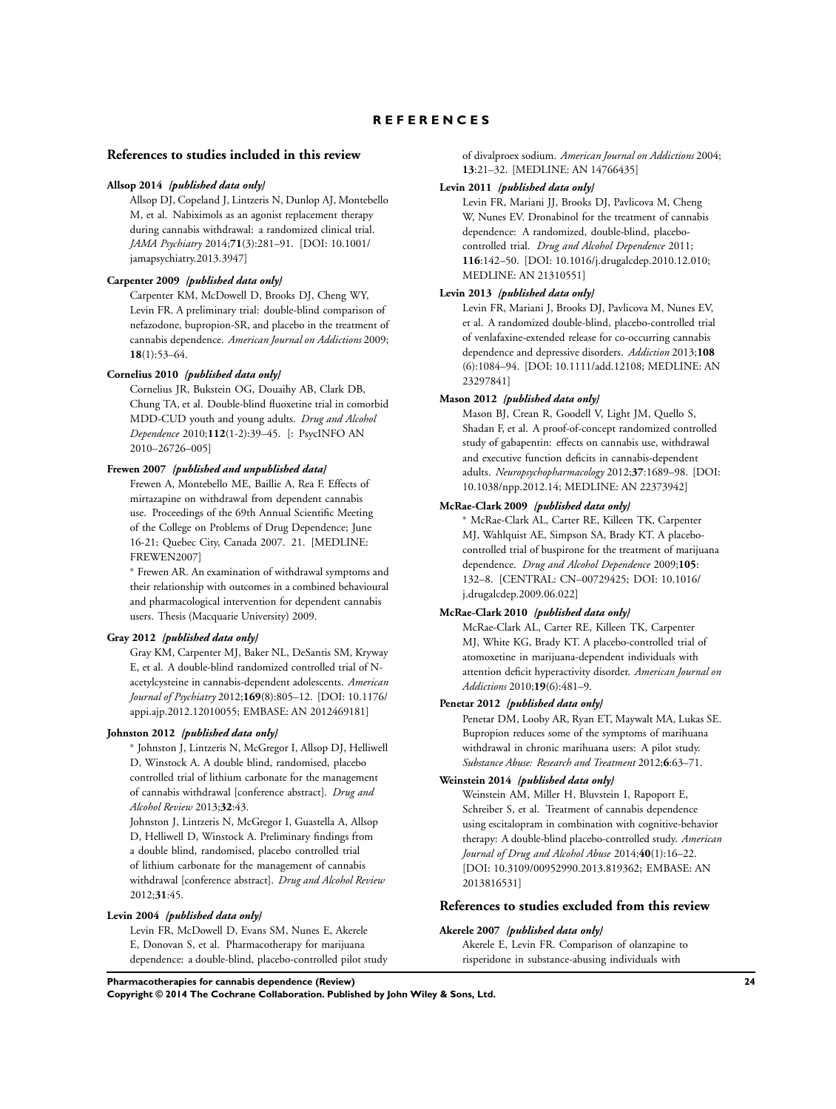#### <span id="page-25-0"></span>**References to studies included in this review**

#### **Allsop 2014** *{published data only}*

Allsop DJ, Copeland J, Lintzeris N, Dunlop AJ, Montebello M, et al. Nabiximols as an agonist replacement therapy during cannabis withdrawal: a randomized clinical trial. *JAMA Psychiatry* 2014;**71**(3):281–91. [DOI: 10.1001/ jamapsychiatry.2013.3947]

## **Carpenter 2009** *{published data only}*

Carpenter KM, McDowell D, Brooks DJ, Cheng WY, Levin FR. A preliminary trial: double-blind comparison of nefazodone, bupropion-SR, and placebo in the treatment of cannabis dependence. *American Journal on Addictions* 2009; **18**(1):53–64.

#### **Cornelius 2010** *{published data only}*

Cornelius JR, Bukstein OG, Douaihy AB, Clark DB, Chung TA, et al. Double-blind fluoxetine trial in comorbid MDD-CUD youth and young adults. *Drug and Alcohol Dependence* 2010;**112**(1-2):39–45. [: PsycINFO AN 2010–26726–005]

#### **Frewen 2007** *{published and unpublished data}*

Frewen A, Montebello ME, Baillie A, Rea F. Effects of mirtazapine on withdrawal from dependent cannabis use. Proceedings of the 69th Annual Scientific Meeting of the College on Problems of Drug Dependence; June 16-21; Quebec City, Canada 2007. 21. [MEDLINE: FREWEN2007]

<sup>∗</sup> Frewen AR. An examination of withdrawal symptoms and their relationship with outcomes in a combined behavioural and pharmacological intervention for dependent cannabis users. Thesis (Macquarie University) 2009.

#### **Gray 2012** *{published data only}*

Gray KM, Carpenter MJ, Baker NL, DeSantis SM, Kryway E, et al. A double-blind randomized controlled trial of Nacetylcysteine in cannabis-dependent adolescents. *American Journal of Psychiatry* 2012;**169**(8):805–12. [DOI: 10.1176/ appi.ajp.2012.12010055; EMBASE: AN 2012469181]

#### **Johnston 2012** *{published data only}*

∗ Johnston J, Lintzeris N, McGregor I, Allsop DJ, Helliwell D, Winstock A. A double blind, randomised, placebo controlled trial of lithium carbonate for the management of cannabis withdrawal [conference abstract]. *Drug and Alcohol Review* 2013;**32**:43.

Johnston J, Lintzeris N, McGregor I, Guastella A, Allsop D, Helliwell D, Winstock A. Preliminary findings from a double blind, randomised, placebo controlled trial of lithium carbonate for the management of cannabis withdrawal [conference abstract]. *Drug and Alcohol Review* 2012;**31**:45.

#### **Levin 2004** *{published data only}*

Levin FR, McDowell D, Evans SM, Nunes E, Akerele E, Donovan S, et al. Pharmacotherapy for marijuana dependence: a double-blind, placebo-controlled pilot study of divalproex sodium. *American Journal on Addictions* 2004; **13**:21–32. [MEDLINE: AN 14766435]

#### **Levin 2011** *{published data only}*

Levin FR, Mariani JJ, Brooks DJ, Pavlicova M, Cheng W, Nunes EV. Dronabinol for the treatment of cannabis dependence: A randomized, double-blind, placebocontrolled trial. *Drug and Alcohol Dependence* 2011; **116**:142–50. [DOI: 10.1016/j.drugalcdep.2010.12.010; MEDLINE: AN 21310551]

#### **Levin 2013** *{published data only}*

Levin FR, Mariani J, Brooks DJ, Pavlicova M, Nunes EV, et al. A randomized double-blind, placebo-controlled trial of venlafaxine-extended release for co-occurring cannabis dependence and depressive disorders. *Addiction* 2013;**108** (6):1084–94. [DOI: 10.1111/add.12108; MEDLINE: AN 23297841]

#### **Mason 2012** *{published data only}*

Mason BJ, Crean R, Goodell V, Light JM, Quello S, Shadan F, et al. A proof-of-concept randomized controlled study of gabapentin: effects on cannabis use, withdrawal and executive function deficits in cannabis-dependent adults. *Neuropsychopharmacology* 2012;**37**:1689–98. [DOI: 10.1038/npp.2012.14; MEDLINE: AN 22373942]

#### **McRae-Clark 2009** *{published data only}*

<sup>∗</sup> McRae-Clark AL, Carter RE, Killeen TK, Carpenter MJ, Wahlquist AE, Simpson SA, Brady KT. A placebocontrolled trial of buspirone for the treatment of marijuana dependence. *Drug and Alcohol Dependence* 2009;**105**: 132–8. [CENTRAL: CN–00729425; DOI: 10.1016/ j.drugalcdep.2009.06.022]

#### **McRae-Clark 2010** *{published data only}*

McRae-Clark AL, Carter RE, Killeen TK, Carpenter MJ, White KG, Brady KT. A placebo-controlled trial of atomoxetine in marijuana-dependent individuals with attention deficit hyperactivity disorder. *American Journal on Addictions* 2010;**19**(6):481–9.

#### **Penetar 2012** *{published data only}*

Penetar DM, Looby AR, Ryan ET, Maywalt MA, Lukas SE. Bupropion reduces some of the symptoms of marihuana withdrawal in chronic marihuana users: A pilot study. *Substance Abuse: Research and Treatment* 2012;**6**:63–71.

#### **Weinstein 2014** *{published data only}*

Weinstein AM, Miller H, Bluvstein I, Rapoport E, Schreiber S, et al. Treatment of cannabis dependence using escitalopram in combination with cognitive-behavior therapy: A double-blind placebo-controlled study. *American Journal of Drug and Alcohol Abuse* 2014;**40**(1):16–22. [DOI: 10.3109/00952990.2013.819362; EMBASE: AN 2013816531]

## **References to studies excluded from this review**

#### **Akerele 2007** *{published data only}*

Akerele E, Levin FR. Comparison of olanzapine to risperidone in substance-abusing individuals with

**Pharmacotherapies for cannabis dependence (Review) 24**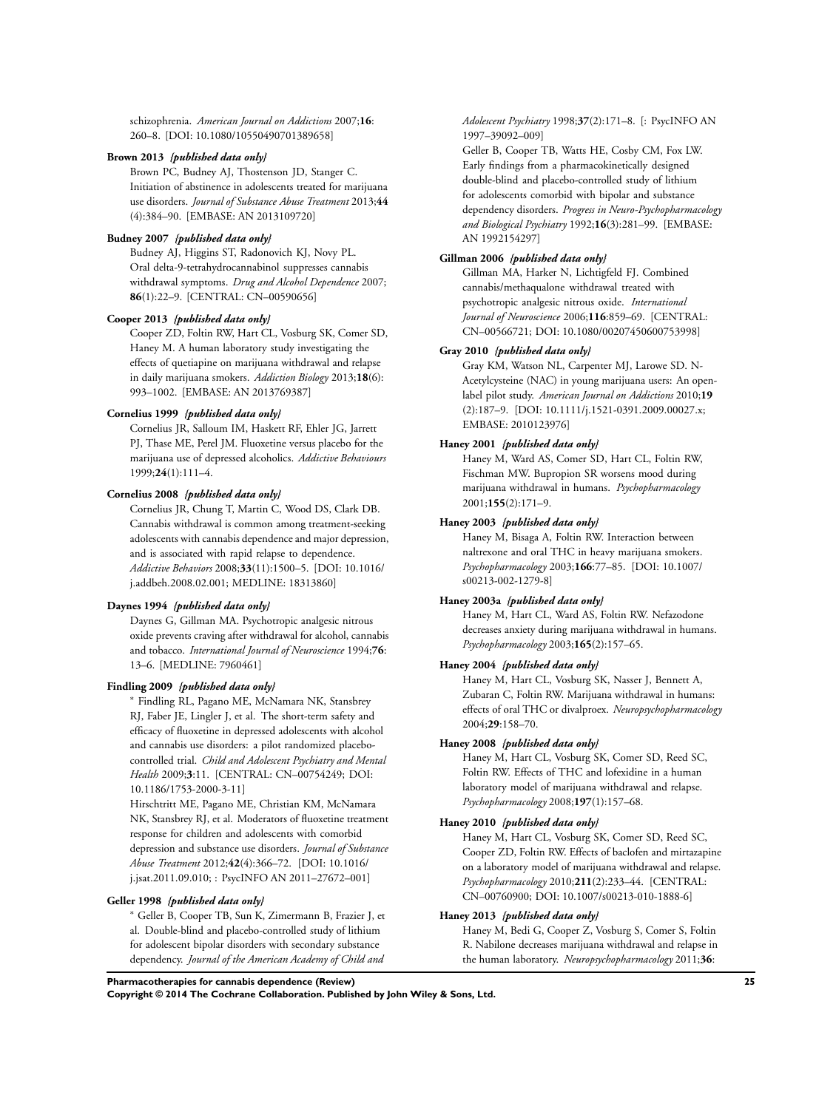schizophrenia. *American Journal on Addictions* 2007;**16**: 260–8. [DOI: 10.1080/10550490701389658]

#### **Brown 2013** *{published data only}*

Brown PC, Budney AJ, Thostenson JD, Stanger C. Initiation of abstinence in adolescents treated for marijuana use disorders. *Journal of Substance Abuse Treatment* 2013;**44** (4):384–90. [EMBASE: AN 2013109720]

#### **Budney 2007** *{published data only}*

Budney AJ, Higgins ST, Radonovich KJ, Novy PL. Oral delta-9-tetrahydrocannabinol suppresses cannabis withdrawal symptoms. *Drug and Alcohol Dependence* 2007; **86**(1):22–9. [CENTRAL: CN–00590656]

#### **Cooper 2013** *{published data only}*

Cooper ZD, Foltin RW, Hart CL, Vosburg SK, Comer SD, Haney M. A human laboratory study investigating the effects of quetiapine on marijuana withdrawal and relapse in daily marijuana smokers. *Addiction Biology* 2013;**18**(6): 993–1002. [EMBASE: AN 2013769387]

#### **Cornelius 1999** *{published data only}*

Cornelius JR, Salloum IM, Haskett RF, Ehler JG, Jarrett PJ, Thase ME, Perel JM. Fluoxetine versus placebo for the marijuana use of depressed alcoholics. *Addictive Behaviours* 1999;**24**(1):111–4.

#### **Cornelius 2008** *{published data only}*

Cornelius JR, Chung T, Martin C, Wood DS, Clark DB. Cannabis withdrawal is common among treatment-seeking adolescents with cannabis dependence and major depression, and is associated with rapid relapse to dependence. *Addictive Behaviors* 2008;**33**(11):1500–5. [DOI: 10.1016/ j.addbeh.2008.02.001; MEDLINE: 18313860]

#### **Daynes 1994** *{published data only}*

Daynes G, Gillman MA. Psychotropic analgesic nitrous oxide prevents craving after withdrawal for alcohol, cannabis and tobacco. *International Journal of Neuroscience* 1994;**76**: 13–6. [MEDLINE: 7960461]

#### **Findling 2009** *{published data only}*

<sup>∗</sup> Findling RL, Pagano ME, McNamara NK, Stansbrey RJ, Faber JE, Lingler J, et al. The short-term safety and efficacy of fluoxetine in depressed adolescents with alcohol and cannabis use disorders: a pilot randomized placebocontrolled trial. *Child and Adolescent Psychiatry and Mental Health* 2009;**3**:11. [CENTRAL: CN–00754249; DOI: 10.1186/1753-2000-3-11]

Hirschtritt ME, Pagano ME, Christian KM, McNamara NK, Stansbrey RJ, et al. Moderators of fluoxetine treatment response for children and adolescents with comorbid depression and substance use disorders. *Journal of Substance Abuse Treatment* 2012;**42**(4):366–72. [DOI: 10.1016/ j.jsat.2011.09.010; : PsycINFO AN 2011–27672–001]

#### **Geller 1998** *{published data only}*

<sup>∗</sup> Geller B, Cooper TB, Sun K, Zimermann B, Frazier J, et al. Double-blind and placebo-controlled study of lithium for adolescent bipolar disorders with secondary substance dependency. *Journal of the American Academy of Child and*

*Adolescent Psychiatry* 1998;**37**(2):171–8. [: PsycINFO AN 1997–39092–009]

Geller B, Cooper TB, Watts HE, Cosby CM, Fox LW. Early findings from a pharmacokinetically designed double-blind and placebo-controlled study of lithium for adolescents comorbid with bipolar and substance dependency disorders. *Progress in Neuro-Psychopharmacology and Biological Psychiatry* 1992;**16**(3):281–99. [EMBASE: AN 1992154297]

#### **Gillman 2006** *{published data only}*

Gillman MA, Harker N, Lichtigfeld FJ. Combined cannabis/methaqualone withdrawal treated with psychotropic analgesic nitrous oxide. *International Journal of Neuroscience* 2006;**116**:859–69. [CENTRAL: CN–00566721; DOI: 10.1080/00207450600753998]

#### **Gray 2010** *{published data only}*

Gray KM, Watson NL, Carpenter MJ, Larowe SD. N-Acetylcysteine (NAC) in young marijuana users: An openlabel pilot study. *American Journal on Addictions* 2010;**19** (2):187–9. [DOI: 10.1111/j.1521-0391.2009.00027.x; EMBASE: 2010123976]

#### **Haney 2001** *{published data only}*

Haney M, Ward AS, Comer SD, Hart CL, Foltin RW, Fischman MW. Bupropion SR worsens mood during marijuana withdrawal in humans. *Psychopharmacology* 2001;**155**(2):171–9.

#### **Haney 2003** *{published data only}*

Haney M, Bisaga A, Foltin RW. Interaction between naltrexone and oral THC in heavy marijuana smokers. *Psychopharmacology* 2003;**166**:77–85. [DOI: 10.1007/ s00213-002-1279-8]

#### **Haney 2003a** *{published data only}*

Haney M, Hart CL, Ward AS, Foltin RW. Nefazodone decreases anxiety during marijuana withdrawal in humans. *Psychopharmacology* 2003;**165**(2):157–65.

### **Haney 2004** *{published data only}*

Haney M, Hart CL, Vosburg SK, Nasser J, Bennett A, Zubaran C, Foltin RW. Marijuana withdrawal in humans: effects of oral THC or divalproex. *Neuropsychopharmacology* 2004;**29**:158–70.

#### **Haney 2008** *{published data only}*

Haney M, Hart CL, Vosburg SK, Comer SD, Reed SC, Foltin RW. Effects of THC and lofexidine in a human laboratory model of marijuana withdrawal and relapse. *Psychopharmacology* 2008;**197**(1):157–68.

#### **Haney 2010** *{published data only}*

Haney M, Hart CL, Vosburg SK, Comer SD, Reed SC, Cooper ZD, Foltin RW. Effects of baclofen and mirtazapine on a laboratory model of marijuana withdrawal and relapse. *Psychopharmacology* 2010;**211**(2):233–44. [CENTRAL: CN–00760900; DOI: 10.1007/s00213-010-1888-6]

#### **Haney 2013** *{published data only}*

Haney M, Bedi G, Cooper Z, Vosburg S, Comer S, Foltin R. Nabilone decreases marijuana withdrawal and relapse in the human laboratory. *Neuropsychopharmacology* 2011;**36**:

**Pharmacotherapies for cannabis dependence (Review) 25**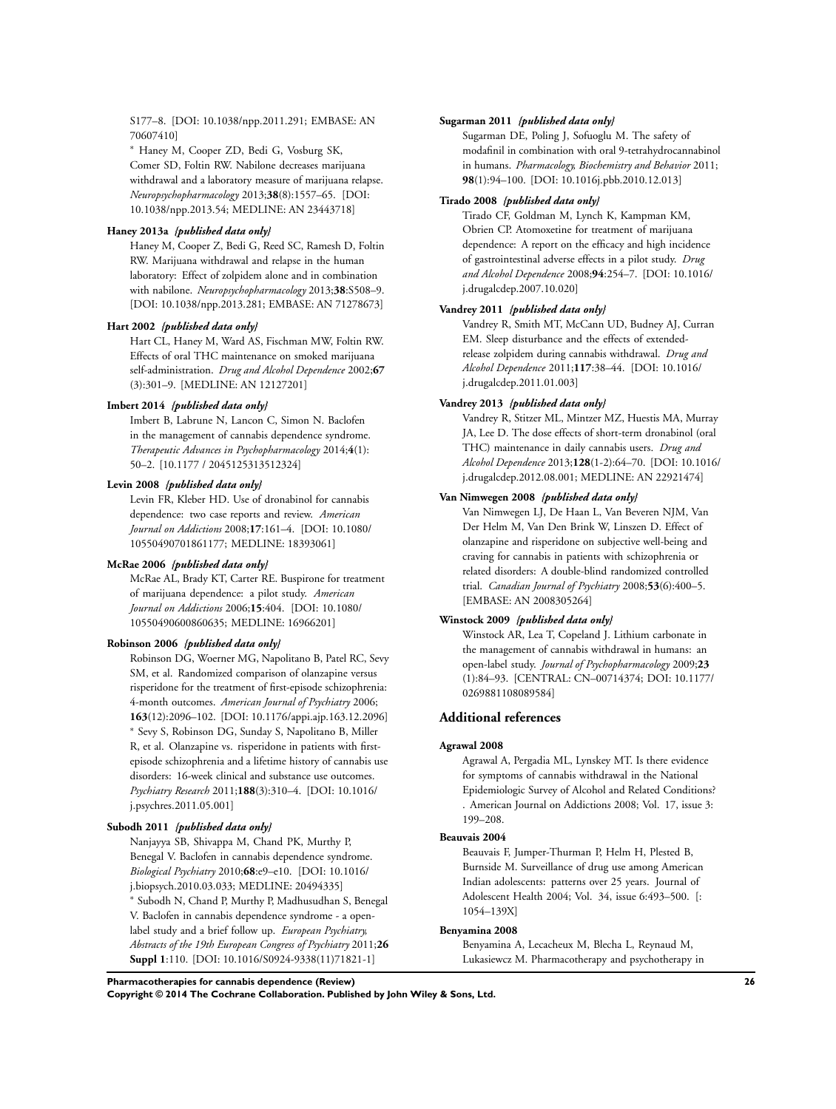S177–8. [DOI: 10.1038/npp.2011.291; EMBASE: AN 70607410]

<sup>∗</sup> Haney M, Cooper ZD, Bedi G, Vosburg SK, Comer SD, Foltin RW. Nabilone decreases marijuana withdrawal and a laboratory measure of marijuana relapse. *Neuropsychopharmacology* 2013;**38**(8):1557–65. [DOI: 10.1038/npp.2013.54; MEDLINE: AN 23443718]

#### **Haney 2013a** *{published data only}*

Haney M, Cooper Z, Bedi G, Reed SC, Ramesh D, Foltin RW. Marijuana withdrawal and relapse in the human laboratory: Effect of zolpidem alone and in combination with nabilone. *Neuropsychopharmacology* 2013;**38**:S508–9. [DOI: 10.1038/npp.2013.281; EMBASE: AN 71278673]

#### **Hart 2002** *{published data only}*

Hart CL, Haney M, Ward AS, Fischman MW, Foltin RW. Effects of oral THC maintenance on smoked marijuana self-administration. *Drug and Alcohol Dependence* 2002;**67** (3):301–9. [MEDLINE: AN 12127201]

#### **Imbert 2014** *{published data only}*

Imbert B, Labrune N, Lancon C, Simon N. Baclofen in the management of cannabis dependence syndrome. *Therapeutic Advances in Psychopharmacology* 2014;**4**(1): 50–2. [10.1177 / 2045125313512324]

#### **Levin 2008** *{published data only}*

Levin FR, Kleber HD. Use of dronabinol for cannabis dependence: two case reports and review. *American Journal on Addictions* 2008;**17**:161–4. [DOI: 10.1080/ 10550490701861177; MEDLINE: 18393061]

#### **McRae 2006** *{published data only}*

McRae AL, Brady KT, Carter RE. Buspirone for treatment of marijuana dependence: a pilot study. *American Journal on Addictions* 2006;**15**:404. [DOI: 10.1080/ 10550490600860635; MEDLINE: 16966201]

#### **Robinson 2006** *{published data only}*

Robinson DG, Woerner MG, Napolitano B, Patel RC, Sevy SM, et al. Randomized comparison of olanzapine versus risperidone for the treatment of first-episode schizophrenia: 4-month outcomes. *American Journal of Psychiatry* 2006; **163**(12):2096–102. [DOI: 10.1176/appi.ajp.163.12.2096] <sup>∗</sup> Sevy S, Robinson DG, Sunday S, Napolitano B, Miller R, et al. Olanzapine vs. risperidone in patients with firstepisode schizophrenia and a lifetime history of cannabis use disorders: 16-week clinical and substance use outcomes. *Psychiatry Research* 2011;**188**(3):310–4. [DOI: 10.1016/ j.psychres.2011.05.001]

### **Subodh 2011** *{published data only}*

Nanjayya SB, Shivappa M, Chand PK, Murthy P, Benegal V. Baclofen in cannabis dependence syndrome. *Biological Psychiatry* 2010;**68**:e9–e10. [DOI: 10.1016/ j.biopsych.2010.03.033; MEDLINE: 20494335] <sup>∗</sup> Subodh N, Chand P, Murthy P, Madhusudhan S, Benegal V. Baclofen in cannabis dependence syndrome - a openlabel study and a brief follow up. *European Psychiatry, Abstracts of the 19th European Congress of Psychiatry* 2011;**26 Suppl 1**:110. [DOI: 10.1016/S0924-9338(11)71821-1]

#### **Sugarman 2011** *{published data only}*

Sugarman DE, Poling J, Sofuoglu M. The safety of modafinil in combination with oral 9-tetrahydrocannabinol in humans. *Pharmacology, Biochemistry and Behavior* 2011; **98**(1):94–100. [DOI: 10.1016j.pbb.2010.12.013]

#### **Tirado 2008** *{published data only}*

Tirado CF, Goldman M, Lynch K, Kampman KM, Obrien CP. Atomoxetine for treatment of marijuana dependence: A report on the efficacy and high incidence of gastrointestinal adverse effects in a pilot study. *Drug and Alcohol Dependence* 2008;**94**:254–7. [DOI: 10.1016/ j.drugalcdep.2007.10.020]

#### **Vandrey 2011** *{published data only}*

Vandrey R, Smith MT, McCann UD, Budney AJ, Curran EM. Sleep disturbance and the effects of extendedrelease zolpidem during cannabis withdrawal. *Drug and Alcohol Dependence* 2011;**117**:38–44. [DOI: 10.1016/ j.drugalcdep.2011.01.003]

#### **Vandrey 2013** *{published data only}*

Vandrey R, Stitzer ML, Mintzer MZ, Huestis MA, Murray JA, Lee D. The dose effects of short-term dronabinol (oral THC) maintenance in daily cannabis users. *Drug and Alcohol Dependence* 2013;**128**(1-2):64–70. [DOI: 10.1016/ j.drugalcdep.2012.08.001; MEDLINE: AN 22921474]

#### **Van Nimwegen 2008** *{published data only}*

Van Nimwegen LJ, De Haan L, Van Beveren NJM, Van Der Helm M, Van Den Brink W, Linszen D. Effect of olanzapine and risperidone on subjective well-being and craving for cannabis in patients with schizophrenia or related disorders: A double-blind randomized controlled trial. *Canadian Journal of Psychiatry* 2008;**53**(6):400–5. [EMBASE: AN 2008305264]

#### **Winstock 2009** *{published data only}*

Winstock AR, Lea T, Copeland J. Lithium carbonate in the management of cannabis withdrawal in humans: an open-label study. *Journal of Psychopharmacology* 2009;**23** (1):84–93. [CENTRAL: CN–00714374; DOI: 10.1177/ 0269881108089584]

# **Additional references**

#### **Agrawal 2008**

Agrawal A, Pergadia ML, Lynskey MT. Is there evidence for symptoms of cannabis withdrawal in the National Epidemiologic Survey of Alcohol and Related Conditions? . American Journal on Addictions 2008; Vol. 17, issue 3: 199–208.

### **Beauvais 2004**

Beauvais F, Jumper-Thurman P, Helm H, Plested B, Burnside M. Surveillance of drug use among American Indian adolescents: patterns over 25 years. Journal of Adolescent Health 2004; Vol. 34, issue 6:493–500. [: 1054–139X]

### **Benyamina 2008**

Benyamina A, Lecacheux M, Blecha L, Reynaud M, Lukasiewcz M. Pharmacotherapy and psychotherapy in

**Pharmacotherapies for cannabis dependence (Review) 26**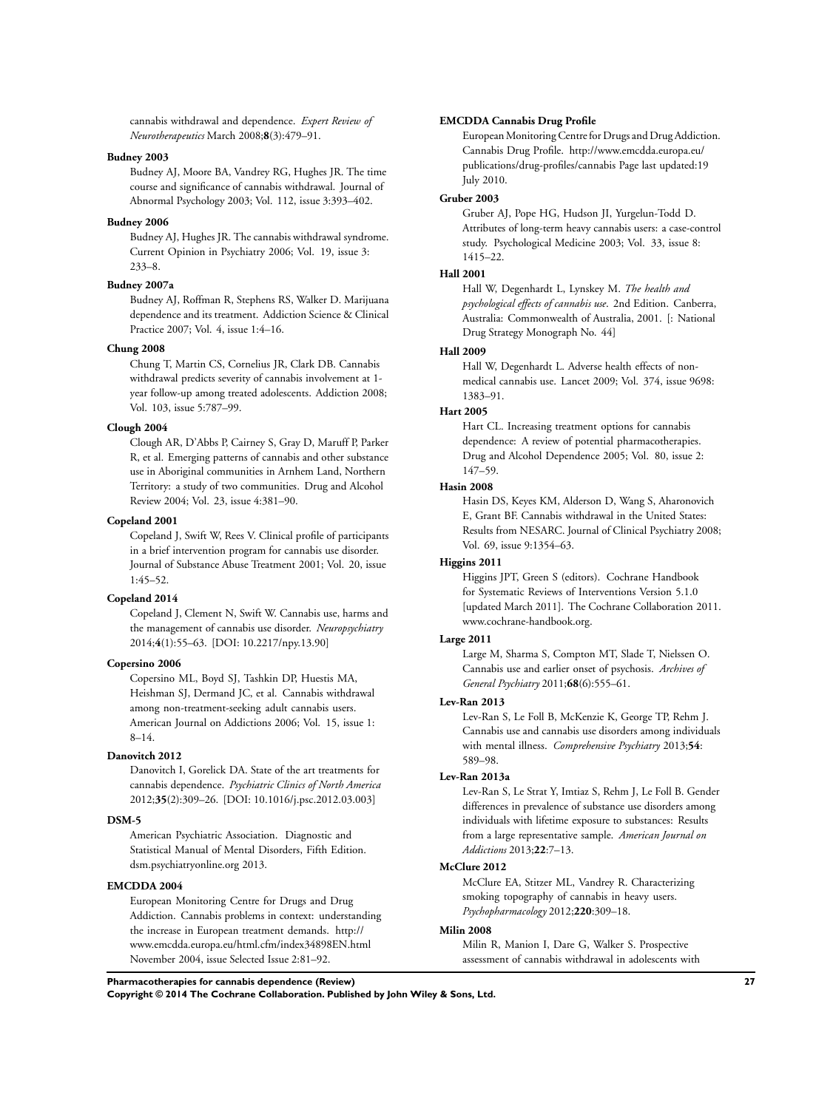cannabis withdrawal and dependence. *Expert Review of Neurotherapeutics* March 2008;**8**(3):479–91.

#### **Budney 2003**

Budney AJ, Moore BA, Vandrey RG, Hughes JR. The time course and significance of cannabis withdrawal. Journal of Abnormal Psychology 2003; Vol. 112, issue 3:393–402.

### **Budney 2006**

Budney AJ, Hughes JR. The cannabis withdrawal syndrome. Current Opinion in Psychiatry 2006; Vol. 19, issue 3: 233–8.

#### **Budney 2007a**

Budney AJ, Roffman R, Stephens RS, Walker D. Marijuana dependence and its treatment. Addiction Science & Clinical Practice 2007; Vol. 4, issue 1:4–16.

#### **Chung 2008**

Chung T, Martin CS, Cornelius JR, Clark DB. Cannabis withdrawal predicts severity of cannabis involvement at 1 year follow-up among treated adolescents. Addiction 2008; Vol. 103, issue 5:787–99.

### **Clough 2004**

Clough AR, D'Abbs P, Cairney S, Gray D, Maruff P, Parker R, et al. Emerging patterns of cannabis and other substance use in Aboriginal communities in Arnhem Land, Northern Territory: a study of two communities. Drug and Alcohol Review 2004; Vol. 23, issue 4:381–90.

### **Copeland 2001**

Copeland J, Swift W, Rees V. Clinical profile of participants in a brief intervention program for cannabis use disorder. Journal of Substance Abuse Treatment 2001; Vol. 20, issue 1:45–52.

#### **Copeland 2014**

Copeland J, Clement N, Swift W. Cannabis use, harms and the management of cannabis use disorder. *Neuropsychiatry* 2014;**4**(1):55–63. [DOI: 10.2217/npy.13.90]

#### **Copersino 2006**

Copersino ML, Boyd SJ, Tashkin DP, Huestis MA, Heishman SJ, Dermand JC, et al. Cannabis withdrawal among non-treatment-seeking adult cannabis users. American Journal on Addictions 2006; Vol. 15, issue 1: 8–14.

#### **Danovitch 2012**

Danovitch I, Gorelick DA. State of the art treatments for cannabis dependence. *Psychiatric Clinics of North America* 2012;**35**(2):309–26. [DOI: 10.1016/j.psc.2012.03.003]

#### **DSM-5**

American Psychiatric Association. Diagnostic and Statistical Manual of Mental Disorders, Fifth Edition. dsm.psychiatryonline.org 2013.

### **EMCDDA 2004**

European Monitoring Centre for Drugs and Drug Addiction. Cannabis problems in context: understanding the increase in European treatment demands. http:// www.emcdda.europa.eu/html.cfm/index34898EN.html November 2004, issue Selected Issue 2:81–92.

#### **EMCDDA Cannabis Drug Profile**

European Monitoring Centre for Drugs and Drug Addiction. Cannabis Drug Profile. http://www.emcdda.europa.eu/ publications/drug-profiles/cannabis Page last updated:19 July 2010.

#### **Gruber 2003**

Gruber AJ, Pope HG, Hudson JI, Yurgelun-Todd D. Attributes of long-term heavy cannabis users: a case-control study. Psychological Medicine 2003; Vol. 33, issue 8: 1415–22.

## **Hall 2001**

Hall W, Degenhardt L, Lynskey M. *The health and psychological effects of cannabis use*. 2nd Edition. Canberra, Australia: Commonwealth of Australia, 2001. [: National Drug Strategy Monograph No. 44]

#### **Hall 2009**

Hall W, Degenhardt L. Adverse health effects of nonmedical cannabis use. Lancet 2009; Vol. 374, issue 9698: 1383–91.

# **Hart 2005**

Hart CL. Increasing treatment options for cannabis dependence: A review of potential pharmacotherapies. Drug and Alcohol Dependence 2005; Vol. 80, issue 2: 147–59.

### **Hasin 2008**

Hasin DS, Keyes KM, Alderson D, Wang S, Aharonovich E, Grant BF. Cannabis withdrawal in the United States: Results from NESARC. Journal of Clinical Psychiatry 2008; Vol. 69, issue 9:1354–63.

### **Higgins 2011**

Higgins JPT, Green S (editors). Cochrane Handbook for Systematic Reviews of Interventions Version 5.1.0 [updated March 2011]. The Cochrane Collaboration 2011. www.cochrane-handbook.org.

#### **Large 2011**

Large M, Sharma S, Compton MT, Slade T, Nielssen O. Cannabis use and earlier onset of psychosis. *Archives of General Psychiatry* 2011;**68**(6):555–61.

#### **Lev-Ran 2013**

Lev-Ran S, Le Foll B, McKenzie K, George TP, Rehm J. Cannabis use and cannabis use disorders among individuals with mental illness. *Comprehensive Psychiatry* 2013;**54**: 589–98.

#### **Lev-Ran 2013a**

Lev-Ran S, Le Strat Y, Imtiaz S, Rehm J, Le Foll B. Gender differences in prevalence of substance use disorders among individuals with lifetime exposure to substances: Results from a large representative sample. *American Journal on Addictions* 2013;**22**:7–13.

#### **McClure 2012**

McClure EA, Stitzer ML, Vandrey R. Characterizing smoking topography of cannabis in heavy users. *Psychopharmacology* 2012;**220**:309–18.

#### **Milin 2008**

Milin R, Manion I, Dare G, Walker S. Prospective assessment of cannabis withdrawal in adolescents with

**Pharmacotherapies for cannabis dependence (Review) 27**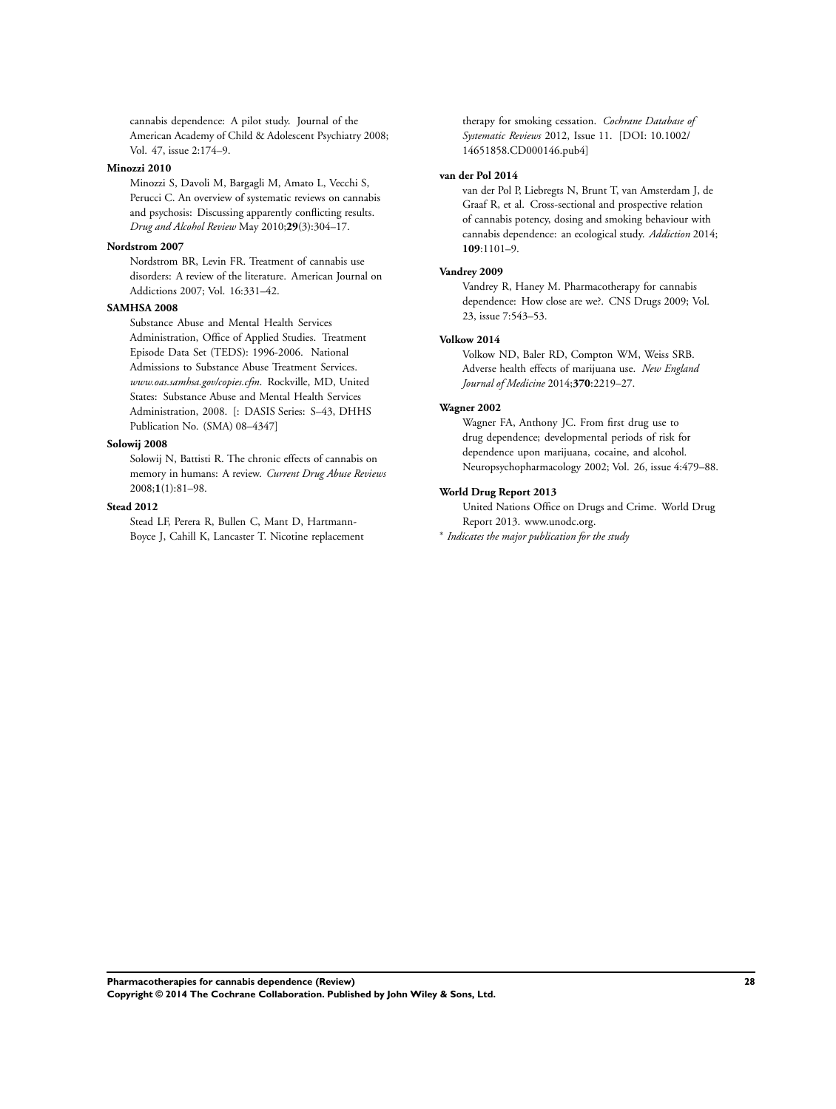cannabis dependence: A pilot study. Journal of the American Academy of Child & Adolescent Psychiatry 2008; Vol. 47, issue 2:174–9.

### **Minozzi 2010**

Minozzi S, Davoli M, Bargagli M, Amato L, Vecchi S, Perucci C. An overview of systematic reviews on cannabis and psychosis: Discussing apparently conflicting results. *Drug and Alcohol Review* May 2010;**29**(3):304–17.

#### **Nordstrom 2007**

Nordstrom BR, Levin FR. Treatment of cannabis use disorders: A review of the literature. American Journal on Addictions 2007; Vol. 16:331–42.

### **SAMHSA 2008**

Substance Abuse and Mental Health Services Administration, Office of Applied Studies. Treatment Episode Data Set (TEDS): 1996-2006. National Admissions to Substance Abuse Treatment Services. *www.oas.samhsa.gov/copies.cfm*. Rockville, MD, United States: Substance Abuse and Mental Health Services Administration, 2008. [: DASIS Series: S–43, DHHS Publication No. (SMA) 08–4347]

#### **Solowij 2008**

Solowij N, Battisti R. The chronic effects of cannabis on memory in humans: A review. *Current Drug Abuse Reviews* 2008;**1**(1):81–98.

#### **Stead 2012**

Stead LF, Perera R, Bullen C, Mant D, Hartmann-Boyce J, Cahill K, Lancaster T. Nicotine replacement therapy for smoking cessation. *Cochrane Database of Systematic Reviews* 2012, Issue 11. [DOI: 10.1002/ 14651858.CD000146.pub4]

#### **van der Pol 2014**

van der Pol P, Liebregts N, Brunt T, van Amsterdam J, de Graaf R, et al. Cross-sectional and prospective relation of cannabis potency, dosing and smoking behaviour with cannabis dependence: an ecological study. *Addiction* 2014; **109**:1101–9.

#### **Vandrey 2009**

Vandrey R, Haney M. Pharmacotherapy for cannabis dependence: How close are we?. CNS Drugs 2009; Vol. 23, issue 7:543–53.

#### **Volkow 2014**

Volkow ND, Baler RD, Compton WM, Weiss SRB. Adverse health effects of marijuana use. *New England Journal of Medicine* 2014;**370**:2219–27.

#### **Wagner 2002**

Wagner FA, Anthony JC. From first drug use to drug dependence; developmental periods of risk for dependence upon marijuana, cocaine, and alcohol. Neuropsychopharmacology 2002; Vol. 26, issue 4:479–88.

#### **World Drug Report 2013**

United Nations Office on Drugs and Crime. World Drug Report 2013. www.unodc.org.

∗ *Indicates the major publication for the study*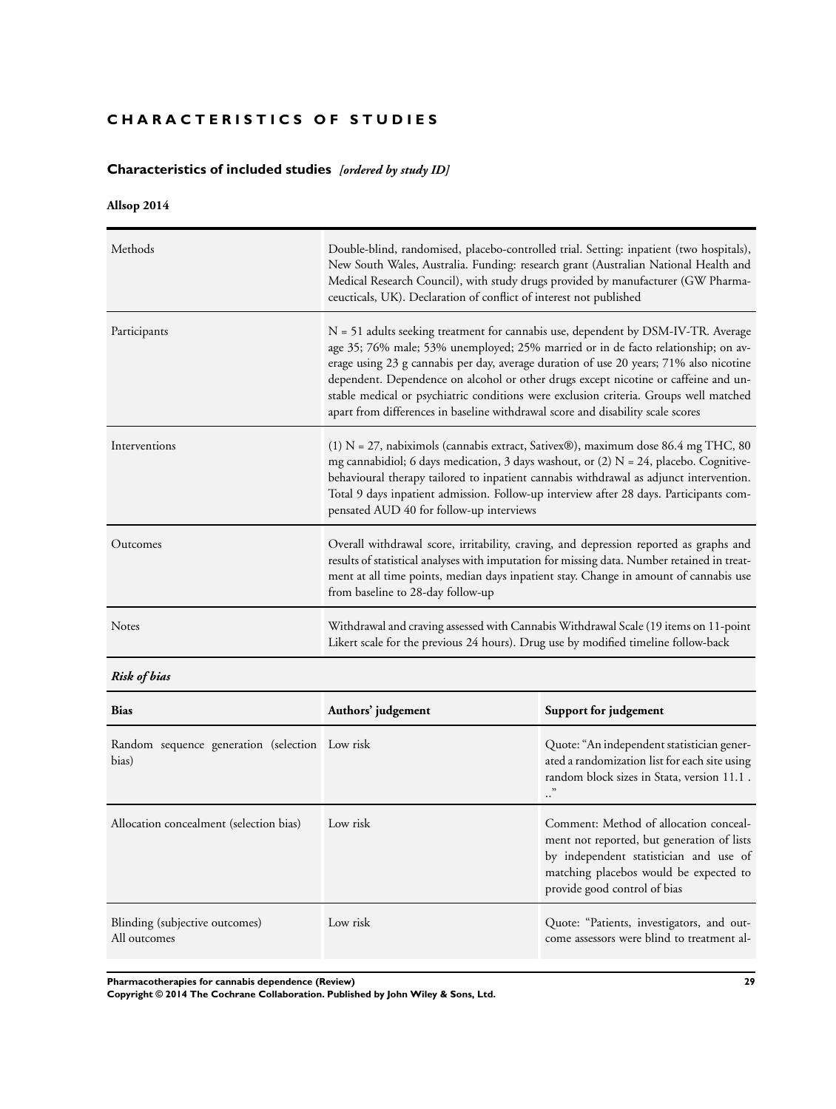# <span id="page-30-0"></span>**CHARACTERISTICS OF STUDIES**

# **Characteristics of included studies** *[ordered by study ID]*

# **Allsop 2014**

| Methods       | Double-blind, randomised, placebo-controlled trial. Setting: inpatient (two hospitals),<br>New South Wales, Australia. Funding: research grant (Australian National Health and<br>Medical Research Council), with study drugs provided by manufacturer (GW Pharma-<br>ceucticals, UK). Declaration of conflict of interest not published                                                                                                                                                                                              |
|---------------|---------------------------------------------------------------------------------------------------------------------------------------------------------------------------------------------------------------------------------------------------------------------------------------------------------------------------------------------------------------------------------------------------------------------------------------------------------------------------------------------------------------------------------------|
| Participants  | $N = 51$ adults seeking treatment for cannabis use, dependent by DSM-IV-TR. Average<br>age 35; 76% male; 53% unemployed; 25% married or in de facto relationship; on av-<br>erage using 23 g cannabis per day, average duration of use 20 years; 71% also nicotine<br>dependent. Dependence on alcohol or other drugs except nicotine or caffeine and un-<br>stable medical or psychiatric conditions were exclusion criteria. Groups well matched<br>apart from differences in baseline withdrawal score and disability scale scores |
| Interventions | (1) N = 27, nabiximols (cannabis extract, Sativex®), maximum dose 86.4 mg THC, 80<br>mg cannabidiol; 6 days medication, 3 days washout, or $(2)$ N = 24, placebo. Cognitive-<br>behavioural therapy tailored to inpatient cannabis withdrawal as adjunct intervention.<br>Total 9 days inpatient admission. Follow-up interview after 28 days. Participants com-<br>pensated AUD 40 for follow-up interviews                                                                                                                          |
| Outcomes      | Overall withdrawal score, irritability, craving, and depression reported as graphs and<br>results of statistical analyses with imputation for missing data. Number retained in treat-<br>ment at all time points, median days inpatient stay. Change in amount of cannabis use<br>from baseline to 28-day follow-up                                                                                                                                                                                                                   |
| <b>Notes</b>  | Withdrawal and craving assessed with Cannabis Withdrawal Scale (19 items on 11-point<br>Likert scale for the previous 24 hours). Drug use by modified timeline follow-back                                                                                                                                                                                                                                                                                                                                                            |

# *Risk of bias*

| <b>Bias</b>                                             | Authors' judgement | Support for judgement                                                                                                                                                                                    |
|---------------------------------------------------------|--------------------|----------------------------------------------------------------------------------------------------------------------------------------------------------------------------------------------------------|
| Random sequence generation (selection Low risk<br>bias) |                    | Quote: "An independent statistician gener-<br>ated a randomization list for each site using<br>random block sizes in Stata, version 11.1.<br>, 2<br>                                                     |
| Allocation concealment (selection bias)                 | Low risk           | Comment: Method of allocation conceal-<br>ment not reported, but generation of lists<br>by independent statistician and use of<br>matching placebos would be expected to<br>provide good control of bias |
| Blinding (subjective outcomes)<br>All outcomes          | Low risk           | Quote: "Patients, investigators, and out-<br>come assessors were blind to treatment al-                                                                                                                  |

**Pharmacotherapies for cannabis dependence (Review) 29**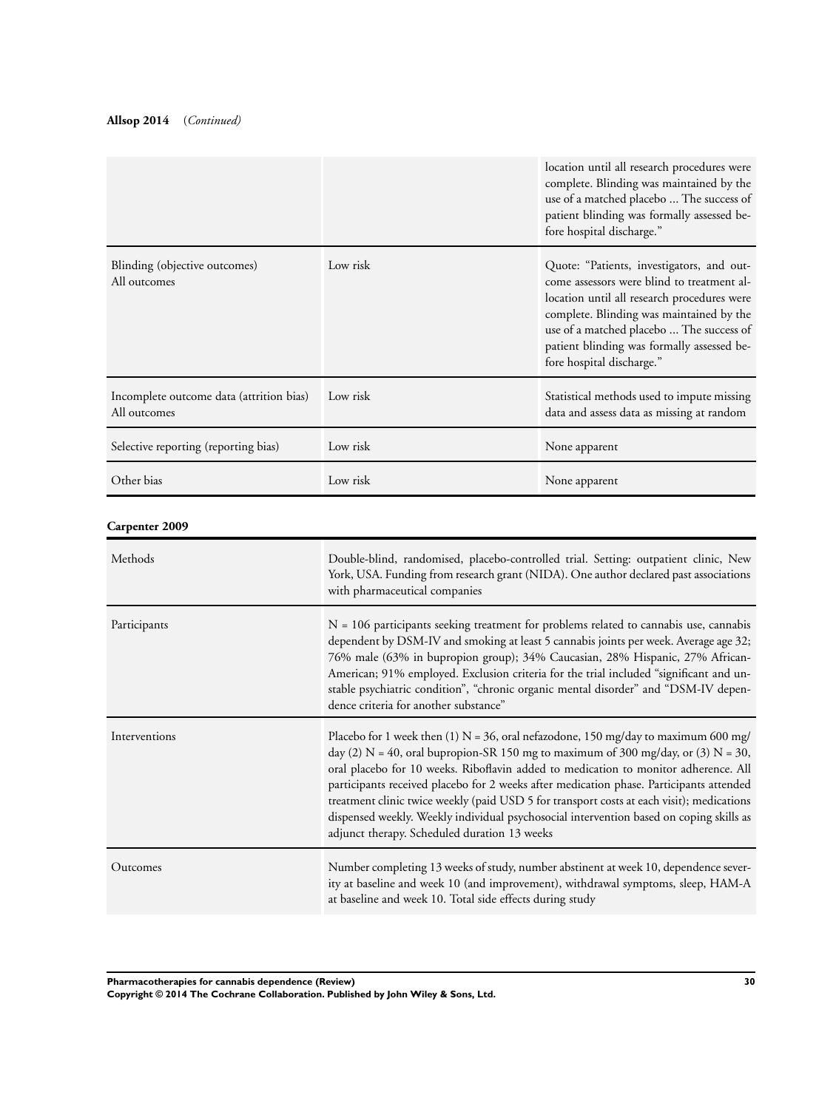# **Allsop 2014** (*Continued)*

|                                                          |                                                                                                                                                                                                                                                                                                                                                                                                                                                                                                                                                                                                            | location until all research procedures were<br>complete. Blinding was maintained by the<br>use of a matched placebo  The success of<br>patient blinding was formally assessed be-<br>fore hospital discharge."                                                                                            |  |
|----------------------------------------------------------|------------------------------------------------------------------------------------------------------------------------------------------------------------------------------------------------------------------------------------------------------------------------------------------------------------------------------------------------------------------------------------------------------------------------------------------------------------------------------------------------------------------------------------------------------------------------------------------------------------|-----------------------------------------------------------------------------------------------------------------------------------------------------------------------------------------------------------------------------------------------------------------------------------------------------------|--|
| Blinding (objective outcomes)<br>All outcomes            | Low risk                                                                                                                                                                                                                                                                                                                                                                                                                                                                                                                                                                                                   | Quote: "Patients, investigators, and out-<br>come assessors were blind to treatment al-<br>location until all research procedures were<br>complete. Blinding was maintained by the<br>use of a matched placebo  The success of<br>patient blinding was formally assessed be-<br>fore hospital discharge." |  |
| Incomplete outcome data (attrition bias)<br>All outcomes | Low risk                                                                                                                                                                                                                                                                                                                                                                                                                                                                                                                                                                                                   | Statistical methods used to impute missing<br>data and assess data as missing at random                                                                                                                                                                                                                   |  |
| Selective reporting (reporting bias)                     | Low risk                                                                                                                                                                                                                                                                                                                                                                                                                                                                                                                                                                                                   | None apparent                                                                                                                                                                                                                                                                                             |  |
| Other bias                                               | Low risk                                                                                                                                                                                                                                                                                                                                                                                                                                                                                                                                                                                                   | None apparent                                                                                                                                                                                                                                                                                             |  |
| Carpenter 2009                                           |                                                                                                                                                                                                                                                                                                                                                                                                                                                                                                                                                                                                            |                                                                                                                                                                                                                                                                                                           |  |
| Methods                                                  | with pharmaceutical companies                                                                                                                                                                                                                                                                                                                                                                                                                                                                                                                                                                              | Double-blind, randomised, placebo-controlled trial. Setting: outpatient clinic, New<br>York, USA. Funding from research grant (NIDA). One author declared past associations                                                                                                                               |  |
| Participants                                             | $N = 106$ participants seeking treatment for problems related to cannabis use, cannabis<br>dependent by DSM-IV and smoking at least 5 cannabis joints per week. Average age 32;<br>76% male (63% in bupropion group); 34% Caucasian, 28% Hispanic, 27% African-<br>American; 91% employed. Exclusion criteria for the trial included "significant and un-<br>stable psychiatric condition", "chronic organic mental disorder" and "DSM-IV depen-<br>dence criteria for another substance"                                                                                                                  |                                                                                                                                                                                                                                                                                                           |  |
| Interventions                                            | Placebo for 1 week then (1) $N = 36$ , oral nefazodone, 150 mg/day to maximum 600 mg/<br>day (2) $N = 40$ , oral bupropion-SR 150 mg to maximum of 300 mg/day, or (3) $N = 30$ ,<br>oral placebo for 10 weeks. Riboflavin added to medication to monitor adherence. All<br>participants received placebo for 2 weeks after medication phase. Participants attended<br>treatment clinic twice weekly (paid USD 5 for transport costs at each visit); medications<br>dispensed weekly. Weekly individual psychosocial intervention based on coping skills as<br>adjunct therapy. Scheduled duration 13 weeks |                                                                                                                                                                                                                                                                                                           |  |
| Outcomes                                                 |                                                                                                                                                                                                                                                                                                                                                                                                                                                                                                                                                                                                            | Number completing 13 weeks of study, number abstinent at week 10, dependence sever-<br>ity at baseline and week 10 (and improvement), withdrawal symptoms, sleep, HAM-A<br>at baseline and week 10. Total side effects during study                                                                       |  |

**Pharmacotherapies for cannabis dependence (Review) 30**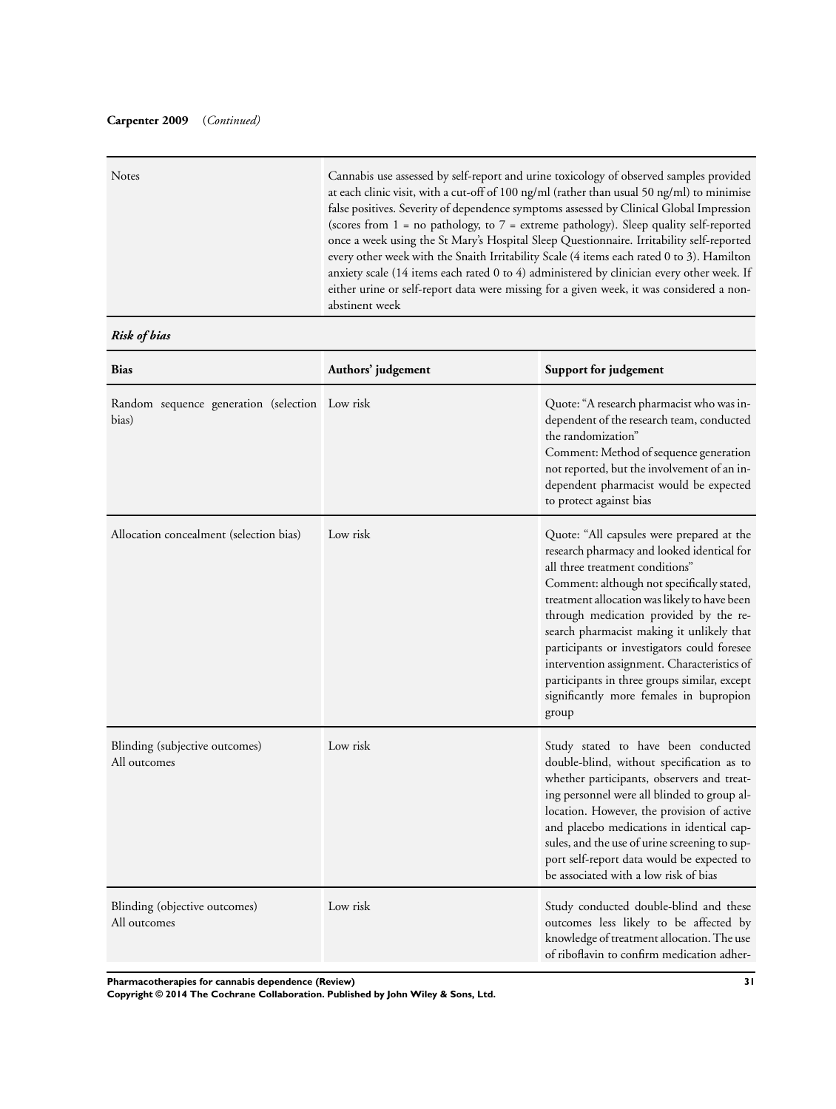# **Carpenter 2009** (*Continued)*

| at each clinic visit, with a cut-off of 100 ng/ml (rather than usual 50 ng/ml) to minimise<br>false positives. Severity of dependence symptoms assessed by Clinical Global Impression<br>(scores from $1 =$ no pathology, to $7 =$ extreme pathology). Sleep quality self-reported<br>once a week using the St Mary's Hospital Sleep Questionnaire. Irritability self-reported<br>every other week with the Snaith Irritability Scale (4 items each rated 0 to 3). Hamilton<br>anxiety scale (14 items each rated 0 to 4) administered by clinician every other week. If<br>either urine or self-report data were missing for a given week, it was considered a non-<br>abstinent week |
|----------------------------------------------------------------------------------------------------------------------------------------------------------------------------------------------------------------------------------------------------------------------------------------------------------------------------------------------------------------------------------------------------------------------------------------------------------------------------------------------------------------------------------------------------------------------------------------------------------------------------------------------------------------------------------------|
|----------------------------------------------------------------------------------------------------------------------------------------------------------------------------------------------------------------------------------------------------------------------------------------------------------------------------------------------------------------------------------------------------------------------------------------------------------------------------------------------------------------------------------------------------------------------------------------------------------------------------------------------------------------------------------------|

# *Risk of bias*

| <b>Bias</b>                                             | Authors' judgement | Support for judgement                                                                                                                                                                                                                                                                                                                                                                                                                                                                                             |
|---------------------------------------------------------|--------------------|-------------------------------------------------------------------------------------------------------------------------------------------------------------------------------------------------------------------------------------------------------------------------------------------------------------------------------------------------------------------------------------------------------------------------------------------------------------------------------------------------------------------|
| Random sequence generation (selection Low risk<br>bias) |                    | Quote: "A research pharmacist who was in-<br>dependent of the research team, conducted<br>the randomization"<br>Comment: Method of sequence generation<br>not reported, but the involvement of an in-<br>dependent pharmacist would be expected<br>to protect against bias                                                                                                                                                                                                                                        |
| Allocation concealment (selection bias)                 | Low risk           | Quote: "All capsules were prepared at the<br>research pharmacy and looked identical for<br>all three treatment conditions"<br>Comment: although not specifically stated,<br>treatment allocation was likely to have been<br>through medication provided by the re-<br>search pharmacist making it unlikely that<br>participants or investigators could foresee<br>intervention assignment. Characteristics of<br>participants in three groups similar, except<br>significantly more females in bupropion<br>group |
| Blinding (subjective outcomes)<br>All outcomes          | Low risk           | Study stated to have been conducted<br>double-blind, without specification as to<br>whether participants, observers and treat-<br>ing personnel were all blinded to group al-<br>location. However, the provision of active<br>and placebo medications in identical cap-<br>sules, and the use of urine screening to sup-<br>port self-report data would be expected to<br>be associated with a low risk of bias                                                                                                  |
| Blinding (objective outcomes)<br>All outcomes           | Low risk           | Study conducted double-blind and these<br>outcomes less likely to be affected by<br>knowledge of treatment allocation. The use<br>of riboflavin to confirm medication adher-                                                                                                                                                                                                                                                                                                                                      |

**Pharmacotherapies for cannabis dependence (Review) 31**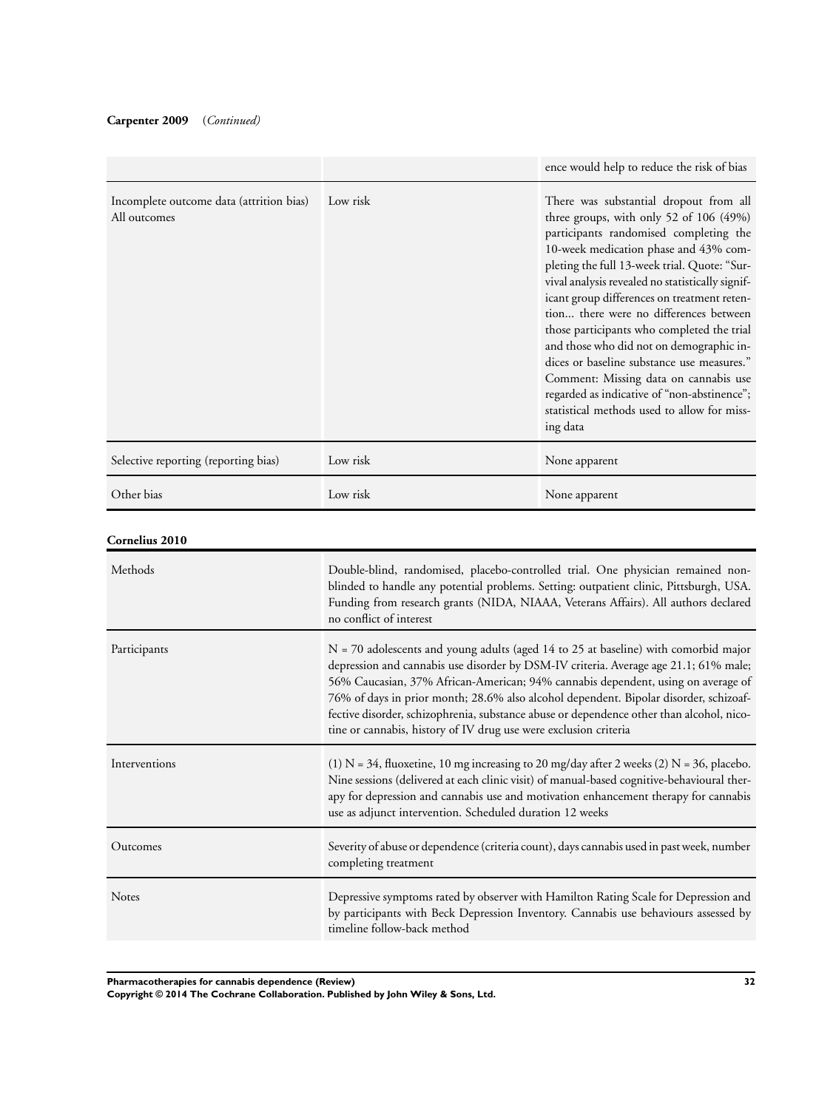# **Carpenter 2009** (*Continued)*

|                                                          |                                                                                                                                                                                                                                                                                                                                                                                                                                                                                                                            | ence would help to reduce the risk of bias                                                                                                                                                                                                                                                                                                                                                                                                                                                                                                                                                                                                                   |  |
|----------------------------------------------------------|----------------------------------------------------------------------------------------------------------------------------------------------------------------------------------------------------------------------------------------------------------------------------------------------------------------------------------------------------------------------------------------------------------------------------------------------------------------------------------------------------------------------------|--------------------------------------------------------------------------------------------------------------------------------------------------------------------------------------------------------------------------------------------------------------------------------------------------------------------------------------------------------------------------------------------------------------------------------------------------------------------------------------------------------------------------------------------------------------------------------------------------------------------------------------------------------------|--|
| Incomplete outcome data (attrition bias)<br>All outcomes | Low risk                                                                                                                                                                                                                                                                                                                                                                                                                                                                                                                   | There was substantial dropout from all<br>three groups, with only 52 of 106 (49%)<br>participants randomised completing the<br>10-week medication phase and 43% com-<br>pleting the full 13-week trial. Quote: "Sur-<br>vival analysis revealed no statistically signif-<br>icant group differences on treatment reten-<br>tion there were no differences between<br>those participants who completed the trial<br>and those who did not on demographic in-<br>dices or baseline substance use measures."<br>Comment: Missing data on cannabis use<br>regarded as indicative of "non-abstinence";<br>statistical methods used to allow for miss-<br>ing data |  |
| Selective reporting (reporting bias)                     | Low risk                                                                                                                                                                                                                                                                                                                                                                                                                                                                                                                   | None apparent                                                                                                                                                                                                                                                                                                                                                                                                                                                                                                                                                                                                                                                |  |
| Other bias                                               | Low risk                                                                                                                                                                                                                                                                                                                                                                                                                                                                                                                   | None apparent                                                                                                                                                                                                                                                                                                                                                                                                                                                                                                                                                                                                                                                |  |
| Cornelius 2010                                           |                                                                                                                                                                                                                                                                                                                                                                                                                                                                                                                            |                                                                                                                                                                                                                                                                                                                                                                                                                                                                                                                                                                                                                                                              |  |
| Methods                                                  | Double-blind, randomised, placebo-controlled trial. One physician remained non-<br>no conflict of interest                                                                                                                                                                                                                                                                                                                                                                                                                 | blinded to handle any potential problems. Setting: outpatient clinic, Pittsburgh, USA.<br>Funding from research grants (NIDA, NIAAA, Veterans Affairs). All authors declared                                                                                                                                                                                                                                                                                                                                                                                                                                                                                 |  |
| Participants                                             | $N = 70$ adolescents and young adults (aged 14 to 25 at baseline) with comorbid major<br>depression and cannabis use disorder by DSM-IV criteria. Average age 21.1; 61% male;<br>56% Caucasian, 37% African-American; 94% cannabis dependent, using on average of<br>76% of days in prior month; 28.6% also alcohol dependent. Bipolar disorder, schizoaf-<br>fective disorder, schizophrenia, substance abuse or dependence other than alcohol, nico-<br>tine or cannabis, history of IV drug use were exclusion criteria |                                                                                                                                                                                                                                                                                                                                                                                                                                                                                                                                                                                                                                                              |  |
| Interventions                                            | (1) N = 34, fluoxetine, 10 mg increasing to 20 mg/day after 2 weeks (2) N = 36, placebo.<br>Nine sessions (delivered at each clinic visit) of manual-based cognitive-behavioural ther-<br>apy for depression and cannabis use and motivation enhancement therapy for cannabis<br>use as adjunct intervention. Scheduled duration 12 weeks                                                                                                                                                                                  |                                                                                                                                                                                                                                                                                                                                                                                                                                                                                                                                                                                                                                                              |  |
| Outcomes                                                 | completing treatment                                                                                                                                                                                                                                                                                                                                                                                                                                                                                                       | Severity of abuse or dependence (criteria count), days cannabis used in past week, number                                                                                                                                                                                                                                                                                                                                                                                                                                                                                                                                                                    |  |
| Notes                                                    | timeline follow-back method                                                                                                                                                                                                                                                                                                                                                                                                                                                                                                | Depressive symptoms rated by observer with Hamilton Rating Scale for Depression and<br>by participants with Beck Depression Inventory. Cannabis use behaviours assessed by                                                                                                                                                                                                                                                                                                                                                                                                                                                                                   |  |

**Pharmacotherapies for cannabis dependence (Review) 32**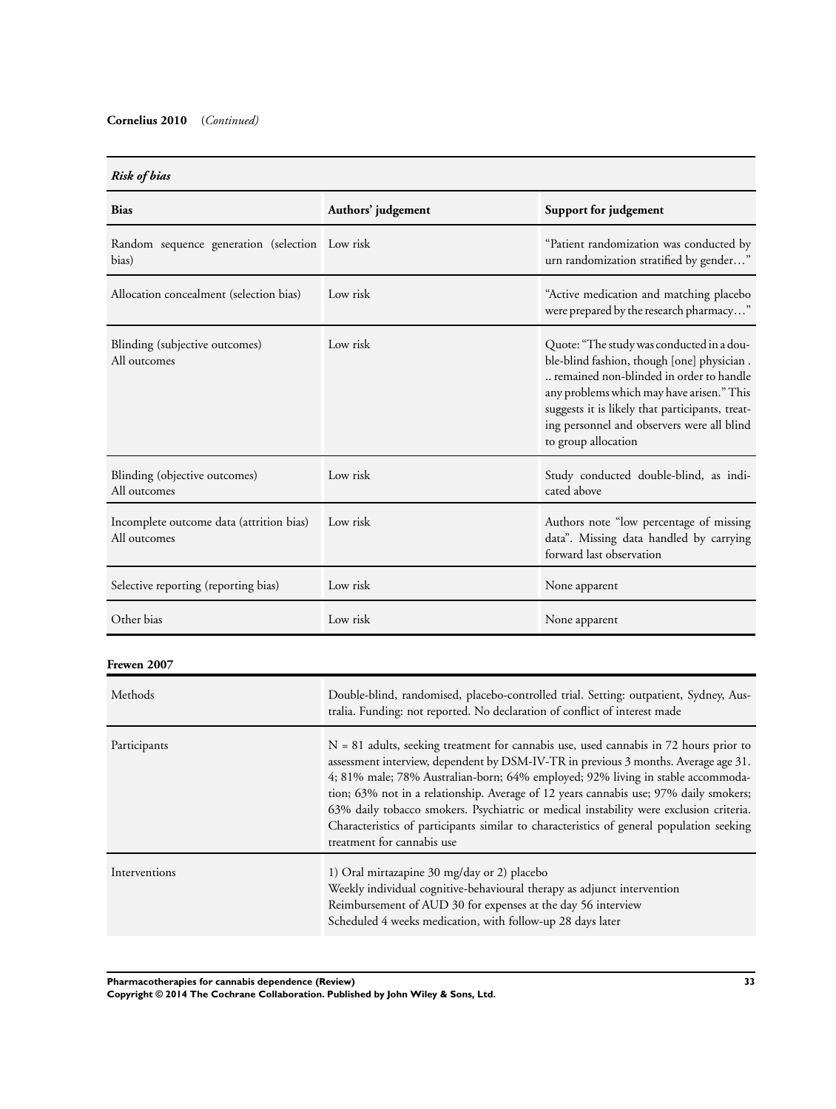# *Risk of bias*

| <b>Bias</b>                                              | Authors' judgement | Support for judgement                                                                                                                                                                                                                                                                                   |
|----------------------------------------------------------|--------------------|---------------------------------------------------------------------------------------------------------------------------------------------------------------------------------------------------------------------------------------------------------------------------------------------------------|
| Random sequence generation (selection Low risk<br>bias)  |                    | "Patient randomization was conducted by<br>urn randomization stratified by gender"                                                                                                                                                                                                                      |
| Allocation concealment (selection bias)                  | Low risk           | "Active medication and matching placebo<br>were prepared by the research pharmacy"                                                                                                                                                                                                                      |
| Blinding (subjective outcomes)<br>All outcomes           | Low risk           | Quote: "The study was conducted in a dou-<br>ble-blind fashion, though [one] physician.<br>remained non-blinded in order to handle<br>any problems which may have arisen." This<br>suggests it is likely that participants, treat-<br>ing personnel and observers were all blind<br>to group allocation |
| Blinding (objective outcomes)<br>All outcomes            | Low risk           | Study conducted double-blind, as indi-<br>cated above                                                                                                                                                                                                                                                   |
| Incomplete outcome data (attrition bias)<br>All outcomes | Low risk           | Authors note "low percentage of missing<br>data". Missing data handled by carrying<br>forward last observation                                                                                                                                                                                          |
| Selective reporting (reporting bias)                     | Low risk           | None apparent                                                                                                                                                                                                                                                                                           |
| Other bias                                               | Low risk           | None apparent                                                                                                                                                                                                                                                                                           |

# **Frewen 2007**

| Methods       | Double-blind, randomised, placebo-controlled trial. Setting: outpatient, Sydney, Aus-<br>tralia. Funding: not reported. No declaration of conflict of interest made                                                                                                                                                                                                                                                                                                                                                                                                           |
|---------------|-------------------------------------------------------------------------------------------------------------------------------------------------------------------------------------------------------------------------------------------------------------------------------------------------------------------------------------------------------------------------------------------------------------------------------------------------------------------------------------------------------------------------------------------------------------------------------|
| Participants  | $N = 81$ adults, seeking treatment for cannabis use, used cannabis in 72 hours prior to<br>assessment interview, dependent by DSM-IV-TR in previous 3 months. Average age 31.<br>4; 81% male; 78% Australian-born; 64% employed; 92% living in stable accommoda-<br>tion; 63% not in a relationship. Average of 12 years cannabis use; 97% daily smokers;<br>63% daily tobacco smokers. Psychiatric or medical instability were exclusion criteria.<br>Characteristics of participants similar to characteristics of general population seeking<br>treatment for cannabis use |
| Interventions | 1) Oral mirtazapine 30 mg/day or 2) placebo<br>Weekly individual cognitive-behavioural therapy as adjunct intervention<br>Reimbursement of AUD 30 for expenses at the day 56 interview<br>Scheduled 4 weeks medication, with follow-up 28 days later                                                                                                                                                                                                                                                                                                                          |

**Pharmacotherapies for cannabis dependence (Review) 33**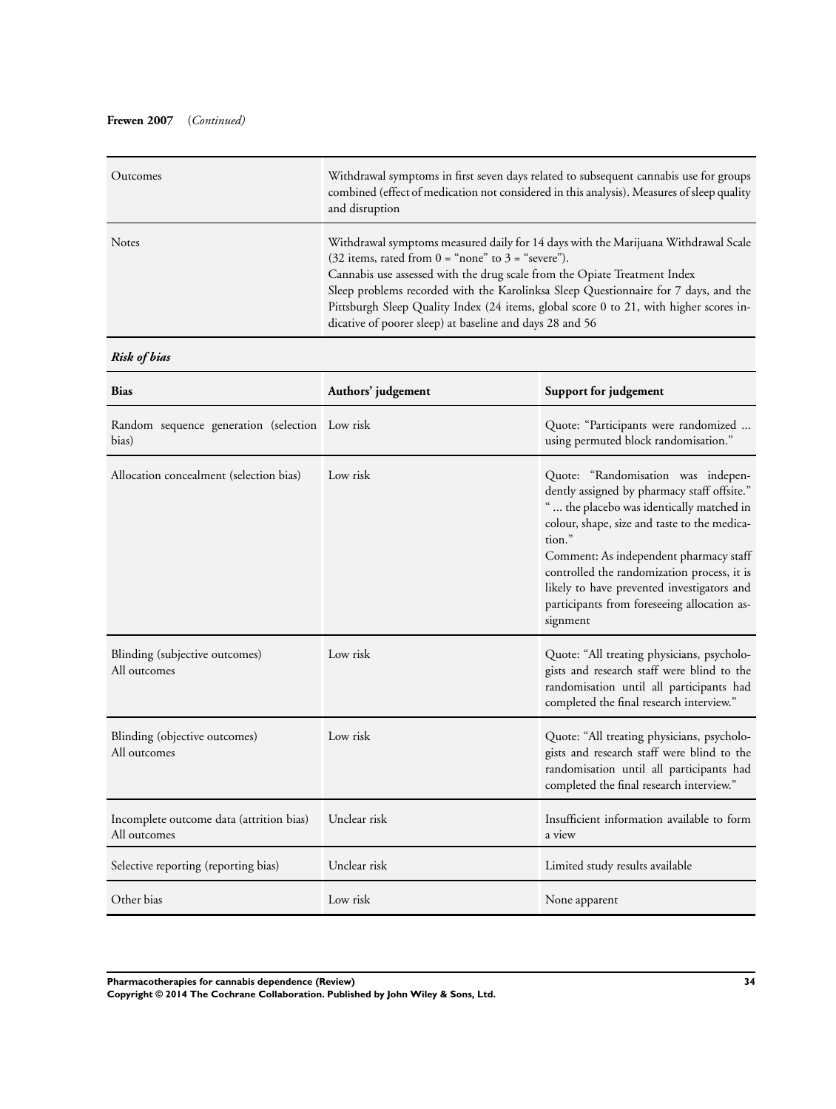# **Frewen 2007** (*Continued)*

| Outcomes     | Withdrawal symptoms in first seven days related to subsequent cannabis use for groups<br>combined (effect of medication not considered in this analysis). Measures of sleep quality<br>and disruption                                                                                                                                                                                                                                                                                                 |
|--------------|-------------------------------------------------------------------------------------------------------------------------------------------------------------------------------------------------------------------------------------------------------------------------------------------------------------------------------------------------------------------------------------------------------------------------------------------------------------------------------------------------------|
| <b>Notes</b> | Withdrawal symptoms measured daily for 14 days with the Marijuana Withdrawal Scale<br>$(32 \text{ items}, \text{ rated from } 0 = \text{"none" to } 3 = \text{``severe").}$<br>Cannabis use assessed with the drug scale from the Opiate Treatment Index<br>Sleep problems recorded with the Karolinksa Sleep Questionnaire for 7 days, and the<br>Pittsburgh Sleep Quality Index (24 items, global score 0 to 21, with higher scores in-<br>dicative of poorer sleep) at baseline and days 28 and 56 |

# *Risk of bias*

| <b>Bias</b>                                              | Authors' judgement | Support for judgement                                                                                                                                                                                                                                                                                                                                                                      |
|----------------------------------------------------------|--------------------|--------------------------------------------------------------------------------------------------------------------------------------------------------------------------------------------------------------------------------------------------------------------------------------------------------------------------------------------------------------------------------------------|
| Random sequence generation (selection Low risk<br>bias)  |                    | Quote: "Participants were randomized<br>using permuted block randomisation."                                                                                                                                                                                                                                                                                                               |
| Allocation concealment (selection bias)                  | Low risk           | Quote: "Randomisation was indepen-<br>dently assigned by pharmacy staff offsite."<br>"  the placebo was identically matched in<br>colour, shape, size and taste to the medica-<br>tion."<br>Comment: As independent pharmacy staff<br>controlled the randomization process, it is<br>likely to have prevented investigators and<br>participants from foreseeing allocation as-<br>signment |
| Blinding (subjective outcomes)<br>All outcomes           | Low risk           | Quote: "All treating physicians, psycholo-<br>gists and research staff were blind to the<br>randomisation until all participants had<br>completed the final research interview."                                                                                                                                                                                                           |
| Blinding (objective outcomes)<br>All outcomes            | Low risk           | Quote: "All treating physicians, psycholo-<br>gists and research staff were blind to the<br>randomisation until all participants had<br>completed the final research interview."                                                                                                                                                                                                           |
| Incomplete outcome data (attrition bias)<br>All outcomes | Unclear risk       | Insufficient information available to form<br>a view                                                                                                                                                                                                                                                                                                                                       |
| Selective reporting (reporting bias)                     | Unclear risk       | Limited study results available                                                                                                                                                                                                                                                                                                                                                            |
| Other bias                                               | Low risk           | None apparent                                                                                                                                                                                                                                                                                                                                                                              |

**Pharmacotherapies for cannabis dependence (Review) 34**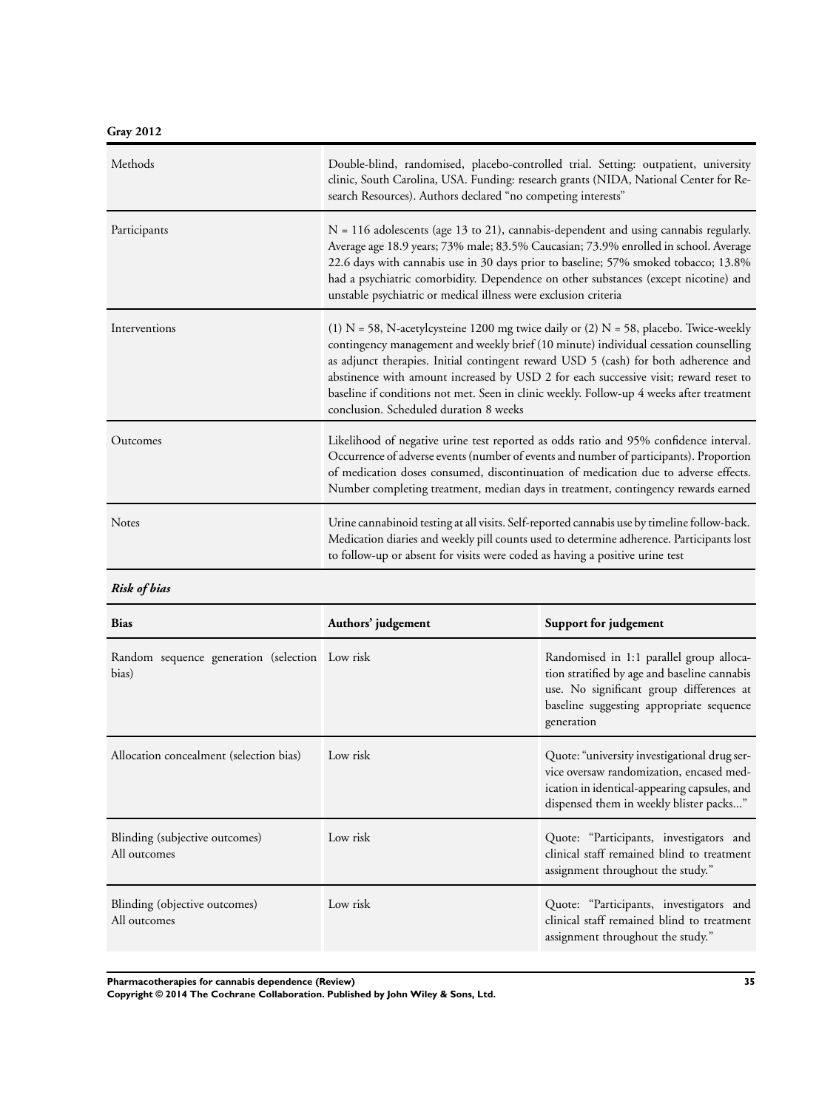**Gray 2012**

| Methods       | Double-blind, randomised, placebo-controlled trial. Setting: outpatient, university<br>clinic, South Carolina, USA. Funding: research grants (NIDA, National Center for Re-<br>search Resources). Authors declared "no competing interests"                                                                                                                                                                                                                                                              |
|---------------|----------------------------------------------------------------------------------------------------------------------------------------------------------------------------------------------------------------------------------------------------------------------------------------------------------------------------------------------------------------------------------------------------------------------------------------------------------------------------------------------------------|
| Participants  | $N = 116$ adolescents (age 13 to 21), cannabis-dependent and using cannabis regularly.<br>Average age 18.9 years; 73% male; 83.5% Caucasian; 73.9% enrolled in school. Average<br>22.6 days with cannabis use in 30 days prior to baseline; 57% smoked tobacco; 13.8%<br>had a psychiatric comorbidity. Dependence on other substances (except nicotine) and<br>unstable psychiatric or medical illness were exclusion criteria                                                                          |
| Interventions | (1) $N = 58$ , N-acetylcysteine 1200 mg twice daily or (2) $N = 58$ , placebo. Twice-weekly<br>contingency management and weekly brief (10 minute) individual cessation counselling<br>as adjunct therapies. Initial contingent reward USD 5 (cash) for both adherence and<br>abstinence with amount increased by USD 2 for each successive visit; reward reset to<br>baseline if conditions not met. Seen in clinic weekly. Follow-up 4 weeks after treatment<br>conclusion. Scheduled duration 8 weeks |
| Outcomes      | Likelihood of negative urine test reported as odds ratio and 95% confidence interval.<br>Occurrence of adverse events (number of events and number of participants). Proportion<br>of medication doses consumed, discontinuation of medication due to adverse effects.<br>Number completing treatment, median days in treatment, contingency rewards earned                                                                                                                                              |
| <b>Notes</b>  | Urine cannabinoid testing at all visits. Self-reported cannabis use by timeline follow-back.<br>Medication diaries and weekly pill counts used to determine adherence. Participants lost<br>to follow-up or absent for visits were coded as having a positive urine test                                                                                                                                                                                                                                 |

*Risk of bias*

| <b>Bias</b>                                             | Authors' judgement | Support for judgement                                                                                                                                                                          |
|---------------------------------------------------------|--------------------|------------------------------------------------------------------------------------------------------------------------------------------------------------------------------------------------|
| Random sequence generation (selection Low risk<br>bias) |                    | Randomised in 1:1 parallel group alloca-<br>tion stratified by age and baseline cannabis<br>use. No significant group differences at<br>baseline suggesting appropriate sequence<br>generation |
| Allocation concealment (selection bias)                 | Low risk           | Quote: "university investigational drug ser-<br>vice oversaw randomization, encased med-<br>ication in identical-appearing capsules, and<br>dispensed them in weekly blister packs"            |
| Blinding (subjective outcomes)<br>All outcomes          | Low risk           | Quote: "Participants, investigators and<br>clinical staff remained blind to treatment<br>assignment throughout the study."                                                                     |
| Blinding (objective outcomes)<br>All outcomes           | Low risk           | Quote: "Participants, investigators and<br>clinical staff remained blind to treatment<br>assignment throughout the study."                                                                     |

**Pharmacotherapies for cannabis dependence (Review) 35**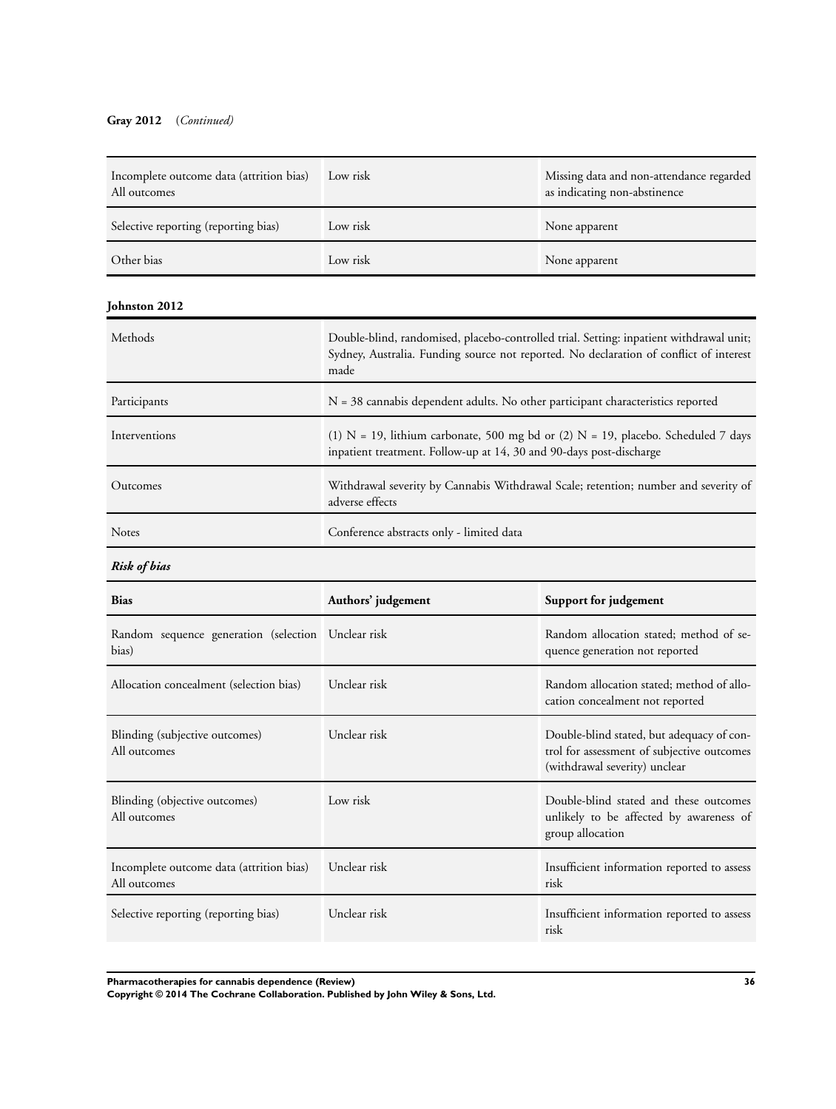# **Gray 2012** (*Continued)*

| Incomplete outcome data (attrition bias)<br>All outcomes    | Low risk                                                                                                                                                                                  | Missing data and non-attendance regarded<br>as indicating non-abstinence                                                 |
|-------------------------------------------------------------|-------------------------------------------------------------------------------------------------------------------------------------------------------------------------------------------|--------------------------------------------------------------------------------------------------------------------------|
| Selective reporting (reporting bias)                        | Low risk                                                                                                                                                                                  | None apparent                                                                                                            |
| Other bias                                                  | Low risk                                                                                                                                                                                  | None apparent                                                                                                            |
| Johnston 2012                                               |                                                                                                                                                                                           |                                                                                                                          |
| Methods                                                     | Double-blind, randomised, placebo-controlled trial. Setting: inpatient withdrawal unit;<br>Sydney, Australia. Funding source not reported. No declaration of conflict of interest<br>made |                                                                                                                          |
| Participants                                                | $N = 38$ cannabis dependent adults. No other participant characteristics reported                                                                                                         |                                                                                                                          |
| Interventions                                               | (1) $N = 19$ , lithium carbonate, 500 mg bd or (2) $N = 19$ , placebo. Scheduled 7 days<br>inpatient treatment. Follow-up at 14, 30 and 90-days post-discharge                            |                                                                                                                          |
| Outcomes                                                    | Withdrawal severity by Cannabis Withdrawal Scale; retention; number and severity of<br>adverse effects                                                                                    |                                                                                                                          |
| Notes                                                       | Conference abstracts only - limited data                                                                                                                                                  |                                                                                                                          |
| <b>Risk of bias</b>                                         |                                                                                                                                                                                           |                                                                                                                          |
|                                                             |                                                                                                                                                                                           |                                                                                                                          |
| <b>Bias</b>                                                 | Authors' judgement                                                                                                                                                                        | Support for judgement                                                                                                    |
| Random sequence generation (selection Unclear risk<br>bias) |                                                                                                                                                                                           | Random allocation stated; method of se-<br>quence generation not reported                                                |
| Allocation concealment (selection bias)                     | Unclear risk                                                                                                                                                                              | Random allocation stated; method of allo-<br>cation concealment not reported                                             |
| Blinding (subjective outcomes)<br>All outcomes              | Unclear risk                                                                                                                                                                              | Double-blind stated, but adequacy of con-<br>trol for assessment of subjective outcomes<br>(withdrawal severity) unclear |
| Blinding (objective outcomes)<br>All outcomes               | Low risk                                                                                                                                                                                  | Double-blind stated and these outcomes<br>unlikely to be affected by awareness of<br>group allocation                    |
| Incomplete outcome data (attrition bias)<br>All outcomes    | Unclear risk                                                                                                                                                                              | Insufficient information reported to assess<br>risk                                                                      |

**Pharmacotherapies for cannabis dependence (Review) 36**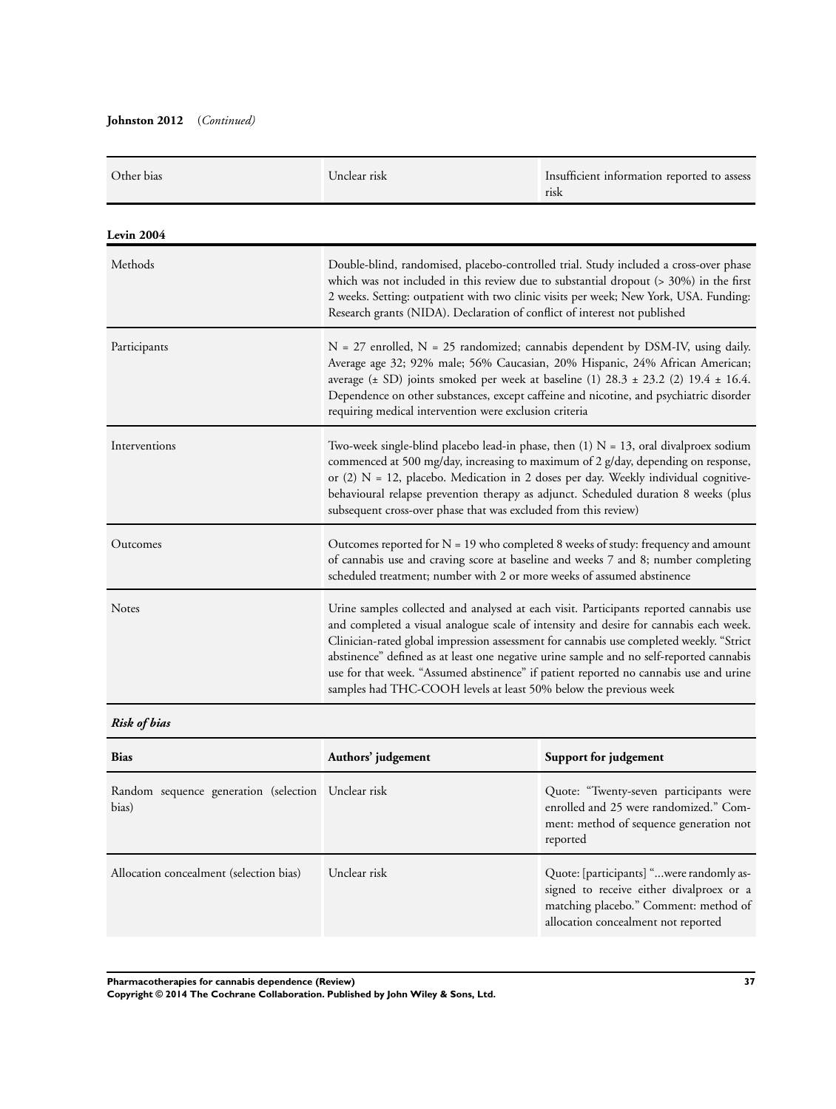| Other bias    | Unclear risk                                                                                                                                                                                                                                                                                                                                                                                                                                                                                                                       | Insufficient information reported to assess<br>risk |
|---------------|------------------------------------------------------------------------------------------------------------------------------------------------------------------------------------------------------------------------------------------------------------------------------------------------------------------------------------------------------------------------------------------------------------------------------------------------------------------------------------------------------------------------------------|-----------------------------------------------------|
| Levin 2004    |                                                                                                                                                                                                                                                                                                                                                                                                                                                                                                                                    |                                                     |
| Methods       | Double-blind, randomised, placebo-controlled trial. Study included a cross-over phase<br>which was not included in this review due to substantial dropout $($ > 30%) in the first<br>2 weeks. Setting: outpatient with two clinic visits per week; New York, USA. Funding:<br>Research grants (NIDA). Declaration of conflict of interest not published                                                                                                                                                                            |                                                     |
| Participants  | $N = 27$ enrolled, $N = 25$ randomized; cannabis dependent by DSM-IV, using daily.<br>Average age 32; 92% male; 56% Caucasian, 20% Hispanic, 24% African American;<br>average ( $\pm$ SD) joints smoked per week at baseline (1) 28.3 $\pm$ 23.2 (2) 19.4 $\pm$ 16.4.<br>Dependence on other substances, except caffeine and nicotine, and psychiatric disorder<br>requiring medical intervention were exclusion criteria                                                                                                          |                                                     |
| Interventions | Two-week single-blind placebo lead-in phase, then $(1)$ N = 13, oral divalproex sodium<br>commenced at 500 mg/day, increasing to maximum of 2 g/day, depending on response,<br>or $(2)$ N = 12, placebo. Medication in 2 doses per day. Weekly individual cognitive-<br>behavioural relapse prevention therapy as adjunct. Scheduled duration 8 weeks (plus<br>subsequent cross-over phase that was excluded from this review)                                                                                                     |                                                     |
| Outcomes      | Outcomes reported for $N = 19$ who completed 8 weeks of study: frequency and amount<br>of cannabis use and craving score at baseline and weeks 7 and 8; number completing<br>scheduled treatment; number with 2 or more weeks of assumed abstinence                                                                                                                                                                                                                                                                                |                                                     |
| <b>Notes</b>  | Urine samples collected and analysed at each visit. Participants reported cannabis use<br>and completed a visual analogue scale of intensity and desire for cannabis each week.<br>Clinician-rated global impression assessment for cannabis use completed weekly. "Strict<br>abstinence" defined as at least one negative urine sample and no self-reported cannabis<br>use for that week. "Assumed abstinence" if patient reported no cannabis use and urine<br>samples had THC-COOH levels at least 50% below the previous week |                                                     |

# *Risk of bias*

| <b>Bias</b>                                                 | Authors' judgement | Support for judgement                                                                                                                                                |
|-------------------------------------------------------------|--------------------|----------------------------------------------------------------------------------------------------------------------------------------------------------------------|
| Random sequence generation (selection Unclear risk<br>bias) |                    | Quote: "Twenty-seven participants were<br>enrolled and 25 were randomized." Com-<br>ment: method of sequence generation not<br>reported                              |
| Allocation concealment (selection bias)                     | Unclear risk       | Quote: [participants] "were randomly as-<br>signed to receive either divalproex or a<br>matching placebo." Comment: method of<br>allocation concealment not reported |

**Pharmacotherapies for cannabis dependence (Review) 37**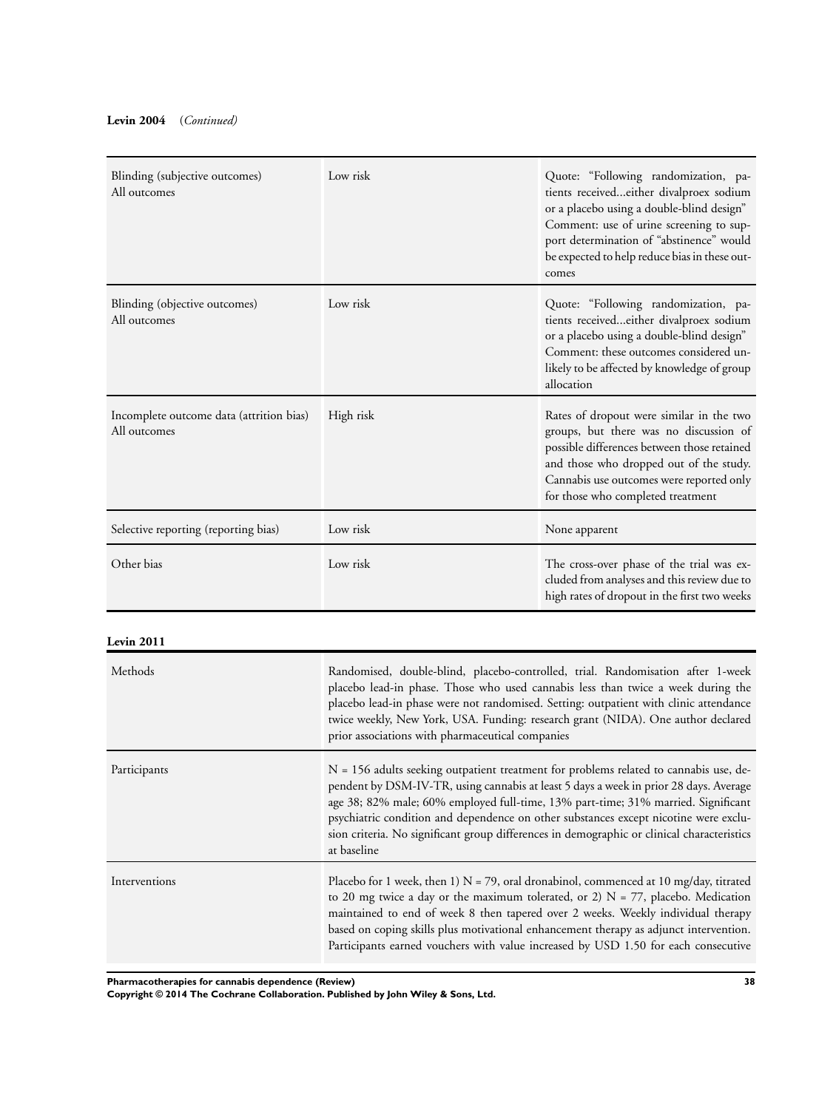| Blinding (subjective outcomes)<br>All outcomes           | Low risk  | Quote: "Following randomization, pa-<br>tients receivedeither divalproex sodium<br>or a placebo using a double-blind design"<br>Comment: use of urine screening to sup-<br>port determination of "abstinence" would<br>be expected to help reduce bias in these out-<br>comes |
|----------------------------------------------------------|-----------|-------------------------------------------------------------------------------------------------------------------------------------------------------------------------------------------------------------------------------------------------------------------------------|
| Blinding (objective outcomes)<br>All outcomes            | Low risk  | Quote: "Following randomization, pa-<br>tients receivedeither divalproex sodium<br>or a placebo using a double-blind design"<br>Comment: these outcomes considered un-<br>likely to be affected by knowledge of group<br>allocation                                           |
| Incomplete outcome data (attrition bias)<br>All outcomes | High risk | Rates of dropout were similar in the two<br>groups, but there was no discussion of<br>possible differences between those retained<br>and those who dropped out of the study.<br>Cannabis use outcomes were reported only<br>for those who completed treatment                 |
| Selective reporting (reporting bias)                     | Low risk  | None apparent                                                                                                                                                                                                                                                                 |
| Other bias                                               | Low risk  | The cross-over phase of the trial was ex-<br>cluded from analyses and this review due to<br>high rates of dropout in the first two weeks                                                                                                                                      |

# **Levin 2011**

| Methods       | Randomised, double-blind, placebo-controlled, trial. Randomisation after 1-week<br>placebo lead-in phase. Those who used cannabis less than twice a week during the<br>placebo lead-in phase were not randomised. Setting: outpatient with clinic attendance<br>twice weekly, New York, USA. Funding: research grant (NIDA). One author declared<br>prior associations with pharmaceutical companies                                                                       |
|---------------|----------------------------------------------------------------------------------------------------------------------------------------------------------------------------------------------------------------------------------------------------------------------------------------------------------------------------------------------------------------------------------------------------------------------------------------------------------------------------|
| Participants  | $N = 156$ adults seeking outpatient treatment for problems related to cannabis use, de-<br>pendent by DSM-IV-TR, using cannabis at least 5 days a week in prior 28 days. Average<br>age 38; 82% male; 60% employed full-time, 13% part-time; 31% married. Significant<br>psychiatric condition and dependence on other substances except nicotine were exclu-<br>sion criteria. No significant group differences in demographic or clinical characteristics<br>at baseline |
| Interventions | Placebo for 1 week, then 1) $N = 79$ , oral dronabinol, commenced at 10 mg/day, titrated<br>to 20 mg twice a day or the maximum tolerated, or 2) $N = 77$ , placebo. Medication<br>maintained to end of week 8 then tapered over 2 weeks. Weekly individual therapy<br>based on coping skills plus motivational enhancement therapy as adjunct intervention.<br>Participants earned vouchers with value increased by USD 1.50 for each consecutive                         |

**Pharmacotherapies for cannabis dependence (Review) 38**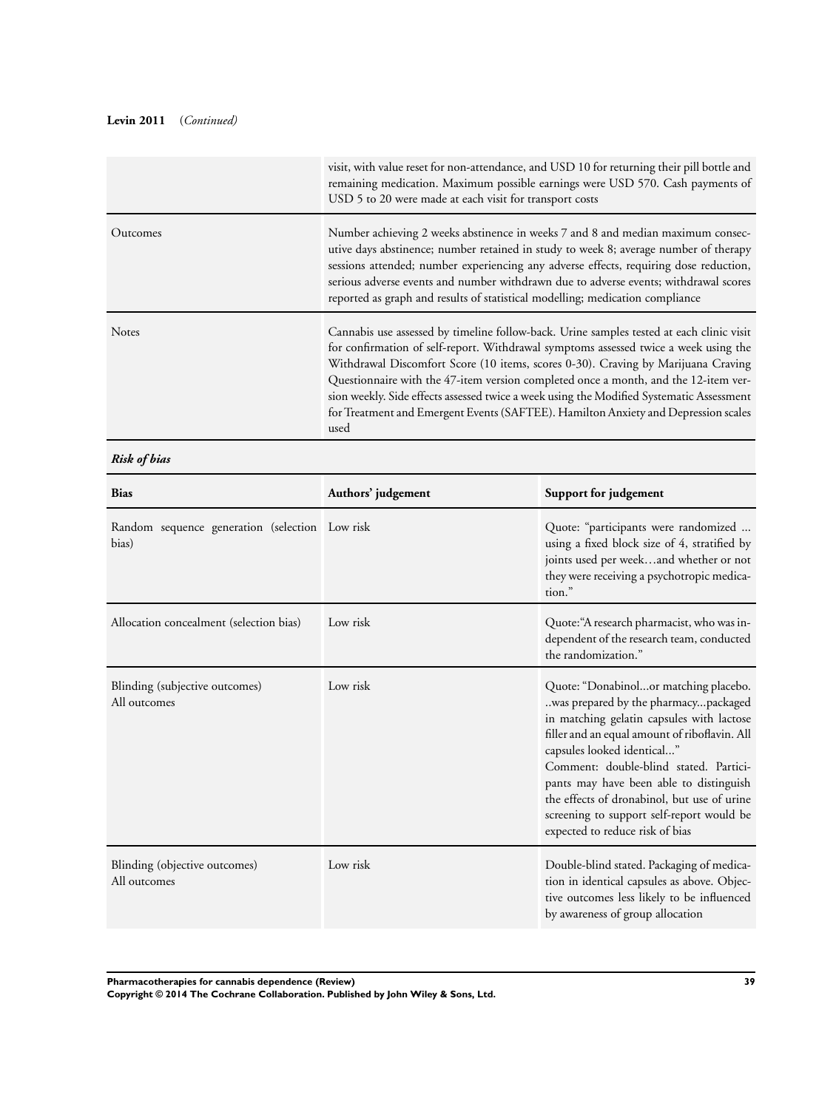|              | visit, with value reset for non-attendance, and USD 10 for returning their pill bottle and<br>remaining medication. Maximum possible earnings were USD 570. Cash payments of<br>USD 5 to 20 were made at each visit for transport costs                                                                                                                                                                                                                                                                                                                |
|--------------|--------------------------------------------------------------------------------------------------------------------------------------------------------------------------------------------------------------------------------------------------------------------------------------------------------------------------------------------------------------------------------------------------------------------------------------------------------------------------------------------------------------------------------------------------------|
| Outcomes     | Number achieving 2 weeks abstinence in weeks 7 and 8 and median maximum consec-<br>utive days abstinence; number retained in study to week 8; average number of therapy<br>sessions attended; number experiencing any adverse effects, requiring dose reduction,<br>serious adverse events and number withdrawn due to adverse events; withdrawal scores<br>reported as graph and results of statistical modelling; medication compliance                                                                                                              |
| <b>Notes</b> | Cannabis use assessed by timeline follow-back. Urine samples tested at each clinic visit<br>for confirmation of self-report. Withdrawal symptoms assessed twice a week using the<br>Withdrawal Discomfort Score (10 items, scores 0-30). Craving by Marijuana Craving<br>Questionnaire with the 47-item version completed once a month, and the 12-item ver-<br>sion weekly. Side effects assessed twice a week using the Modified Systematic Assessment<br>for Treatment and Emergent Events (SAFTEE). Hamilton Anxiety and Depression scales<br>used |

*Risk of bias*

| <b>Bias</b>                                             | Authors' judgement | Support for judgement                                                                                                                                                                                                                                                                                                                                                                                                         |
|---------------------------------------------------------|--------------------|-------------------------------------------------------------------------------------------------------------------------------------------------------------------------------------------------------------------------------------------------------------------------------------------------------------------------------------------------------------------------------------------------------------------------------|
| Random sequence generation (selection Low risk<br>bias) |                    | Quote: "participants were randomized<br>using a fixed block size of 4, stratified by<br>joints used per weekand whether or not<br>they were receiving a psychotropic medica-<br>tion."                                                                                                                                                                                                                                        |
| Allocation concealment (selection bias)                 | Low risk           | Quote: "A research pharmacist, who was in-<br>dependent of the research team, conducted<br>the randomization."                                                                                                                                                                                                                                                                                                                |
| Blinding (subjective outcomes)<br>All outcomes          | Low risk           | Quote: "Donabinolor matching placebo.<br>was prepared by the pharmacypackaged<br>in matching gelatin capsules with lactose<br>filler and an equal amount of riboflavin. All<br>capsules looked identical"<br>Comment: double-blind stated. Partici-<br>pants may have been able to distinguish<br>the effects of dronabinol, but use of urine<br>screening to support self-report would be<br>expected to reduce risk of bias |
| Blinding (objective outcomes)<br>All outcomes           | Low risk           | Double-blind stated. Packaging of medica-<br>tion in identical capsules as above. Objec-<br>tive outcomes less likely to be influenced<br>by awareness of group allocation                                                                                                                                                                                                                                                    |

**Pharmacotherapies for cannabis dependence (Review) 39 Copyright © 2014 The Cochrane Collaboration. Published by John Wiley & Sons, Ltd.**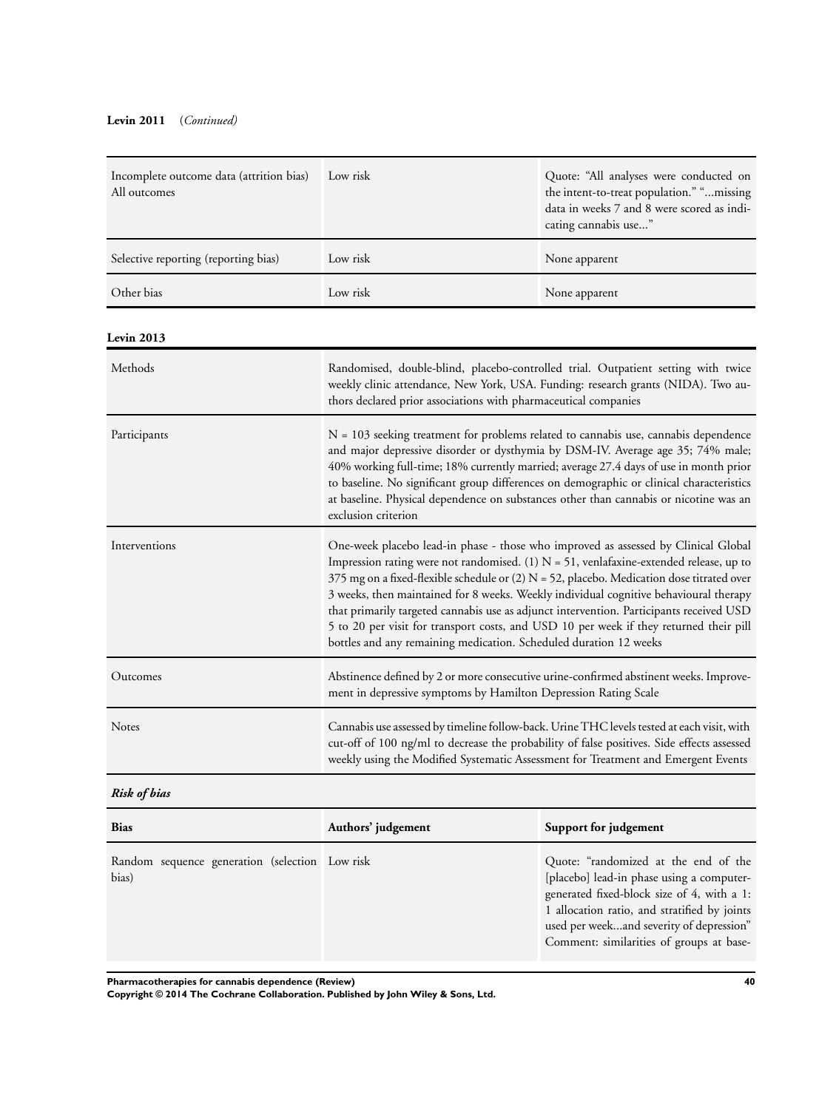| Incomplete outcome data (attrition bias)<br>All outcomes | Low risk                                                                                                                                                                                                                                                                                                                                                                                                                                                                                                                                                                                                                        | Quote: "All analyses were conducted on<br>the intent-to-treat population." "missing<br>data in weeks 7 and 8 were scored as indi-<br>cating cannabis use" |
|----------------------------------------------------------|---------------------------------------------------------------------------------------------------------------------------------------------------------------------------------------------------------------------------------------------------------------------------------------------------------------------------------------------------------------------------------------------------------------------------------------------------------------------------------------------------------------------------------------------------------------------------------------------------------------------------------|-----------------------------------------------------------------------------------------------------------------------------------------------------------|
| Selective reporting (reporting bias)                     | Low risk                                                                                                                                                                                                                                                                                                                                                                                                                                                                                                                                                                                                                        | None apparent                                                                                                                                             |
| Other bias                                               | Low risk                                                                                                                                                                                                                                                                                                                                                                                                                                                                                                                                                                                                                        | None apparent                                                                                                                                             |
| Levin 2013                                               |                                                                                                                                                                                                                                                                                                                                                                                                                                                                                                                                                                                                                                 |                                                                                                                                                           |
| Methods                                                  | Randomised, double-blind, placebo-controlled trial. Outpatient setting with twice<br>weekly clinic attendance, New York, USA. Funding: research grants (NIDA). Two au-<br>thors declared prior associations with pharmaceutical companies                                                                                                                                                                                                                                                                                                                                                                                       |                                                                                                                                                           |
| Participants                                             | $N = 103$ seeking treatment for problems related to cannabis use, cannabis dependence<br>and major depressive disorder or dysthymia by DSM-IV. Average age 35; 74% male;<br>40% working full-time; 18% currently married; average 27.4 days of use in month prior<br>to baseline. No significant group differences on demographic or clinical characteristics<br>at baseline. Physical dependence on substances other than cannabis or nicotine was an<br>exclusion criterion                                                                                                                                                   |                                                                                                                                                           |
| Interventions                                            | One-week placebo lead-in phase - those who improved as assessed by Clinical Global<br>Impression rating were not randomised. (1) $N = 51$ , venlafaxine-extended release, up to<br>375 mg on a fixed-flexible schedule or (2) N = 52, placebo. Medication dose titrated over<br>3 weeks, then maintained for 8 weeks. Weekly individual cognitive behavioural therapy<br>that primarily targeted cannabis use as adjunct intervention. Participants received USD<br>5 to 20 per visit for transport costs, and USD 10 per week if they returned their pill<br>bottles and any remaining medication. Scheduled duration 12 weeks |                                                                                                                                                           |
| Outcomes                                                 | Abstinence defined by 2 or more consecutive urine-confirmed abstinent weeks. Improve-<br>ment in depressive symptoms by Hamilton Depression Rating Scale                                                                                                                                                                                                                                                                                                                                                                                                                                                                        |                                                                                                                                                           |
| Notes                                                    | Cannabis use assessed by timeline follow-back. Urine THC levels tested at each visit, with<br>cut-off of 100 ng/ml to decrease the probability of false positives. Side effects assessed<br>weekly using the Modified Systematic Assessment for Treatment and Emergent Events                                                                                                                                                                                                                                                                                                                                                   |                                                                                                                                                           |

# *Risk of bias*

| <b>Bias</b>                                             | Authors' judgement | Support for judgement                                                                                                                                                                                                                                                   |
|---------------------------------------------------------|--------------------|-------------------------------------------------------------------------------------------------------------------------------------------------------------------------------------------------------------------------------------------------------------------------|
| Random sequence generation (selection Low risk<br>bias) |                    | Quote: "randomized at the end of the<br>[placebo] lead-in phase using a computer-<br>generated fixed-block size of 4, with a 1:<br>1 allocation ratio, and stratified by joints<br>used per weekand severity of depression"<br>Comment: similarities of groups at base- |

**Pharmacotherapies for cannabis dependence (Review) 40**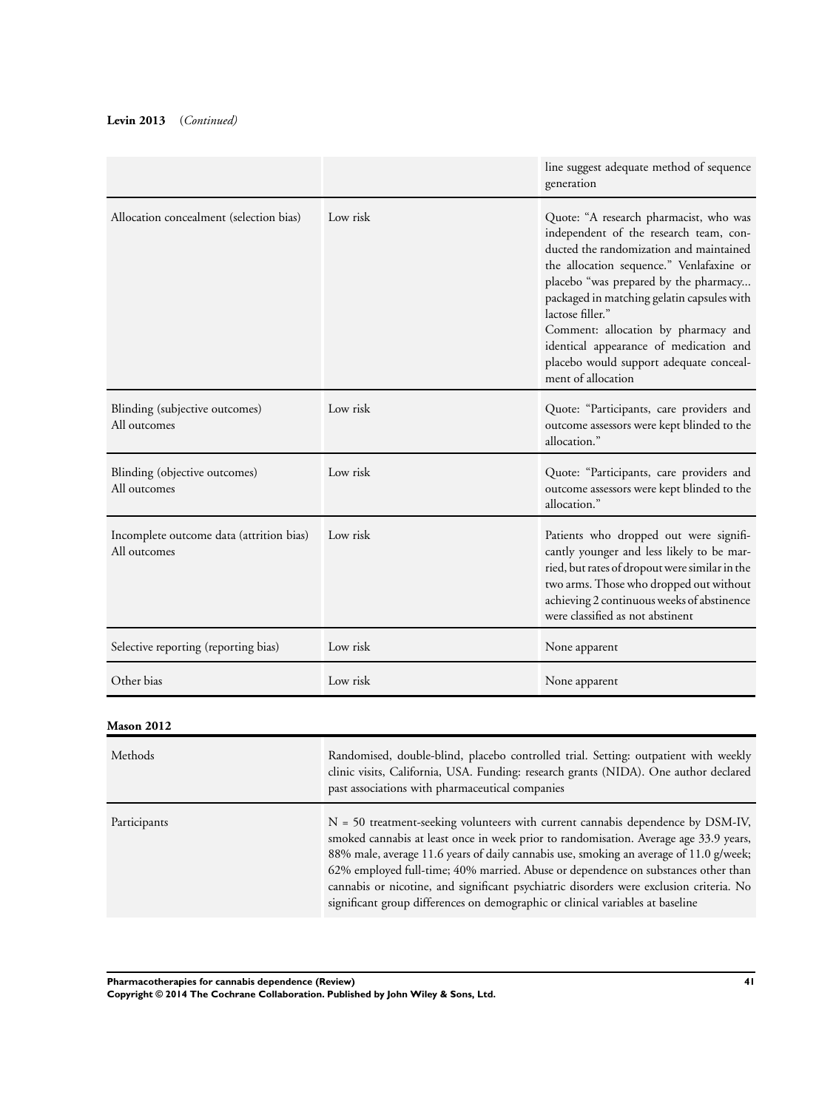|                                                          |                                                                                                                                                                                                                                                                                                                                                                                                                                                                                                                                        | line suggest adequate method of sequence<br>generation                                                                                                                                                                                                                                                                                                                                                                               |
|----------------------------------------------------------|----------------------------------------------------------------------------------------------------------------------------------------------------------------------------------------------------------------------------------------------------------------------------------------------------------------------------------------------------------------------------------------------------------------------------------------------------------------------------------------------------------------------------------------|--------------------------------------------------------------------------------------------------------------------------------------------------------------------------------------------------------------------------------------------------------------------------------------------------------------------------------------------------------------------------------------------------------------------------------------|
| Allocation concealment (selection bias)                  | Low risk                                                                                                                                                                                                                                                                                                                                                                                                                                                                                                                               | Quote: "A research pharmacist, who was<br>independent of the research team, con-<br>ducted the randomization and maintained<br>the allocation sequence." Venlafaxine or<br>placebo "was prepared by the pharmacy<br>packaged in matching gelatin capsules with<br>lactose filler."<br>Comment: allocation by pharmacy and<br>identical appearance of medication and<br>placebo would support adequate conceal-<br>ment of allocation |
| Blinding (subjective outcomes)<br>All outcomes           | Low risk                                                                                                                                                                                                                                                                                                                                                                                                                                                                                                                               | Quote: "Participants, care providers and<br>outcome assessors were kept blinded to the<br>allocation."                                                                                                                                                                                                                                                                                                                               |
| Blinding (objective outcomes)<br>All outcomes            | Low risk                                                                                                                                                                                                                                                                                                                                                                                                                                                                                                                               | Quote: "Participants, care providers and<br>outcome assessors were kept blinded to the<br>allocation."                                                                                                                                                                                                                                                                                                                               |
| Incomplete outcome data (attrition bias)<br>All outcomes | Low risk                                                                                                                                                                                                                                                                                                                                                                                                                                                                                                                               | Patients who dropped out were signifi-<br>cantly younger and less likely to be mar-<br>ried, but rates of dropout were similar in the<br>two arms. Those who dropped out without<br>achieving 2 continuous weeks of abstinence<br>were classified as not abstinent                                                                                                                                                                   |
| Selective reporting (reporting bias)                     | Low risk                                                                                                                                                                                                                                                                                                                                                                                                                                                                                                                               | None apparent                                                                                                                                                                                                                                                                                                                                                                                                                        |
| Other bias                                               | Low risk                                                                                                                                                                                                                                                                                                                                                                                                                                                                                                                               | None apparent                                                                                                                                                                                                                                                                                                                                                                                                                        |
| <b>Mason 2012</b>                                        |                                                                                                                                                                                                                                                                                                                                                                                                                                                                                                                                        |                                                                                                                                                                                                                                                                                                                                                                                                                                      |
| Methods                                                  | Randomised, double-blind, placebo controlled trial. Setting: outpatient with weekly<br>clinic visits, California, USA. Funding: research grants (NIDA). One author declared<br>past associations with pharmaceutical companies                                                                                                                                                                                                                                                                                                         |                                                                                                                                                                                                                                                                                                                                                                                                                                      |
| Participants                                             | $N = 50$ treatment-seeking volunteers with current cannabis dependence by DSM-IV,<br>smoked cannabis at least once in week prior to randomisation. Average age 33.9 years,<br>88% male, average 11.6 years of daily cannabis use, smoking an average of 11.0 g/week;<br>62% employed full-time; 40% married. Abuse or dependence on substances other than<br>cannabis or nicotine, and significant psychiatric disorders were exclusion criteria. No<br>significant group differences on demographic or clinical variables at baseline |                                                                                                                                                                                                                                                                                                                                                                                                                                      |

**Pharmacotherapies for cannabis dependence (Review) 41**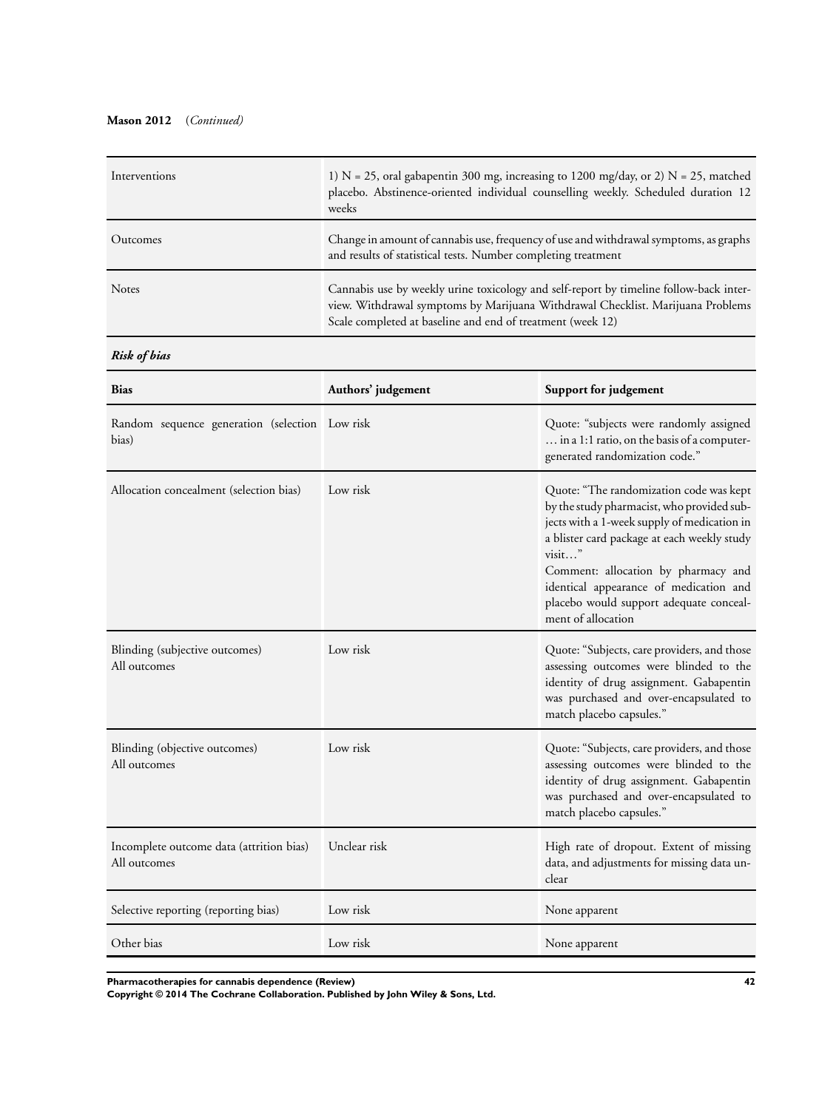# **Mason 2012** (*Continued)*

| Interventions | 1) N = 25, oral gabapentin 300 mg, increasing to 1200 mg/day, or 2) N = 25, matched<br>placebo. Abstinence-oriented individual counselling weekly. Scheduled duration 12<br>weeks                                                       |
|---------------|-----------------------------------------------------------------------------------------------------------------------------------------------------------------------------------------------------------------------------------------|
| Outcomes      | Change in amount of cannabis use, frequency of use and withdrawal symptoms, as graphs<br>and results of statistical tests. Number completing treatment                                                                                  |
| <b>Notes</b>  | Cannabis use by weekly urine toxicology and self-report by timeline follow-back inter-<br>view. Withdrawal symptoms by Marijuana Withdrawal Checklist. Marijuana Problems<br>Scale completed at baseline and end of treatment (week 12) |

*Risk of bias*

| <b>Bias</b>                                              | Authors' judgement | Support for judgement                                                                                                                                                                                                                                                                                                                              |
|----------------------------------------------------------|--------------------|----------------------------------------------------------------------------------------------------------------------------------------------------------------------------------------------------------------------------------------------------------------------------------------------------------------------------------------------------|
| Random sequence generation (selection Low risk<br>bias)  |                    | Quote: "subjects were randomly assigned<br>in a 1:1 ratio, on the basis of a computer-<br>generated randomization code."                                                                                                                                                                                                                           |
| Allocation concealment (selection bias)                  | Low risk           | Quote: "The randomization code was kept<br>by the study pharmacist, who provided sub-<br>jects with a 1-week supply of medication in<br>a blister card package at each weekly study<br>$visit$ "<br>Comment: allocation by pharmacy and<br>identical appearance of medication and<br>placebo would support adequate conceal-<br>ment of allocation |
| Blinding (subjective outcomes)<br>All outcomes           | Low risk           | Quote: "Subjects, care providers, and those<br>assessing outcomes were blinded to the<br>identity of drug assignment. Gabapentin<br>was purchased and over-encapsulated to<br>match placebo capsules."                                                                                                                                             |
| Blinding (objective outcomes)<br>All outcomes            | Low risk           | Quote: "Subjects, care providers, and those<br>assessing outcomes were blinded to the<br>identity of drug assignment. Gabapentin<br>was purchased and over-encapsulated to<br>match placebo capsules."                                                                                                                                             |
| Incomplete outcome data (attrition bias)<br>All outcomes | Unclear risk       | High rate of dropout. Extent of missing<br>data, and adjustments for missing data un-<br>clear                                                                                                                                                                                                                                                     |
| Selective reporting (reporting bias)                     | Low risk           | None apparent                                                                                                                                                                                                                                                                                                                                      |
| Other bias                                               | Low risk           | None apparent                                                                                                                                                                                                                                                                                                                                      |

**Pharmacotherapies for cannabis dependence (Review) 42**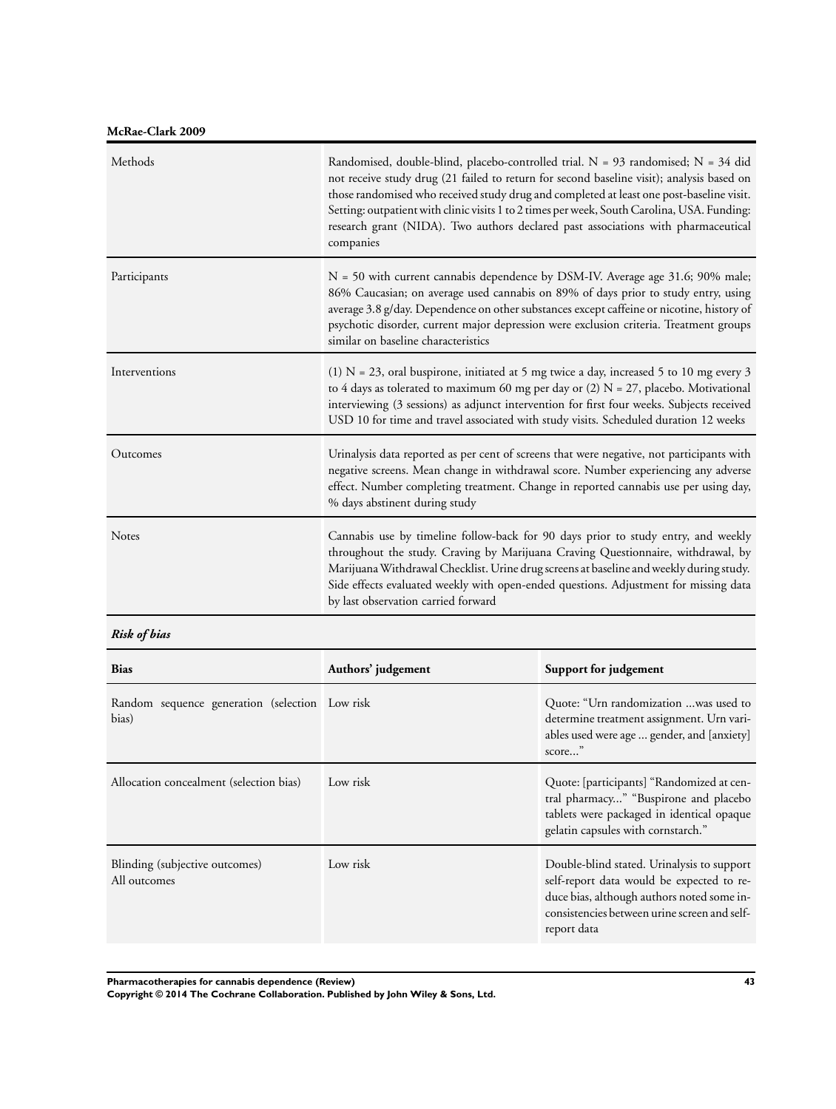| Methods       | Randomised, double-blind, placebo-controlled trial. $N = 93$ randomised; $N = 34$ did<br>not receive study drug (21 failed to return for second baseline visit); analysis based on<br>those randomised who received study drug and completed at least one post-baseline visit.<br>Setting: outpatient with clinic visits 1 to 2 times per week, South Carolina, USA. Funding:<br>research grant (NIDA). Two authors declared past associations with pharmaceutical<br>companies |
|---------------|---------------------------------------------------------------------------------------------------------------------------------------------------------------------------------------------------------------------------------------------------------------------------------------------------------------------------------------------------------------------------------------------------------------------------------------------------------------------------------|
| Participants  | N = 50 with current cannabis dependence by DSM-IV. Average age 31.6; 90% male;<br>86% Caucasian; on average used cannabis on 89% of days prior to study entry, using<br>average 3.8 g/day. Dependence on other substances except caffeine or nicotine, history of<br>psychotic disorder, current major depression were exclusion criteria. Treatment groups<br>similar on baseline characteristics                                                                              |
| Interventions | (1) $N = 23$ , oral buspirone, initiated at 5 mg twice a day, increased 5 to 10 mg every 3<br>to 4 days as tolerated to maximum 60 mg per day or (2) $N = 27$ , placebo. Motivational<br>interviewing (3 sessions) as adjunct intervention for first four weeks. Subjects received<br>USD 10 for time and travel associated with study visits. Scheduled duration 12 weeks                                                                                                      |
| Outcomes      | Urinalysis data reported as per cent of screens that were negative, not participants with<br>negative screens. Mean change in withdrawal score. Number experiencing any adverse<br>effect. Number completing treatment. Change in reported cannabis use per using day,<br>% days abstinent during study                                                                                                                                                                         |
| <b>Notes</b>  | Cannabis use by timeline follow-back for 90 days prior to study entry, and weekly<br>throughout the study. Craving by Marijuana Craving Questionnaire, withdrawal, by<br>Marijuana Withdrawal Checklist. Urine drug screens at baseline and weekly during study.<br>Side effects evaluated weekly with open-ended questions. Adjustment for missing data<br>by last observation carried forward                                                                                 |

# *Risk of bias*

| <b>Bias</b>                                              | Authors' judgement | Support for judgement                                                                                                                                                                                |
|----------------------------------------------------------|--------------------|------------------------------------------------------------------------------------------------------------------------------------------------------------------------------------------------------|
| Random sequence generation (selection Low risk)<br>bias) |                    | Quote: "Urn randomization was used to<br>determine treatment assignment. Urn vari-<br>ables used were age  gender, and [anxiety]<br>score"                                                           |
| Allocation concealment (selection bias)                  | Low risk           | Quote: [participants] "Randomized at cen-<br>tral pharmacy" "Buspirone and placebo<br>tablets were packaged in identical opaque<br>gelatin capsules with cornstarch."                                |
| Blinding (subjective outcomes)<br>All outcomes           | Low risk           | Double-blind stated. Urinalysis to support<br>self-report data would be expected to re-<br>duce bias, although authors noted some in-<br>consistencies between urine screen and self-<br>report data |

**Pharmacotherapies for cannabis dependence (Review) 43**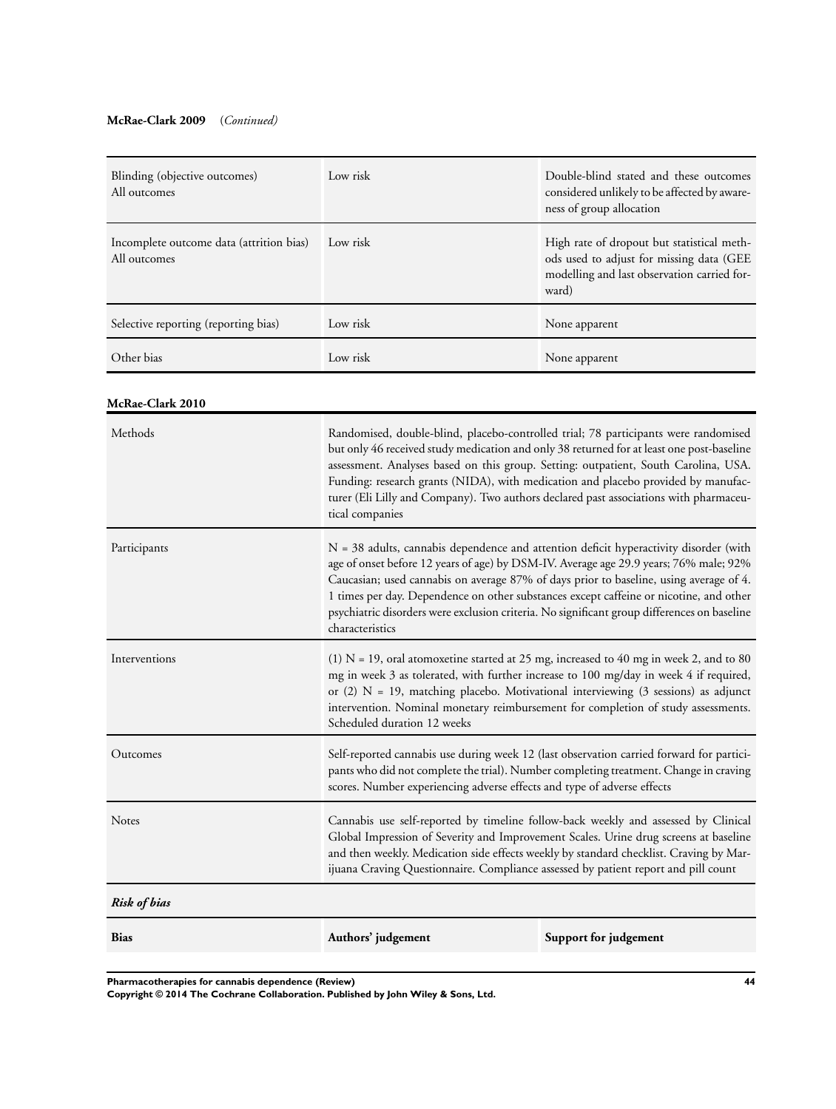# **McRae-Clark 2009** (*Continued)*

| Blinding (objective outcomes)<br>All outcomes            | Low risk                                                                                                                                                                                                                                                                                                                                                                                                                                                                               | Double-blind stated and these outcomes<br>considered unlikely to be affected by aware-<br>ness of group allocation                             |
|----------------------------------------------------------|----------------------------------------------------------------------------------------------------------------------------------------------------------------------------------------------------------------------------------------------------------------------------------------------------------------------------------------------------------------------------------------------------------------------------------------------------------------------------------------|------------------------------------------------------------------------------------------------------------------------------------------------|
| Incomplete outcome data (attrition bias)<br>All outcomes | Low risk                                                                                                                                                                                                                                                                                                                                                                                                                                                                               | High rate of dropout but statistical meth-<br>ods used to adjust for missing data (GEE<br>modelling and last observation carried for-<br>ward) |
| Selective reporting (reporting bias)                     | Low risk                                                                                                                                                                                                                                                                                                                                                                                                                                                                               | None apparent                                                                                                                                  |
| Other bias                                               | Low risk                                                                                                                                                                                                                                                                                                                                                                                                                                                                               | None apparent                                                                                                                                  |
| <b>McRae-Clark 2010</b>                                  |                                                                                                                                                                                                                                                                                                                                                                                                                                                                                        |                                                                                                                                                |
| Methods                                                  | Randomised, double-blind, placebo-controlled trial; 78 participants were randomised<br>but only 46 received study medication and only 38 returned for at least one post-baseline<br>assessment. Analyses based on this group. Setting: outpatient, South Carolina, USA.<br>Funding: research grants (NIDA), with medication and placebo provided by manufac-<br>turer (Eli Lilly and Company). Two authors declared past associations with pharmaceu-<br>tical companies               |                                                                                                                                                |
| Participants                                             | $N = 38$ adults, cannabis dependence and attention deficit hyperactivity disorder (with<br>age of onset before 12 years of age) by DSM-IV. Average age 29.9 years; 76% male; 92%<br>Caucasian; used cannabis on average 87% of days prior to baseline, using average of 4.<br>1 times per day. Dependence on other substances except caffeine or nicotine, and other<br>psychiatric disorders were exclusion criteria. No significant group differences on baseline<br>characteristics |                                                                                                                                                |
| Interventions                                            | (1) $N = 19$ , oral atomoxetine started at 25 mg, increased to 40 mg in week 2, and to 80<br>mg in week 3 as tolerated, with further increase to 100 mg/day in week 4 if required,<br>or $(2)$ N = 19, matching placebo. Motivational interviewing (3 sessions) as adjunct<br>intervention. Nominal monetary reimbursement for completion of study assessments.<br>Scheduled duration 12 weeks                                                                                         |                                                                                                                                                |
| Outcomes                                                 | Self-reported cannabis use during week 12 (last observation carried forward for partici-<br>pants who did not complete the trial). Number completing treatment. Change in craving<br>scores. Number experiencing adverse effects and type of adverse effects                                                                                                                                                                                                                           |                                                                                                                                                |
| Notes                                                    | Cannabis use self-reported by timeline follow-back weekly and assessed by Clinical<br>Global Impression of Severity and Improvement Scales. Urine drug screens at baseline<br>and then weekly. Medication side effects weekly by standard checklist. Craving by Mar-<br>ijuana Craving Questionnaire. Compliance assessed by patient report and pill count                                                                                                                             |                                                                                                                                                |
| <b>Risk of bias</b>                                      |                                                                                                                                                                                                                                                                                                                                                                                                                                                                                        |                                                                                                                                                |
| Bias                                                     | Authors' judgement                                                                                                                                                                                                                                                                                                                                                                                                                                                                     | Support for judgement                                                                                                                          |

**Pharmacotherapies for cannabis dependence (Review) 44**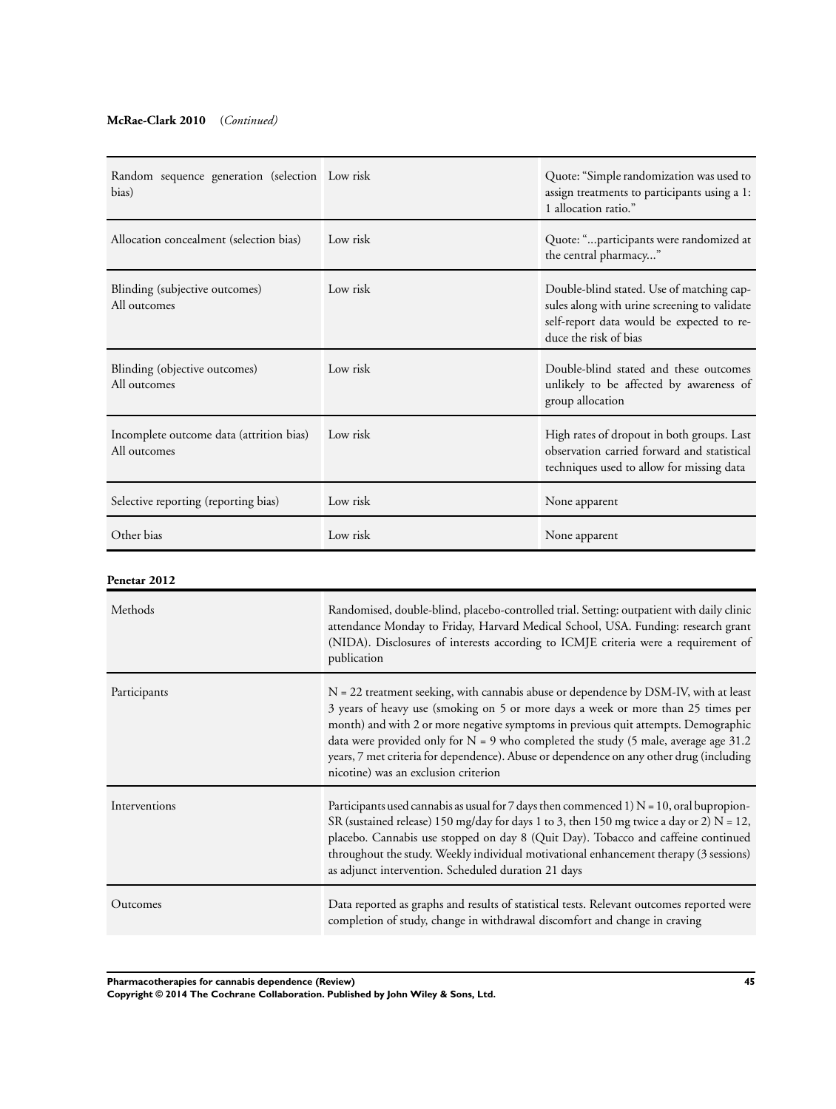# **McRae-Clark 2010** (*Continued)*

| Random sequence generation (selection Low risk<br>bias)  |          | Quote: "Simple randomization was used to<br>assign treatments to participants using a 1:<br>1 allocation ratio."                                                |
|----------------------------------------------------------|----------|-----------------------------------------------------------------------------------------------------------------------------------------------------------------|
| Allocation concealment (selection bias)                  | Low risk | Quote: "participants were randomized at<br>the central pharmacy"                                                                                                |
| Blinding (subjective outcomes)<br>All outcomes           | Low risk | Double-blind stated. Use of matching cap-<br>sules along with urine screening to validate<br>self-report data would be expected to re-<br>duce the risk of bias |
| Blinding (objective outcomes)<br>All outcomes            | Low risk | Double-blind stated and these outcomes<br>unlikely to be affected by awareness of<br>group allocation                                                           |
| Incomplete outcome data (attrition bias)<br>All outcomes | Low risk | High rates of dropout in both groups. Last<br>observation carried forward and statistical<br>techniques used to allow for missing data                          |
| Selective reporting (reporting bias)                     | Low risk | None apparent                                                                                                                                                   |
| Other bias                                               | Low risk | None apparent                                                                                                                                                   |

# **Penetar 2012**

| Methods       | Randomised, double-blind, placebo-controlled trial. Setting: outpatient with daily clinic<br>attendance Monday to Friday, Harvard Medical School, USA. Funding: research grant<br>(NIDA). Disclosures of interests according to ICMJE criteria were a requirement of<br>publication                                                                                                                                                                                                           |
|---------------|-----------------------------------------------------------------------------------------------------------------------------------------------------------------------------------------------------------------------------------------------------------------------------------------------------------------------------------------------------------------------------------------------------------------------------------------------------------------------------------------------|
| Participants  | $N = 22$ treatment seeking, with cannabis abuse or dependence by DSM-IV, with at least<br>3 years of heavy use (smoking on 5 or more days a week or more than 25 times per<br>month) and with 2 or more negative symptoms in previous quit attempts. Demographic<br>data were provided only for $N = 9$ who completed the study (5 male, average age 31.2)<br>years, 7 met criteria for dependence). Abuse or dependence on any other drug (including<br>nicotine) was an exclusion criterion |
| Interventions | Participants used cannabis as usual for 7 days then commenced 1) $N = 10$ , oral bupropion-<br>SR (sustained release) 150 mg/day for days 1 to 3, then 150 mg twice a day or 2) $N = 12$ ,<br>placebo. Cannabis use stopped on day 8 (Quit Day). Tobacco and caffeine continued<br>throughout the study. Weekly individual motivational enhancement therapy (3 sessions)<br>as adjunct intervention. Scheduled duration 21 days                                                               |
| Outcomes      | Data reported as graphs and results of statistical tests. Relevant outcomes reported were<br>completion of study, change in withdrawal discomfort and change in craving                                                                                                                                                                                                                                                                                                                       |

**Pharmacotherapies for cannabis dependence (Review) 45**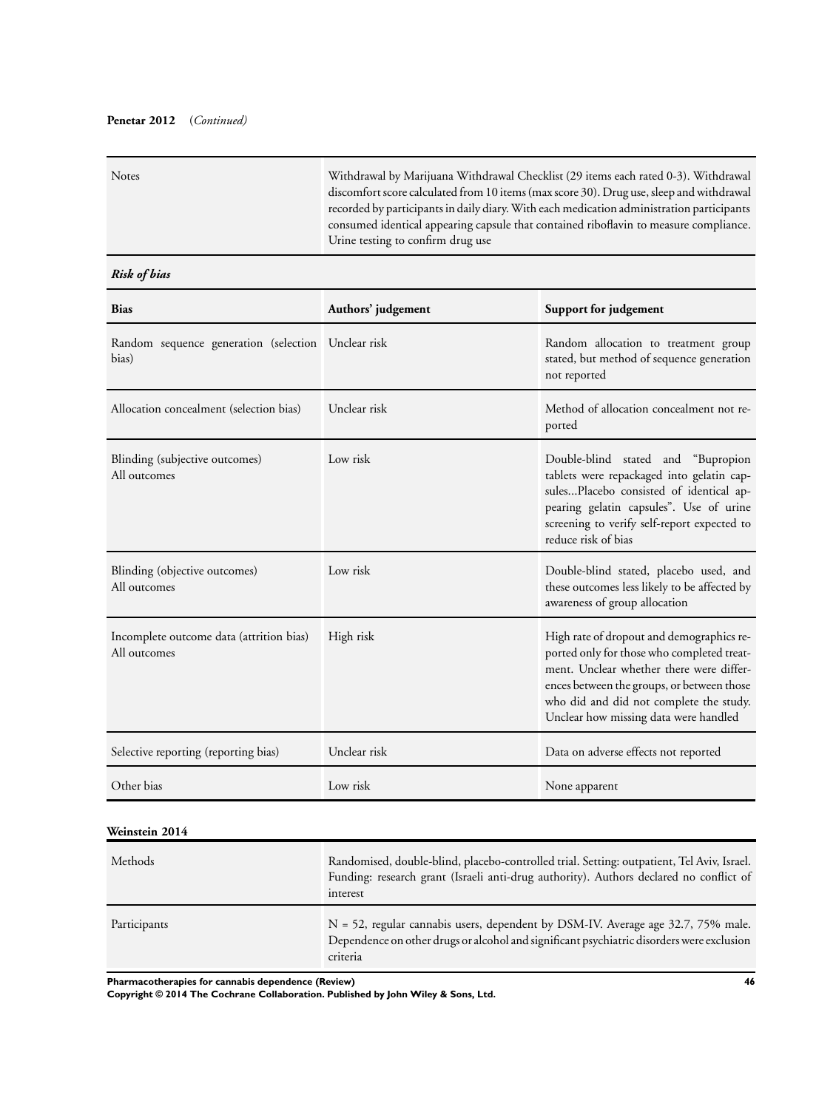# **Penetar 2012** (*Continued)*

| <b>Notes</b> | Withdrawal by Marijuana Withdrawal Checklist (29 items each rated 0-3). Withdrawal        |
|--------------|-------------------------------------------------------------------------------------------|
|              | discomfort score calculated from 10 items (max score 30). Drug use, sleep and withdrawal  |
|              | recorded by participants in daily diary. With each medication administration participants |
|              | consumed identical appearing capsule that contained riboflavin to measure compliance.     |
|              | Urine testing to confirm drug use                                                         |
|              |                                                                                           |

# *Risk of bias*

| <b>Bias</b>                                                 | Authors' judgement | Support for judgement                                                                                                                                                                                                                                                 |
|-------------------------------------------------------------|--------------------|-----------------------------------------------------------------------------------------------------------------------------------------------------------------------------------------------------------------------------------------------------------------------|
| Random sequence generation (selection Unclear risk<br>bias) |                    | Random allocation to treatment group<br>stated, but method of sequence generation<br>not reported                                                                                                                                                                     |
| Allocation concealment (selection bias)                     | Unclear risk       | Method of allocation concealment not re-<br>ported                                                                                                                                                                                                                    |
| Blinding (subjective outcomes)<br>All outcomes              | Low risk           | Double-blind stated and "Bupropion<br>tablets were repackaged into gelatin cap-<br>sulesPlacebo consisted of identical ap-<br>pearing gelatin capsules". Use of urine<br>screening to verify self-report expected to<br>reduce risk of bias                           |
| Blinding (objective outcomes)<br>All outcomes               | Low risk           | Double-blind stated, placebo used, and<br>these outcomes less likely to be affected by<br>awareness of group allocation                                                                                                                                               |
| Incomplete outcome data (attrition bias)<br>All outcomes    | High risk          | High rate of dropout and demographics re-<br>ported only for those who completed treat-<br>ment. Unclear whether there were differ-<br>ences between the groups, or between those<br>who did and did not complete the study.<br>Unclear how missing data were handled |
| Selective reporting (reporting bias)                        | Unclear risk       | Data on adverse effects not reported                                                                                                                                                                                                                                  |
| Other bias                                                  | Low risk           | None apparent                                                                                                                                                                                                                                                         |

### **Weinstein 2014**

| Methods      | Randomised, double-blind, placebo-controlled trial. Setting: outpatient, Tel Aviv, Israel.<br>Funding: research grant (Israeli anti-drug authority). Authors declared no conflict of<br>interest |
|--------------|--------------------------------------------------------------------------------------------------------------------------------------------------------------------------------------------------|
| Participants | N = 52, regular cannabis users, dependent by DSM-IV. Average age 32.7, 75% male.<br>Dependence on other drugs or alcohol and significant psychiatric disorders were exclusion<br>criteria        |

**Pharmacotherapies for cannabis dependence (Review) 46**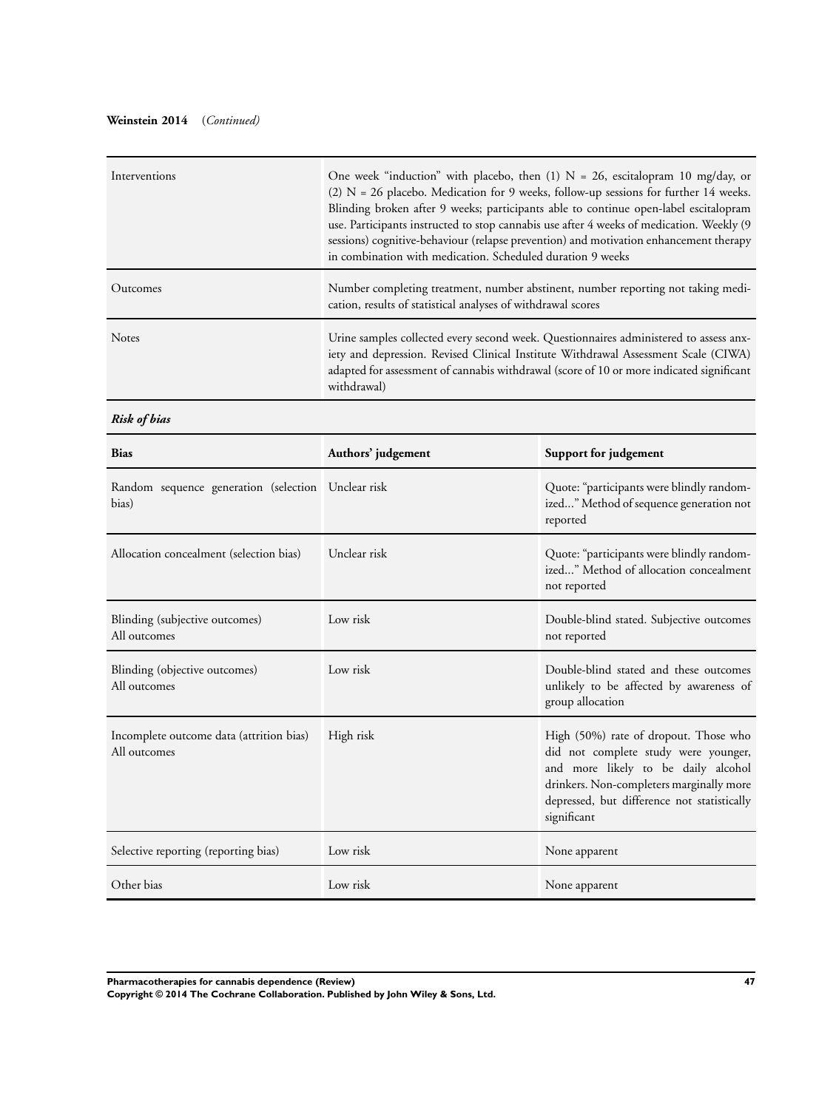# **Weinstein 2014** (*Continued)*

| Interventions | One week "induction" with placebo, then (1) $N = 26$ , escital optianal 10 mg/day, or<br>(2) $N = 26$ placebo. Medication for 9 weeks, follow-up sessions for further 14 weeks.<br>Blinding broken after 9 weeks; participants able to continue open-label escitalopram<br>use. Participants instructed to stop cannabis use after 4 weeks of medication. Weekly (9<br>sessions) cognitive-behaviour (relapse prevention) and motivation enhancement therapy<br>in combination with medication. Scheduled duration 9 weeks |  |  |  |
|---------------|----------------------------------------------------------------------------------------------------------------------------------------------------------------------------------------------------------------------------------------------------------------------------------------------------------------------------------------------------------------------------------------------------------------------------------------------------------------------------------------------------------------------------|--|--|--|
| Outcomes      | Number completing treatment, number abstinent, number reporting not taking medi-<br>cation, results of statistical analyses of withdrawal scores                                                                                                                                                                                                                                                                                                                                                                           |  |  |  |
| <b>Notes</b>  | Urine samples collected every second week. Questionnaires administered to assess anx-<br>iety and depression. Revised Clinical Institute Withdrawal Assessment Scale (CIWA)<br>adapted for assessment of cannabis withdrawal (score of 10 or more indicated significant<br>withdrawal)                                                                                                                                                                                                                                     |  |  |  |

*Risk of bias*

| <b>Bias</b>                                                 | Authors' judgement | Support for judgement                                                                                                                                                                                                          |
|-------------------------------------------------------------|--------------------|--------------------------------------------------------------------------------------------------------------------------------------------------------------------------------------------------------------------------------|
| Random sequence generation (selection Unclear risk<br>bias) |                    | Quote: "participants were blindly random-<br>ized" Method of sequence generation not<br>reported                                                                                                                               |
| Allocation concealment (selection bias)                     | Unclear risk       | Quote: "participants were blindly random-<br>ized" Method of allocation concealment<br>not reported                                                                                                                            |
| Blinding (subjective outcomes)<br>All outcomes              | Low risk           | Double-blind stated. Subjective outcomes<br>not reported                                                                                                                                                                       |
| Blinding (objective outcomes)<br>All outcomes               | Low risk           | Double-blind stated and these outcomes<br>unlikely to be affected by awareness of<br>group allocation                                                                                                                          |
| Incomplete outcome data (attrition bias)<br>All outcomes    | High risk          | High (50%) rate of dropout. Those who<br>did not complete study were younger,<br>and more likely to be daily alcohol<br>drinkers. Non-completers marginally more<br>depressed, but difference not statistically<br>significant |
| Selective reporting (reporting bias)                        | Low risk           | None apparent                                                                                                                                                                                                                  |
| Other bias                                                  | Low risk           | None apparent                                                                                                                                                                                                                  |

**Pharmacotherapies for cannabis dependence (Review) 47**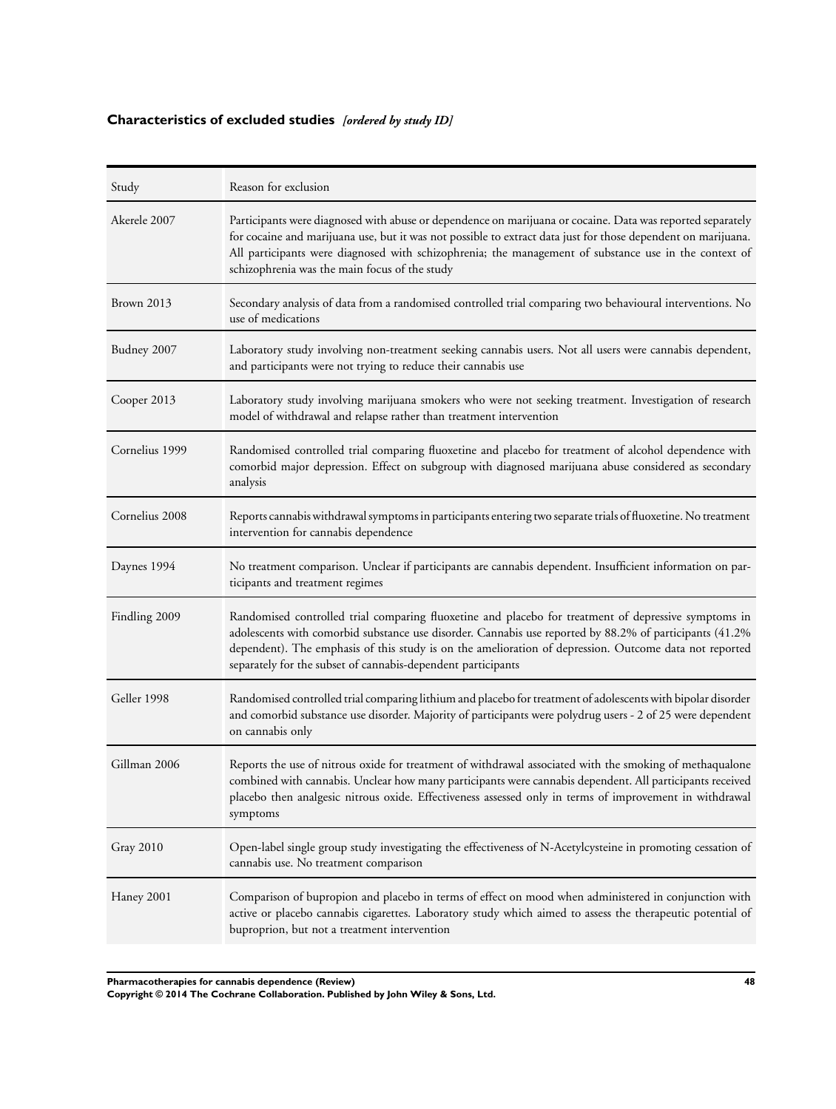# <span id="page-49-0"></span>**Characteristics of excluded studies** *[ordered by study ID]*

| Study            | Reason for exclusion                                                                                                                                                                                                                                                                                                                                                                      |
|------------------|-------------------------------------------------------------------------------------------------------------------------------------------------------------------------------------------------------------------------------------------------------------------------------------------------------------------------------------------------------------------------------------------|
| Akerele 2007     | Participants were diagnosed with abuse or dependence on marijuana or cocaine. Data was reported separately<br>for cocaine and marijuana use, but it was not possible to extract data just for those dependent on marijuana.<br>All participants were diagnosed with schizophrenia; the management of substance use in the context of<br>schizophrenia was the main focus of the study     |
| Brown 2013       | Secondary analysis of data from a randomised controlled trial comparing two behavioural interventions. No<br>use of medications                                                                                                                                                                                                                                                           |
| Budney 2007      | Laboratory study involving non-treatment seeking cannabis users. Not all users were cannabis dependent,<br>and participants were not trying to reduce their cannabis use                                                                                                                                                                                                                  |
| Cooper 2013      | Laboratory study involving marijuana smokers who were not seeking treatment. Investigation of research<br>model of withdrawal and relapse rather than treatment intervention                                                                                                                                                                                                              |
| Cornelius 1999   | Randomised controlled trial comparing fluoxetine and placebo for treatment of alcohol dependence with<br>comorbid major depression. Effect on subgroup with diagnosed marijuana abuse considered as secondary<br>analysis                                                                                                                                                                 |
| Cornelius 2008   | Reports cannabis withdrawal symptoms in participants entering two separate trials of fluoxetine. No treatment<br>intervention for cannabis dependence                                                                                                                                                                                                                                     |
| Daynes 1994      | No treatment comparison. Unclear if participants are cannabis dependent. Insufficient information on par-<br>ticipants and treatment regimes                                                                                                                                                                                                                                              |
| Findling 2009    | Randomised controlled trial comparing fluoxetine and placebo for treatment of depressive symptoms in<br>adolescents with comorbid substance use disorder. Cannabis use reported by 88.2% of participants (41.2%<br>dependent). The emphasis of this study is on the amelioration of depression. Outcome data not reported<br>separately for the subset of cannabis-dependent participants |
| Geller 1998      | Randomised controlled trial comparing lithium and placebo for treatment of adolescents with bipolar disorder<br>and comorbid substance use disorder. Majority of participants were polydrug users - 2 of 25 were dependent<br>on cannabis only                                                                                                                                            |
| Gillman 2006     | Reports the use of nitrous oxide for treatment of withdrawal associated with the smoking of methaqualone<br>combined with cannabis. Unclear how many participants were cannabis dependent. All participants received<br>placebo then analgesic nitrous oxide. Effectiveness assessed only in terms of improvement in withdrawal<br>symptoms                                               |
| <b>Gray 2010</b> | Open-label single group study investigating the effectiveness of N-Acetylcysteine in promoting cessation of<br>cannabis use. No treatment comparison                                                                                                                                                                                                                                      |
| Haney 2001       | Comparison of bupropion and placebo in terms of effect on mood when administered in conjunction with<br>active or placebo cannabis cigarettes. Laboratory study which aimed to assess the therapeutic potential of<br>buproprion, but not a treatment intervention                                                                                                                        |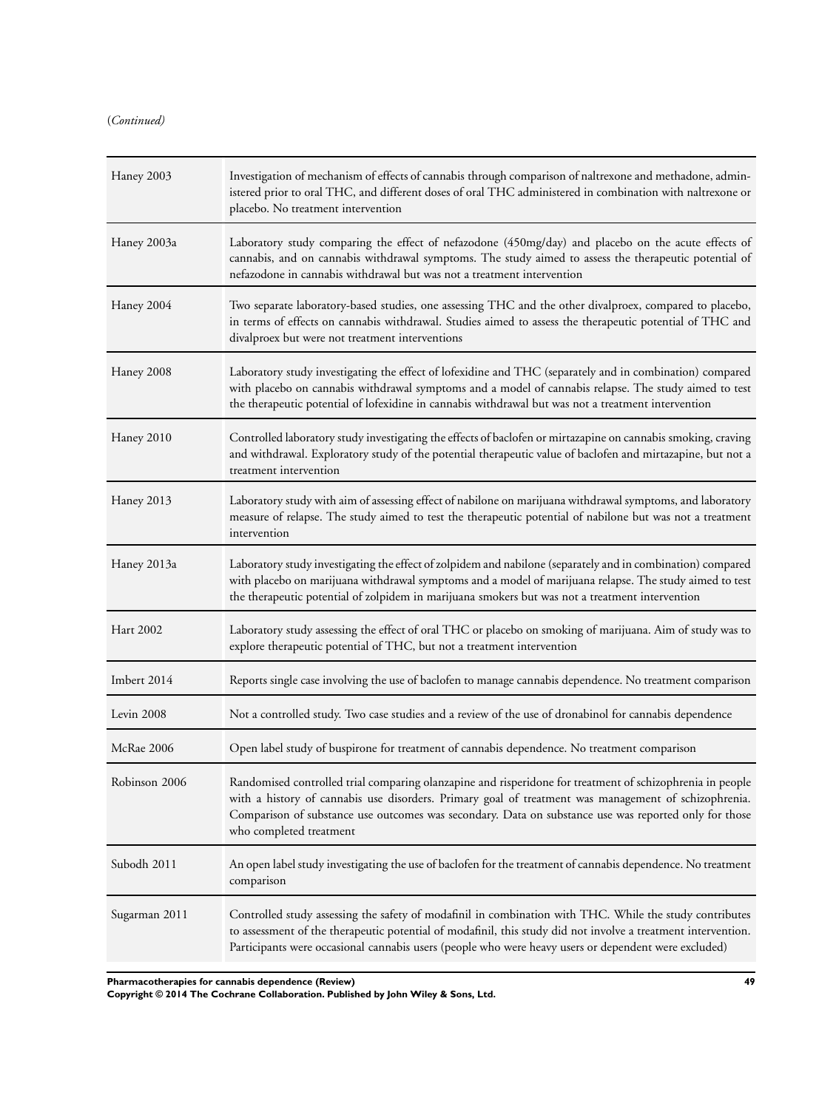| Haney 2003    | Investigation of mechanism of effects of cannabis through comparison of naltrexone and methadone, admin-<br>istered prior to oral THC, and different doses of oral THC administered in combination with naltrexone or<br>placebo. No treatment intervention                                                                                           |
|---------------|-------------------------------------------------------------------------------------------------------------------------------------------------------------------------------------------------------------------------------------------------------------------------------------------------------------------------------------------------------|
| Haney 2003a   | Laboratory study comparing the effect of nefazodone (450mg/day) and placebo on the acute effects of<br>cannabis, and on cannabis withdrawal symptoms. The study aimed to assess the therapeutic potential of<br>nefazodone in cannabis withdrawal but was not a treatment intervention                                                                |
| Haney 2004    | Two separate laboratory-based studies, one assessing THC and the other divalproex, compared to placebo,<br>in terms of effects on cannabis withdrawal. Studies aimed to assess the therapeutic potential of THC and<br>divalproex but were not treatment interventions                                                                                |
| Haney 2008    | Laboratory study investigating the effect of lofexidine and THC (separately and in combination) compared<br>with placebo on cannabis withdrawal symptoms and a model of cannabis relapse. The study aimed to test<br>the therapeutic potential of lofexidine in cannabis withdrawal but was not a treatment intervention                              |
| Haney 2010    | Controlled laboratory study investigating the effects of baclofen or mirtazapine on cannabis smoking, craving<br>and withdrawal. Exploratory study of the potential therapeutic value of baclofen and mirtazapine, but not a<br>treatment intervention                                                                                                |
| Haney 2013    | Laboratory study with aim of assessing effect of nabilone on marijuana withdrawal symptoms, and laboratory<br>measure of relapse. The study aimed to test the therapeutic potential of nabilone but was not a treatment<br>intervention                                                                                                               |
| Haney 2013a   | Laboratory study investigating the effect of zolpidem and nabilone (separately and in combination) compared<br>with placebo on marijuana withdrawal symptoms and a model of marijuana relapse. The study aimed to test<br>the therapeutic potential of zolpidem in marijuana smokers but was not a treatment intervention                             |
| Hart 2002     | Laboratory study assessing the effect of oral THC or placebo on smoking of marijuana. Aim of study was to<br>explore therapeutic potential of THC, but not a treatment intervention                                                                                                                                                                   |
| Imbert 2014   | Reports single case involving the use of baclofen to manage cannabis dependence. No treatment comparison                                                                                                                                                                                                                                              |
| Levin 2008    | Not a controlled study. Two case studies and a review of the use of dronabinol for cannabis dependence                                                                                                                                                                                                                                                |
| McRae 2006    | Open label study of buspirone for treatment of cannabis dependence. No treatment comparison                                                                                                                                                                                                                                                           |
| Robinson 2006 | Randomised controlled trial comparing olanzapine and risperidone for treatment of schizophrenia in people<br>with a history of cannabis use disorders. Primary goal of treatment was management of schizophrenia.<br>Comparison of substance use outcomes was secondary. Data on substance use was reported only for those<br>who completed treatment |
| Subodh 2011   | An open label study investigating the use of baclofen for the treatment of cannabis dependence. No treatment<br>comparison                                                                                                                                                                                                                            |
| Sugarman 2011 | Controlled study assessing the safety of modafinil in combination with THC. While the study contributes<br>to assessment of the therapeutic potential of modafinil, this study did not involve a treatment intervention.<br>Participants were occasional cannabis users (people who were heavy users or dependent were excluded)                      |

**Pharmacotherapies for cannabis dependence (Review) 49**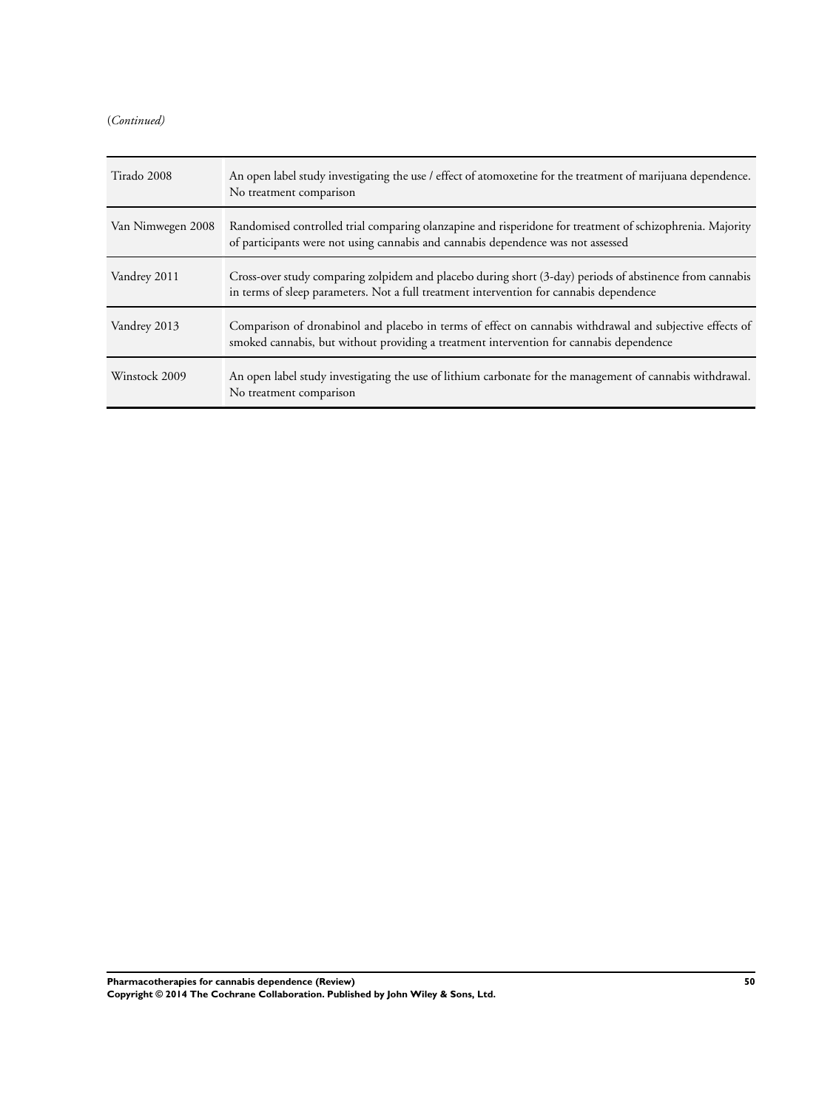| Tirado 2008       | An open label study investigating the use / effect of atomoxetine for the treatment of marijuana dependence.<br>No treatment comparison                                                             |
|-------------------|-----------------------------------------------------------------------------------------------------------------------------------------------------------------------------------------------------|
| Van Nimwegen 2008 | Randomised controlled trial comparing olanzapine and risperidone for treatment of schizophrenia. Majority<br>of participants were not using cannabis and cannabis dependence was not assessed       |
| Vandrey 2011      | Cross-over study comparing zolpidem and placebo during short (3-day) periods of abstinence from cannabis<br>in terms of sleep parameters. Not a full treatment intervention for cannabis dependence |
| Vandrey 2013      | Comparison of dronabinol and placebo in terms of effect on cannabis withdrawal and subjective effects of<br>smoked cannabis, but without providing a treatment intervention for cannabis dependence |
| Winstock 2009     | An open label study investigating the use of lithium carbonate for the management of cannabis withdrawal.<br>No treatment comparison                                                                |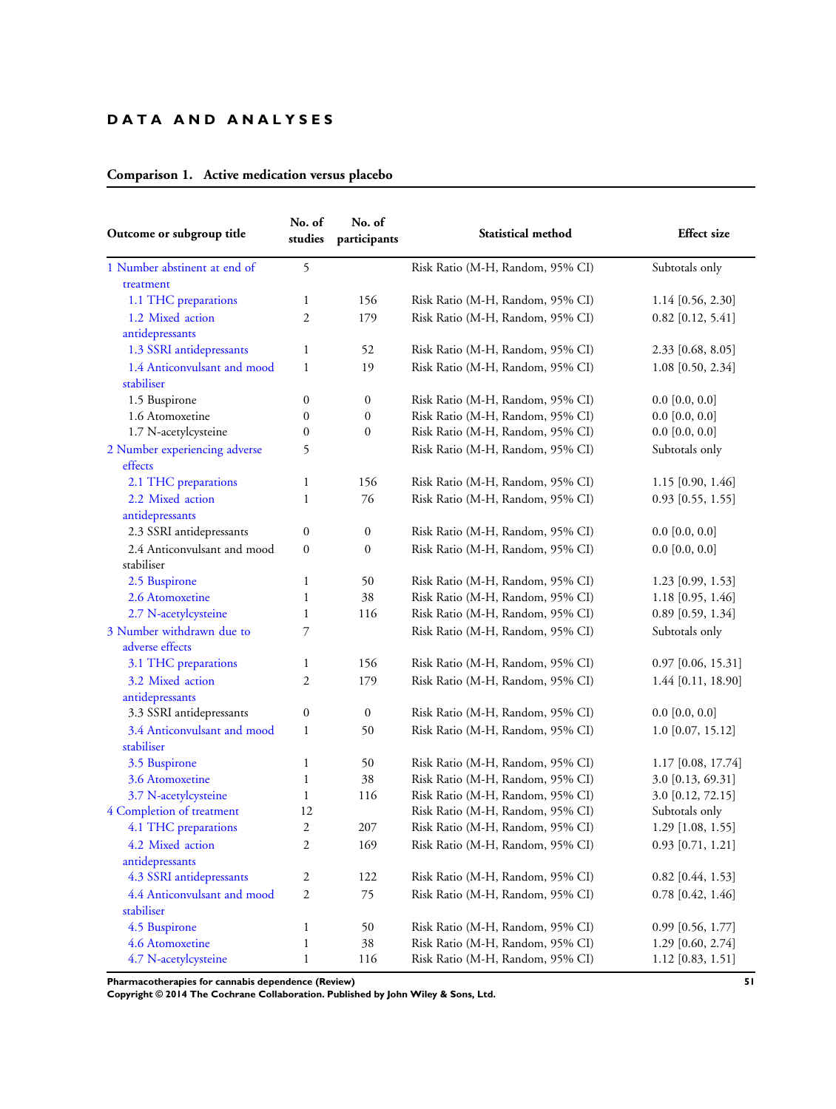# **D A T A A N D A N A L Y S E S**

# **Comparison 1. Active medication versus placebo**

| Outcome or subgroup title                 | No. of<br>studies       | No. of<br>participants | <b>Statistical method</b>        | <b>Effect</b> size  |
|-------------------------------------------|-------------------------|------------------------|----------------------------------|---------------------|
| 1 Number abstinent at end of              | 5                       |                        | Risk Ratio (M-H, Random, 95% CI) | Subtotals only      |
| treatment                                 |                         |                        |                                  |                     |
| 1.1 THC preparations                      | $\mathbf{1}$            | 156                    | Risk Ratio (M-H, Random, 95% CI) | 1.14 [0.56, 2.30]   |
| 1.2 Mixed action                          | $\overline{2}$          | 179                    | Risk Ratio (M-H, Random, 95% CI) | $0.82$ [0.12, 5.41] |
| antidepressants                           |                         |                        |                                  |                     |
| 1.3 SSRI antidepressants                  | $\mathbf{1}$            | 52                     | Risk Ratio (M-H, Random, 95% CI) | $2.33$ [0.68, 8.05] |
| 1.4 Anticonvulsant and mood               | $\mathbf{1}$            | 19                     | Risk Ratio (M-H, Random, 95% CI) | 1.08 [0.50, 2.34]   |
| stabiliser                                |                         |                        |                                  |                     |
| 1.5 Buspirone                             | $\boldsymbol{0}$        | $\boldsymbol{0}$       | Risk Ratio (M-H, Random, 95% CI) | 0.0 [0.0, 0.0]      |
| 1.6 Atomoxetine                           | $\mathbf{0}$            | $\boldsymbol{0}$       | Risk Ratio (M-H, Random, 95% CI) | 0.0 [0.0, 0.0]      |
| 1.7 N-acetylcysteine                      | $\boldsymbol{0}$        | $\boldsymbol{0}$       | Risk Ratio (M-H, Random, 95% CI) | 0.0 [0.0, 0.0]      |
| 2 Number experiencing adverse<br>effects  | 5                       |                        | Risk Ratio (M-H, Random, 95% CI) | Subtotals only      |
| 2.1 THC preparations                      | $\mathbf{1}$            | 156                    | Risk Ratio (M-H, Random, 95% CI) | $1.15$ [0.90, 1.46] |
| 2.2 Mixed action                          | $\mathbf{1}$            | 76                     | Risk Ratio (M-H, Random, 95% CI) | $0.93$ [0.55, 1.55] |
| antidepressants                           |                         |                        |                                  |                     |
| 2.3 SSRI antidepressants                  | $\boldsymbol{0}$        | $\boldsymbol{0}$       | Risk Ratio (M-H, Random, 95% CI) | 0.0 [0.0, 0.0]      |
| 2.4 Anticonvulsant and mood               | $\boldsymbol{0}$        | $\boldsymbol{0}$       | Risk Ratio (M-H, Random, 95% CI) | 0.0 [0.0, 0.0]      |
| stabiliser                                |                         |                        |                                  |                     |
| 2.5 Buspirone                             | $\mathbf{1}$            | 50                     | Risk Ratio (M-H, Random, 95% CI) | $1.23$ [0.99, 1.53] |
| 2.6 Atomoxetine                           | $\mathbf{1}$            | 38                     | Risk Ratio (M-H, Random, 95% CI) | 1.18 [0.95, 1.46]   |
| 2.7 N-acetylcysteine                      | $\mathbf{1}$            | 116                    | Risk Ratio (M-H, Random, 95% CI) | 0.89 [0.59, 1.34]   |
| 3 Number withdrawn due to                 | 7                       |                        | Risk Ratio (M-H, Random, 95% CI) | Subtotals only      |
| adverse effects                           |                         |                        |                                  |                     |
| 3.1 THC preparations                      | $\mathbf{1}$            | 156                    | Risk Ratio (M-H, Random, 95% CI) | 0.97 [0.06, 15.31]  |
| 3.2 Mixed action                          | 2                       | 179                    | Risk Ratio (M-H, Random, 95% CI) | 1.44 [0.11, 18.90]  |
| antidepressants                           |                         |                        |                                  |                     |
| 3.3 SSRI antidepressants                  | $\boldsymbol{0}$        | $\boldsymbol{0}$       | Risk Ratio (M-H, Random, 95% CI) | 0.0 [0.0, 0.0]      |
| 3.4 Anticonvulsant and mood<br>stabiliser | $\mathbf{1}$            | 50                     | Risk Ratio (M-H, Random, 95% CI) | $1.0$ [0.07, 15.12] |
| 3.5 Buspirone                             | 1                       | 50                     | Risk Ratio (M-H, Random, 95% CI) | 1.17 [0.08, 17.74]  |
| 3.6 Atomoxetine                           | $\mathbf{1}$            | 38                     | Risk Ratio (M-H, Random, 95% CI) | 3.0 [0.13, 69.31]   |
| 3.7 N-acetylcysteine                      | $\mathbf{1}$            | 116                    | Risk Ratio (M-H, Random, 95% CI) | 3.0 [0.12, 72.15]   |
| 4 Completion of treatment                 | 12                      |                        | Risk Ratio (M-H, Random, 95% CI) | Subtotals only      |
| 4.1 THC preparations                      | $\mathfrak{2}$          | 207                    | Risk Ratio (M-H, Random, 95% CI) | 1.29 [1.08, 1.55]   |
| 4.2 Mixed action                          | 2                       | 169                    | Risk Ratio (M-H, Random, 95% CI) | $0.93$ [0.71, 1.21] |
| antidepressants                           |                         |                        |                                  |                     |
| 4.3 SSRI antidepressants                  | $\overline{\mathbf{c}}$ | 122                    | Risk Ratio (M-H, Random, 95% CI) | $0.82$ [0.44, 1.53] |
| 4.4 Anticonvulsant and mood               | $\mathfrak{2}$          | 75                     | Risk Ratio (M-H, Random, 95% CI) | $0.78$ [0.42, 1.46] |
| stabiliser                                |                         |                        |                                  |                     |
| 4.5 Buspirone                             | $\mathbf{1}$            | 50                     | Risk Ratio (M-H, Random, 95% CI) | 0.99 [0.56, 1.77]   |
| 4.6 Atomoxetine                           | $\mathbf{1}$            | 38                     | Risk Ratio (M-H, Random, 95% CI) | 1.29 [0.60, 2.74]   |
| 4.7 N-acetylcysteine                      | $\mathbf{1}$            | 116                    | Risk Ratio (M-H, Random, 95% CI) | 1.12 [0.83, 1.51]   |

**Pharmacotherapies for cannabis dependence (Review) 51**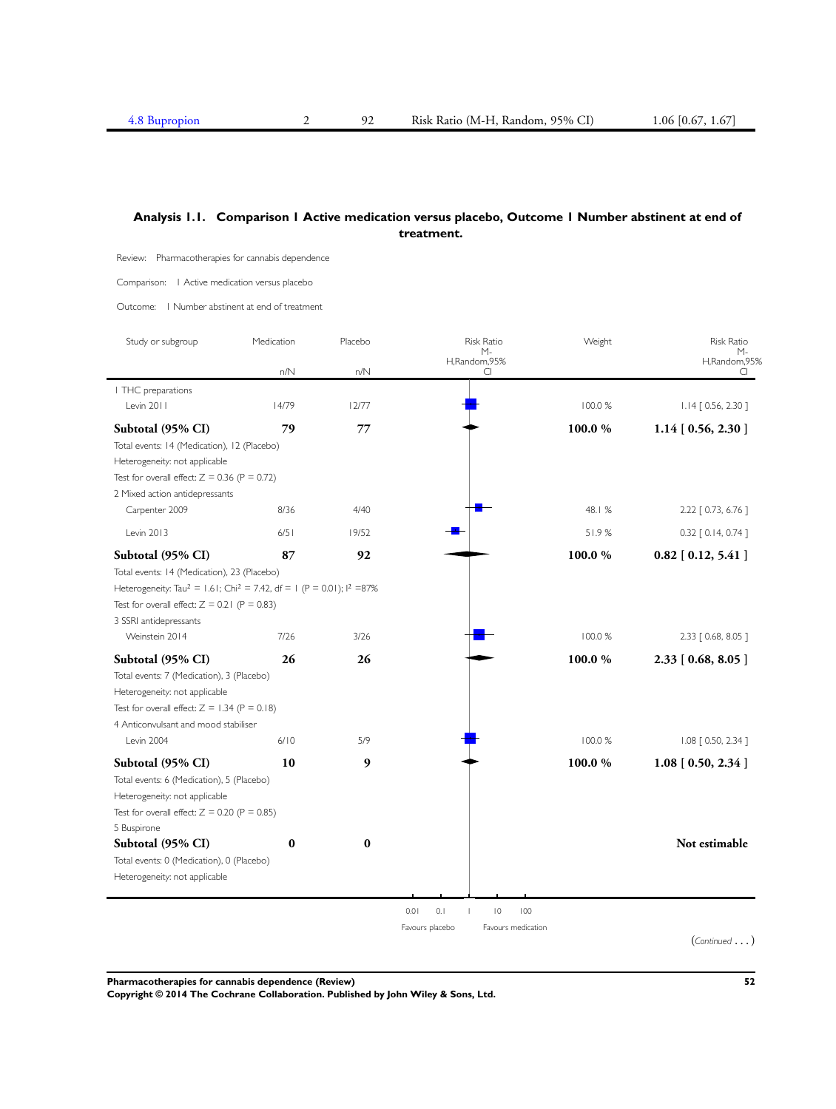# **Analysis 1.1. Comparison 1 Active medication versus placebo, Outcome 1 Number abstinent at end of treatment.**

Review: Pharmacotherapies for cannabis dependence

Comparison: 1 Active medication versus placebo

Outcome: 1 Number abstinent at end of treatment

| Study or subgroup                                                                              | Medication | Placebo  | <b>Risk Ratio</b><br>M-               | Weight  | <b>Risk Ratio</b><br>$M -$ |
|------------------------------------------------------------------------------------------------|------------|----------|---------------------------------------|---------|----------------------------|
|                                                                                                | n/N        | n/N      | H,Random,95%<br>CI                    |         | H,Random,95%<br>CI.        |
| I THC preparations                                                                             |            |          |                                       |         |                            |
| Levin 2011                                                                                     | 14/79      | 12/77    |                                       | 100.0%  | $1.14$ [ 0.56, 2.30 ]      |
| Subtotal (95% CI)                                                                              | 79         | 77       |                                       | 100.0%  | $1.14$ [ 0.56, 2.30 ]      |
| Total events: 14 (Medication), 12 (Placebo)                                                    |            |          |                                       |         |                            |
| Heterogeneity: not applicable                                                                  |            |          |                                       |         |                            |
| Test for overall effect: $Z = 0.36$ (P = 0.72)                                                 |            |          |                                       |         |                            |
| 2 Mixed action antidepressants                                                                 |            |          |                                       |         |                            |
| Carpenter 2009                                                                                 | 8/36       | 4/40     |                                       | 48.1%   | 2.22 [ 0.73, 6.76 ]        |
| Levin 2013                                                                                     | 6/51       | 19/52    |                                       | 51.9%   | $0.32$ $[0.14, 0.74]$      |
| Subtotal (95% CI)                                                                              | 87         | 92       |                                       | 100.0%  | $0.82$ [ 0.12, 5.41 ]      |
| Total events: 14 (Medication), 23 (Placebo)                                                    |            |          |                                       |         |                            |
| Heterogeneity: Tau <sup>2</sup> = 1.61; Chi <sup>2</sup> = 7.42, df = 1 (P = 0.01); $1^2$ =87% |            |          |                                       |         |                            |
| Test for overall effect: $Z = 0.21$ (P = 0.83)                                                 |            |          |                                       |         |                            |
| 3 SSRI antidepressants                                                                         |            |          |                                       |         |                            |
| Weinstein 2014                                                                                 | 7/26       | 3/26     |                                       | 100.0%  | 2.33 [ 0.68, 8.05 ]        |
| Subtotal (95% CI)                                                                              | 26         | 26       |                                       | 100.0%  | 2.33 [0.68, 8.05]          |
| Total events: 7 (Medication), 3 (Placebo)                                                      |            |          |                                       |         |                            |
| Heterogeneity: not applicable                                                                  |            |          |                                       |         |                            |
| Test for overall effect: $Z = 1.34$ (P = 0.18)                                                 |            |          |                                       |         |                            |
| 4 Anticonvulsant and mood stabiliser                                                           | 6/10       | 5/9      |                                       |         |                            |
| Levin 2004                                                                                     |            |          |                                       | 100.0 % | 1.08 [ 0.50, 2.34 ]        |
| Subtotal (95% CI)                                                                              | 10         | 9        |                                       | 100.0%  | $1.08$ [ 0.50, 2.34 ]      |
| Total events: 6 (Medication), 5 (Placebo)                                                      |            |          |                                       |         |                            |
| Heterogeneity: not applicable                                                                  |            |          |                                       |         |                            |
| Test for overall effect: $Z = 0.20$ (P = 0.85)<br>5 Buspirone                                  |            |          |                                       |         |                            |
| Subtotal (95% CI)                                                                              | $\bf{0}$   | $\bf{0}$ |                                       |         | Not estimable              |
| Total events: 0 (Medication), 0 (Placebo)                                                      |            |          |                                       |         |                            |
| Heterogeneity: not applicable                                                                  |            |          |                                       |         |                            |
|                                                                                                |            |          |                                       |         |                            |
|                                                                                                |            |          | 0.1<br>100<br>0.01<br>$ 0\rangle$     |         |                            |
|                                                                                                |            |          | Favours medication<br>Favours placebo |         |                            |
|                                                                                                |            |          |                                       |         | $\sim$ $\sim$ $\sim$       |

(*Continued* ... )

**Pharmacotherapies for cannabis dependence (Review) 52**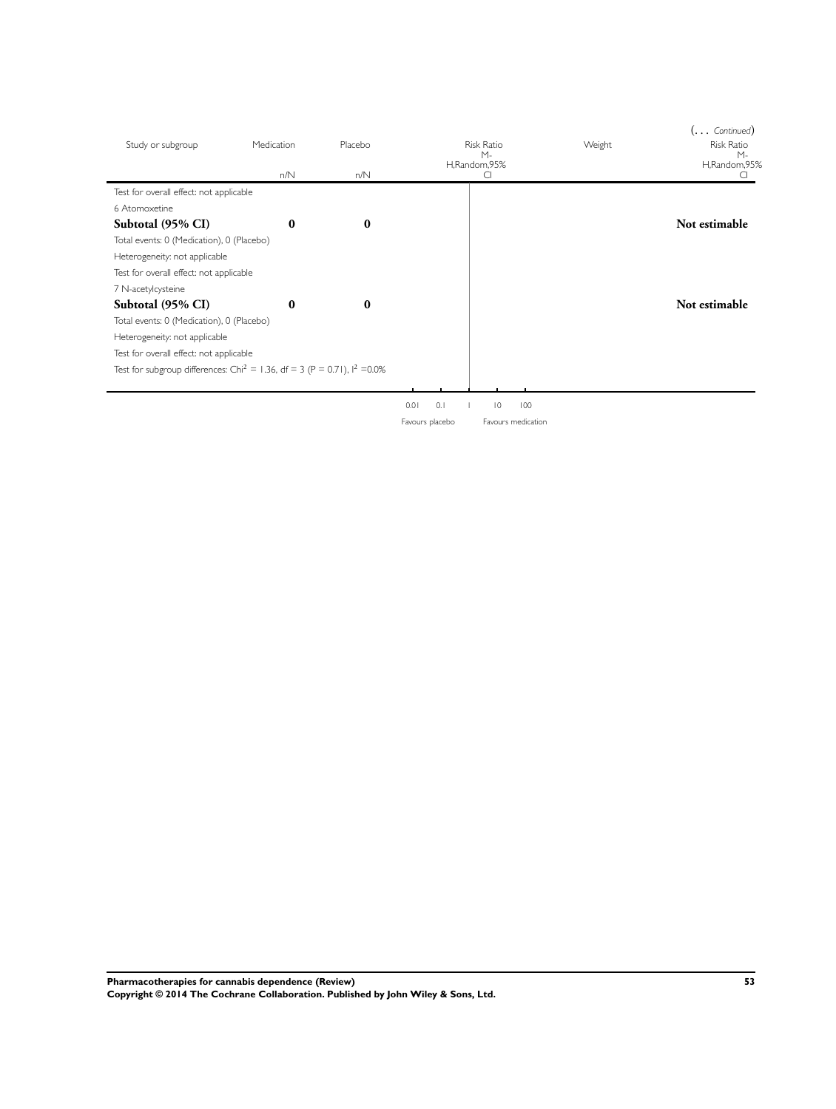<span id="page-54-0"></span>

|                                                                                         |            |          |                       |        | $(\ldots$ Continued)  |
|-----------------------------------------------------------------------------------------|------------|----------|-----------------------|--------|-----------------------|
| Study or subgroup                                                                       | Medication | Placebo  | <b>Risk Ratio</b>     | Weight | <b>Risk Ratio</b>     |
|                                                                                         |            |          | $M -$<br>H,Random,95% |        | $M -$<br>H,Random,95% |
|                                                                                         | n/N        | n/N      | C                     |        | C.                    |
| Test for overall effect: not applicable                                                 |            |          |                       |        |                       |
| 6 Atomoxetine                                                                           |            |          |                       |        |                       |
| Subtotal (95% CI)                                                                       | 0          | 0        |                       |        | Not estimable         |
| Total events: 0 (Medication), 0 (Placebo)                                               |            |          |                       |        |                       |
| Heterogeneity: not applicable                                                           |            |          |                       |        |                       |
| Test for overall effect: not applicable                                                 |            |          |                       |        |                       |
| 7 N-acetylcysteine                                                                      |            |          |                       |        |                       |
| Subtotal (95% CI)                                                                       | 0          | $\bf{0}$ |                       |        | Not estimable         |
| Total events: 0 (Medication), 0 (Placebo)                                               |            |          |                       |        |                       |
| Heterogeneity: not applicable                                                           |            |          |                       |        |                       |
| Test for overall effect: not applicable                                                 |            |          |                       |        |                       |
| Test for subgroup differences: Chi <sup>2</sup> = 1.36, df = 3 (P = 0.71), $1^2$ = 0.0% |            |          |                       |        |                       |
|                                                                                         |            |          |                       |        |                       |
|                                                                                         |            |          |                       |        |                       |

 $0.01$  0.1 1  $10$  100

Favours placebo Favours medication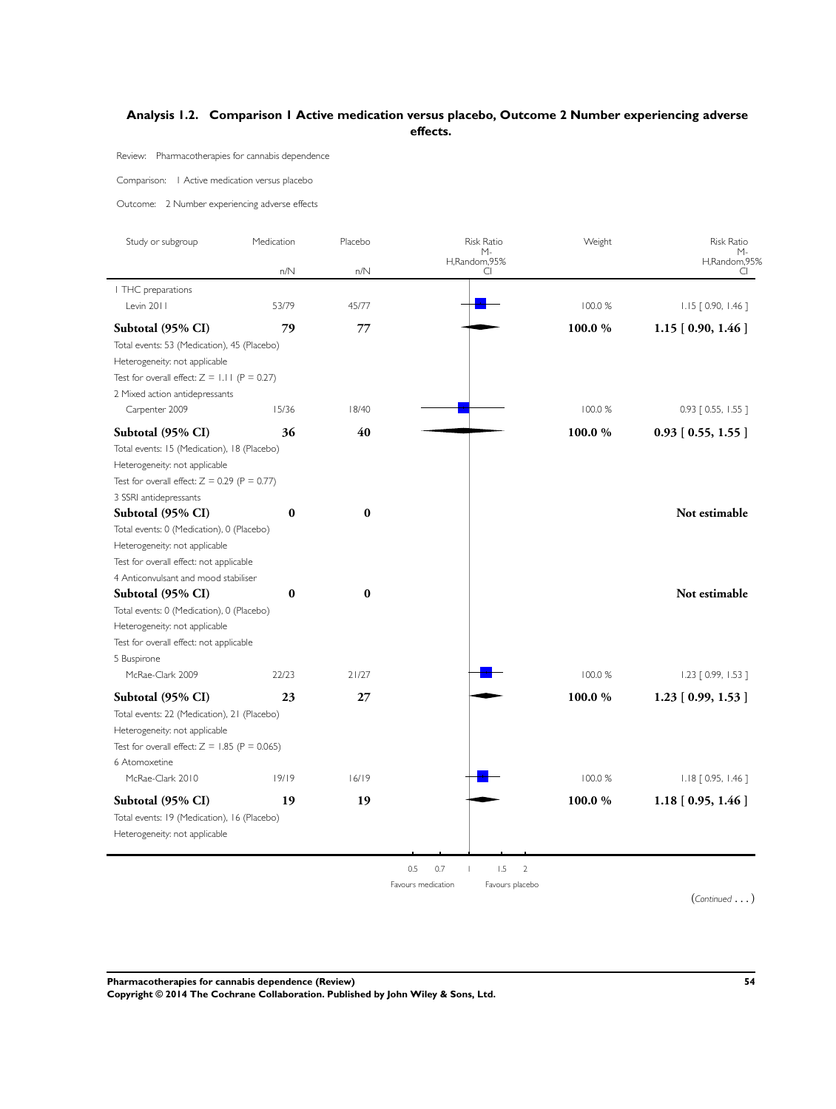# <span id="page-55-0"></span>**Analysis 1.2. Comparison 1 Active medication versus placebo, Outcome 2 Number experiencing adverse effects.**

Review: Pharmacotherapies for cannabis dependence

Comparison: 1 Active medication versus placebo

Outcome: 2 Number experiencing adverse effects

| Study or subgroup                                      | Medication | Placebo  | <b>Risk Ratio</b><br>$M -$                          | Weight  | <b>Risk Ratio</b><br>$M -$ |
|--------------------------------------------------------|------------|----------|-----------------------------------------------------|---------|----------------------------|
|                                                        | n/N        | n/N      | H,Random,95%<br>CI                                  |         | H,Random,95%<br>CI         |
| I THC preparations                                     |            |          |                                                     |         |                            |
| Levin 2011                                             | 53/79      | 45/77    |                                                     | 100.0%  | $1.15$ [ 0.90, 1.46 ]      |
| Subtotal (95% CI)                                      | 79         | 77       |                                                     | 100.0%  | $1.15$ [ 0.90, 1.46 ]      |
| Total events: 53 (Medication), 45 (Placebo)            |            |          |                                                     |         |                            |
| Heterogeneity: not applicable                          |            |          |                                                     |         |                            |
| Test for overall effect: $Z = 1.11$ (P = 0.27)         |            |          |                                                     |         |                            |
| 2 Mixed action antidepressants                         |            |          |                                                     |         |                            |
| Carpenter 2009                                         | 15/36      | 18/40    |                                                     | 100.0 % | $0.93$ $[0.55, 1.55]$      |
| Subtotal (95% CI)                                      | 36         | 40       |                                                     | 100.0%  | $0.93$ [ 0.55, 1.55 ]      |
| Total events: 15 (Medication), 18 (Placebo)            |            |          |                                                     |         |                            |
| Heterogeneity: not applicable                          |            |          |                                                     |         |                            |
| Test for overall effect: $Z = 0.29$ (P = 0.77)         |            |          |                                                     |         |                            |
| 3 SSRI antidepressants                                 |            |          |                                                     |         |                            |
| Subtotal (95% CI)                                      | $\bf{0}$   | $\bf{0}$ |                                                     |         | Not estimable              |
| Total events: 0 (Medication), 0 (Placebo)              |            |          |                                                     |         |                            |
| Heterogeneity: not applicable                          |            |          |                                                     |         |                            |
| Test for overall effect: not applicable                |            |          |                                                     |         |                            |
| 4 Anticonvulsant and mood stabiliser                   |            |          |                                                     |         |                            |
| Subtotal (95% CI)                                      | $\bf{0}$   | $\bf{0}$ |                                                     |         | Not estimable              |
| Total events: 0 (Medication), 0 (Placebo)              |            |          |                                                     |         |                            |
| Heterogeneity: not applicable                          |            |          |                                                     |         |                            |
| Test for overall effect: not applicable<br>5 Buspirone |            |          |                                                     |         |                            |
| McRae-Clark 2009                                       | 22/23      | 21/27    |                                                     | 100.0 % | $1.23$ $[0.99, 1.53]$      |
|                                                        |            |          |                                                     |         |                            |
| Subtotal (95% CI)                                      | 23         | 27       |                                                     | 100.0%  | $1.23$ [ 0.99, 1.53 ]      |
| Total events: 22 (Medication), 21 (Placebo)            |            |          |                                                     |         |                            |
| Heterogeneity: not applicable                          |            |          |                                                     |         |                            |
| Test for overall effect: $Z = 1.85$ (P = 0.065)        |            |          |                                                     |         |                            |
| 6 Atomoxetine<br>McRae-Clark 2010                      | 19/19      | 16/19    |                                                     | 100.0 % |                            |
|                                                        |            |          |                                                     |         | $1.18$ [ 0.95, 1.46 ]      |
| Subtotal (95% CI)                                      | 19         | 19       |                                                     | 100.0%  | $1.18$ [ 0.95, 1.46 ]      |
| Total events: 19 (Medication), 16 (Placebo)            |            |          |                                                     |         |                            |
| Heterogeneity: not applicable                          |            |          |                                                     |         |                            |
|                                                        |            |          | 0.7<br>1.5<br>$\overline{2}$<br>0.5<br>$\mathbf{I}$ |         |                            |
|                                                        |            |          | Favours medication<br>Favours placebo               |         |                            |
|                                                        |            |          |                                                     |         | $(Continued \dots)$        |

**Pharmacotherapies for cannabis dependence (Review) 54 Copyright © 2014 The Cochrane Collaboration. Published by John Wiley & Sons, Ltd.**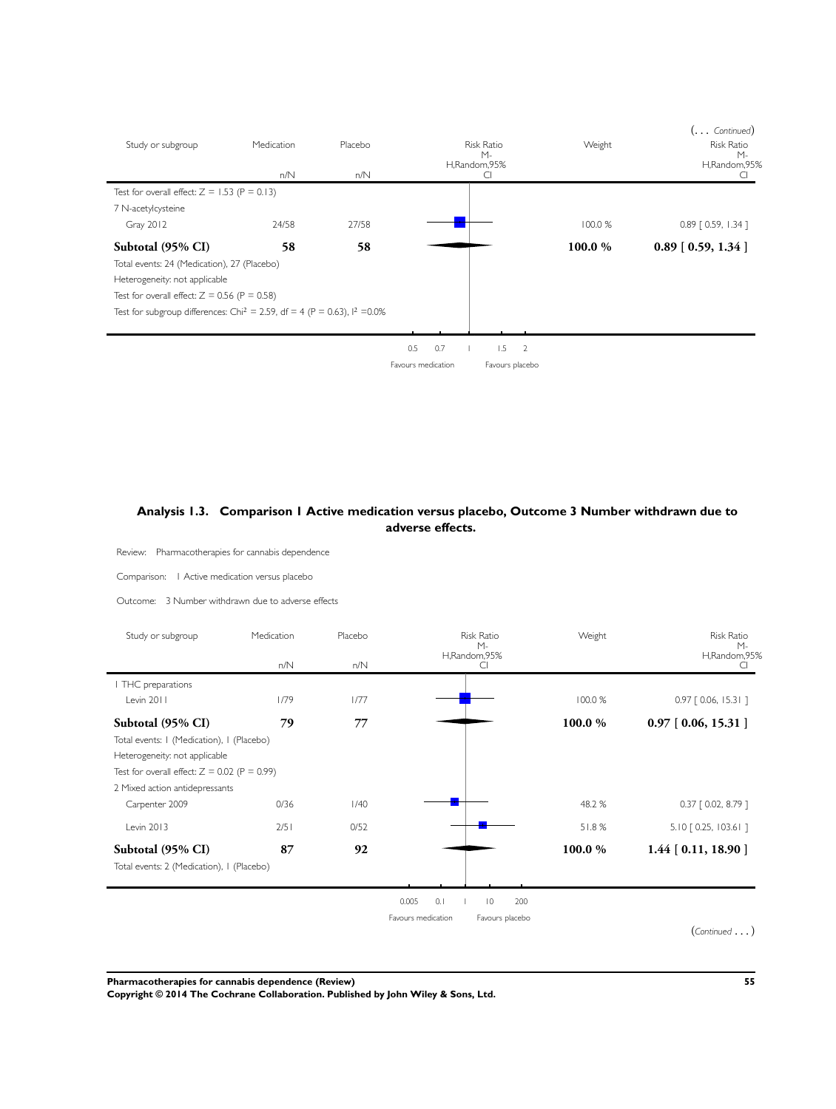

# **Analysis 1.3. Comparison 1 Active medication versus placebo, Outcome 3 Number withdrawn due to adverse effects.**

| Review:                                        | Pharmacotherapies for cannabis dependence |         |                                       |        |                                                  |
|------------------------------------------------|-------------------------------------------|---------|---------------------------------------|--------|--------------------------------------------------|
| Comparison:   Active medication versus placebo |                                           |         |                                       |        |                                                  |
| Outcome:                                       | 3 Number withdrawn due to adverse effects |         |                                       |        |                                                  |
| Study or subgroup                              | Medication                                | Placebo | <b>Risk Ratio</b><br>$M -$            | Weight | <b>Risk Ratio</b><br>$M -$<br>H,Random,95%<br>CI |
|                                                | n/N                                       | n/N     | H,Random,95%<br>CI                    |        |                                                  |
| I THC preparations                             |                                           |         |                                       |        |                                                  |
| Levin 2011                                     | 1/79                                      | 1/77    |                                       | 100.0% | $0.97$ $[0.06, 15.31]$                           |
| Subtotal (95% CI)                              | 79                                        | 77      |                                       | 100.0% | $0.97$ [ 0.06, 15.31 ]                           |
| Total events: I (Medication), I (Placebo)      |                                           |         |                                       |        |                                                  |
| Heterogeneity: not applicable                  |                                           |         |                                       |        |                                                  |
| Test for overall effect: $Z = 0.02$ (P = 0.99) |                                           |         |                                       |        |                                                  |
| 2 Mixed action antidepressants                 |                                           |         |                                       |        |                                                  |
| Carpenter 2009                                 | 0/36                                      | 1/40    |                                       | 48.2 % | 0.37 [0.02, 8.79]                                |
| Levin 2013                                     | 2/5                                       | 0/52    |                                       | 51.8%  | 5.10 [0.25, 103.61]                              |
| Subtotal (95% CI)                              | 87                                        | 92      |                                       | 100.0% | $1.44$ [ 0.11, 18.90 ]                           |
| Total events: 2 (Medication), I (Placebo)      |                                           |         |                                       |        |                                                  |
|                                                |                                           |         |                                       |        |                                                  |
|                                                |                                           |         | 0.1<br>$ 0\rangle$<br>200<br>0.005    |        |                                                  |
|                                                |                                           |         | Favours medication<br>Favours placebo |        |                                                  |

(*Continued* ... )

**Pharmacotherapies for cannabis dependence (Review) 55**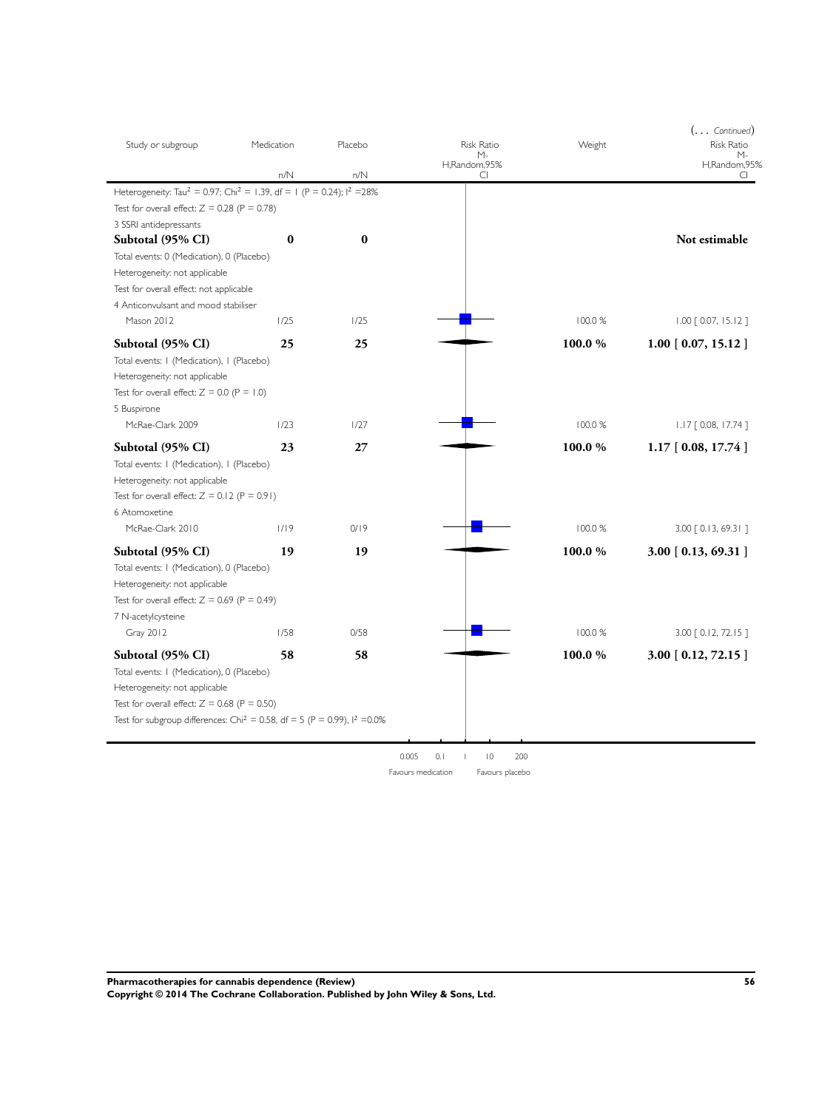<span id="page-57-0"></span>

|                                                                                                          |            |          |                                       |         | $(\ldots$ Continued)    |
|----------------------------------------------------------------------------------------------------------|------------|----------|---------------------------------------|---------|-------------------------|
| Study or subgroup                                                                                        | Medication | Placebo  | <b>Risk Ratio</b><br>$M -$            | Weight  | <b>Risk Ratio</b><br>м. |
|                                                                                                          | n/N        | n/N      | H,Random,95%<br>CI                    |         | H,Random,95%<br>CI      |
| Heterogeneity: Tau <sup>2</sup> = 0.97; Chi <sup>2</sup> = 1.39, df = 1 (P = 0.24); l <sup>2</sup> = 28% |            |          |                                       |         |                         |
| Test for overall effect: $Z = 0.28$ (P = 0.78)                                                           |            |          |                                       |         |                         |
| 3 SSRI antidepressants                                                                                   |            |          |                                       |         |                         |
| Subtotal (95% CI)                                                                                        | $\bf{0}$   | $\bf{0}$ |                                       |         | Not estimable           |
| Total events: 0 (Medication), 0 (Placebo)                                                                |            |          |                                       |         |                         |
| Heterogeneity: not applicable                                                                            |            |          |                                       |         |                         |
| Test for overall effect: not applicable                                                                  |            |          |                                       |         |                         |
| 4 Anticonvulsant and mood stabiliser<br>Mason 2012                                                       | 1/25       | 1/25     |                                       | 100.0 % | $1.00$ $[0.07, 15.12]$  |
|                                                                                                          |            |          |                                       |         |                         |
| Subtotal (95% CI)                                                                                        | 25         | 25       |                                       | 100.0%  | $1.00$ [ 0.07, 15.12 ]  |
| Total events: I (Medication), I (Placebo)                                                                |            |          |                                       |         |                         |
| Heterogeneity: not applicable                                                                            |            |          |                                       |         |                         |
| Test for overall effect: $Z = 0.0$ (P = 1.0)                                                             |            |          |                                       |         |                         |
| 5 Buspirone<br>McRae-Clark 2009                                                                          |            | 1/27     |                                       |         |                         |
|                                                                                                          | 1/23       |          |                                       | 100.0 % | $1.17$ [ 0.08, 17.74 ]  |
| Subtotal (95% CI)                                                                                        | 23         | 27       |                                       | 100.0%  | 1.17 [0.08, 17.74]      |
| Total events: I (Medication), I (Placebo)                                                                |            |          |                                       |         |                         |
| Heterogeneity: not applicable                                                                            |            |          |                                       |         |                         |
| Test for overall effect: $Z = 0.12$ (P = 0.91)                                                           |            |          |                                       |         |                         |
| 6 Atomoxetine                                                                                            |            |          |                                       |         |                         |
| McRae-Clark 2010                                                                                         | 1/19       | 0/19     |                                       | 100.0 % | 3.00 [ 0.13, 69.31 ]    |
| Subtotal (95% CI)                                                                                        | 19         | 19       |                                       | 100.0%  | 3.00 [0.13, 69.31]      |
| Total events: I (Medication), 0 (Placebo)                                                                |            |          |                                       |         |                         |
| Heterogeneity: not applicable                                                                            |            |          |                                       |         |                         |
| Test for overall effect: $Z = 0.69$ (P = 0.49)                                                           |            |          |                                       |         |                         |
| 7 N-acetylcysteine                                                                                       |            |          |                                       |         |                         |
| <b>Gray 2012</b>                                                                                         | 1/58       | 0/58     |                                       | 100.0 % | 3.00 [ 0.12, 72.15 ]    |
| Subtotal (95% CI)                                                                                        | 58         | 58       |                                       | 100.0%  | 3.00 [0.12, 72.15]      |
| Total events: I (Medication), 0 (Placebo)                                                                |            |          |                                       |         |                         |
| Heterogeneity: not applicable                                                                            |            |          |                                       |         |                         |
| Test for overall effect: $Z = 0.68$ (P = 0.50)                                                           |            |          |                                       |         |                         |
| Test for subgroup differences: Chi <sup>2</sup> = 0.58, df = 5 (P = 0.99), l <sup>2</sup> = 0.0%         |            |          |                                       |         |                         |
|                                                                                                          |            |          |                                       |         |                         |
|                                                                                                          |            |          | 0.1<br>$ 0\rangle$<br>200<br>0.005    |         |                         |
|                                                                                                          |            |          | Favours medication<br>Favours placebo |         |                         |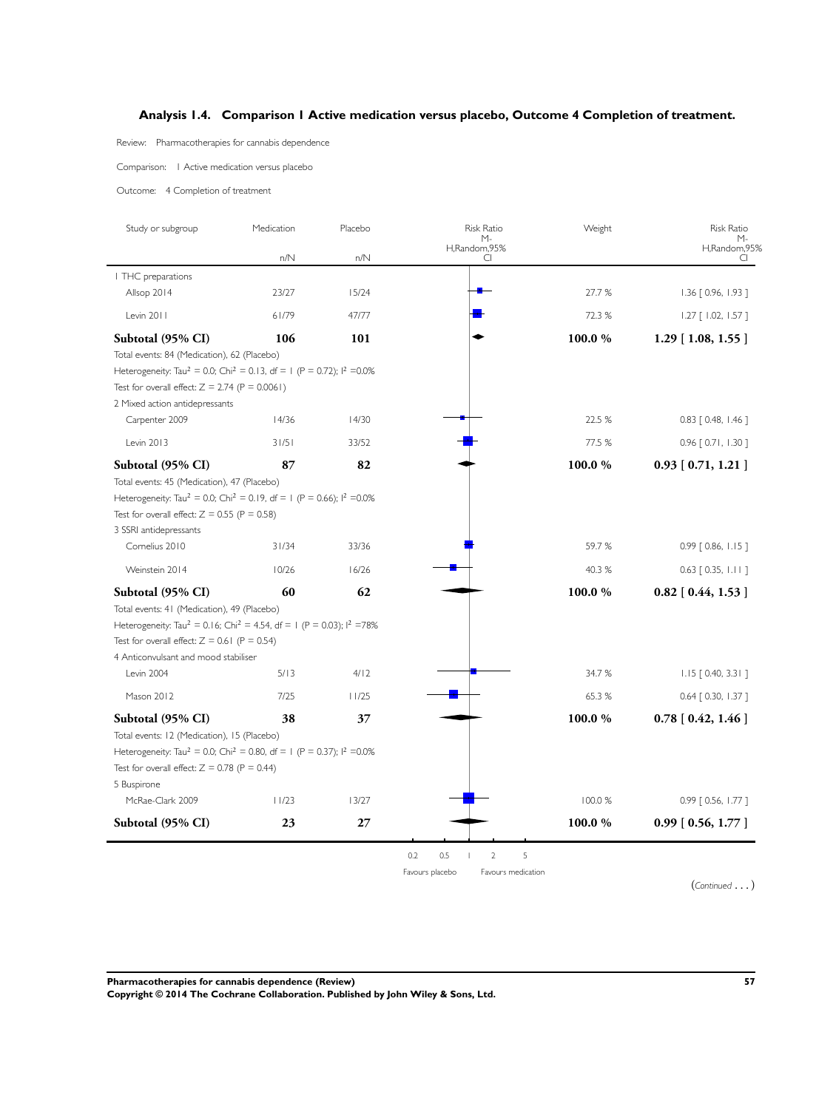# **Analysis 1.4. Comparison 1 Active medication versus placebo, Outcome 4 Completion of treatment.**

Review: Pharmacotherapies for cannabis dependence

Comparison: 1 Active medication versus placebo

Outcome: 4 Completion of treatment

| Study or subgroup                                                                                        | Medication | Placebo | <b>Risk Ratio</b><br>$M -$                                                | Weight  | <b>Risk Ratio</b><br>$M -$ |
|----------------------------------------------------------------------------------------------------------|------------|---------|---------------------------------------------------------------------------|---------|----------------------------|
|                                                                                                          | n/N        | n/N     | H,Random,95%<br>CI                                                        |         | H,Random,95%<br>CI         |
| I THC preparations                                                                                       |            |         |                                                                           |         |                            |
| Allsop 2014                                                                                              | 23/27      | 15/24   |                                                                           | 27.7%   | $1.36$ [ 0.96, 1.93 ]      |
| Levin 2011                                                                                               | 61/79      | 47/77   |                                                                           | 72.3 %  | $1.27$ [ $1.02$ , $1.57$ ] |
| Subtotal (95% CI)                                                                                        | 106        | 101     |                                                                           | 100.0%  | $1.29$ [ 1.08, 1.55 ]      |
| Total events: 84 (Medication), 62 (Placebo)                                                              |            |         |                                                                           |         |                            |
| Heterogeneity: Tau <sup>2</sup> = 0.0; Chi <sup>2</sup> = 0.13, df = 1 (P = 0.72); $1^2$ = 0.0%          |            |         |                                                                           |         |                            |
| Test for overall effect: $Z = 2.74$ (P = 0.0061)                                                         |            |         |                                                                           |         |                            |
| 2 Mixed action antidepressants                                                                           | 14/36      |         |                                                                           |         |                            |
| Carpenter 2009                                                                                           |            | 14/30   |                                                                           | 22.5 %  | $0.83$ $[0.48, 1.46]$      |
| Levin 2013                                                                                               | 31/51      | 33/52   |                                                                           | 77.5 %  | $0.96$ [ 0.71, 1.30 ]      |
| Subtotal (95% CI)                                                                                        | 87         | 82      |                                                                           | 100.0%  | $0.93$ [ $0.71$ , 1.21 ]   |
| Total events: 45 (Medication), 47 (Placebo)                                                              |            |         |                                                                           |         |                            |
| Heterogeneity: Tau <sup>2</sup> = 0.0; Chi <sup>2</sup> = 0.19, df = 1 (P = 0.66); $1^2$ = 0.0%          |            |         |                                                                           |         |                            |
| Test for overall effect: $Z = 0.55$ (P = 0.58)                                                           |            |         |                                                                           |         |                            |
| 3 SSRI antidepressants                                                                                   |            |         |                                                                           |         |                            |
| Cornelius 2010                                                                                           | 31/34      | 33/36   |                                                                           | 59.7%   | $0.99$ $[0.86, 1.15]$      |
| Weinstein 2014                                                                                           | 10/26      | 16/26   |                                                                           | 40.3 %  | $0.63$ [ 0.35, 1.11 ]      |
| Subtotal (95% CI)                                                                                        | 60         | 62      |                                                                           | 100.0%  | $0.82$ [ $0.44$ , $1.53$ ] |
| Total events: 41 (Medication), 49 (Placebo)                                                              |            |         |                                                                           |         |                            |
| Heterogeneity: Tau <sup>2</sup> = 0.16; Chi <sup>2</sup> = 4.54, df = 1 (P = 0.03); l <sup>2</sup> =78%  |            |         |                                                                           |         |                            |
| Test for overall effect: $Z = 0.61$ (P = 0.54)                                                           |            |         |                                                                           |         |                            |
| 4 Anticonvulsant and mood stabiliser                                                                     |            |         |                                                                           |         |                            |
| Levin 2004                                                                                               | 5/13       | 4/12    |                                                                           | 34.7%   | $1.15$ $[0.40, 3.31]$      |
| Mason 2012                                                                                               | 7/25       | 11/25   |                                                                           | 65.3%   | $0.64$ $[ 0.30, 1.37 ]$    |
| Subtotal (95% CI)                                                                                        | 38         | 37      |                                                                           | 100.0%  | $0.78$ [ $0.42$ , 1.46 ]   |
| Total events: 12 (Medication), 15 (Placebo)                                                              |            |         |                                                                           |         |                            |
| Heterogeneity: Tau <sup>2</sup> = 0.0; Chi <sup>2</sup> = 0.80, df = 1 (P = 0.37); l <sup>2</sup> = 0.0% |            |         |                                                                           |         |                            |
| Test for overall effect: $Z = 0.78$ (P = 0.44)                                                           |            |         |                                                                           |         |                            |
| 5 Buspirone                                                                                              |            |         |                                                                           |         |                            |
| McRae-Clark 2009                                                                                         | 11/23      | 13/27   |                                                                           | 100.0%  | 0.99 [ 0.56, 1.77 ]        |
| Subtotal (95% CI)                                                                                        | 23         | 27      |                                                                           | 100.0 % | $0.99$ [ $0.56$ , $1.77$ ] |
|                                                                                                          |            |         |                                                                           |         |                            |
|                                                                                                          |            |         | 5<br>0.2<br>0.5<br>$\mathcal{D}$<br>Favours placebo<br>Favours medication |         |                            |
|                                                                                                          |            |         |                                                                           |         |                            |

(*Continued* ... )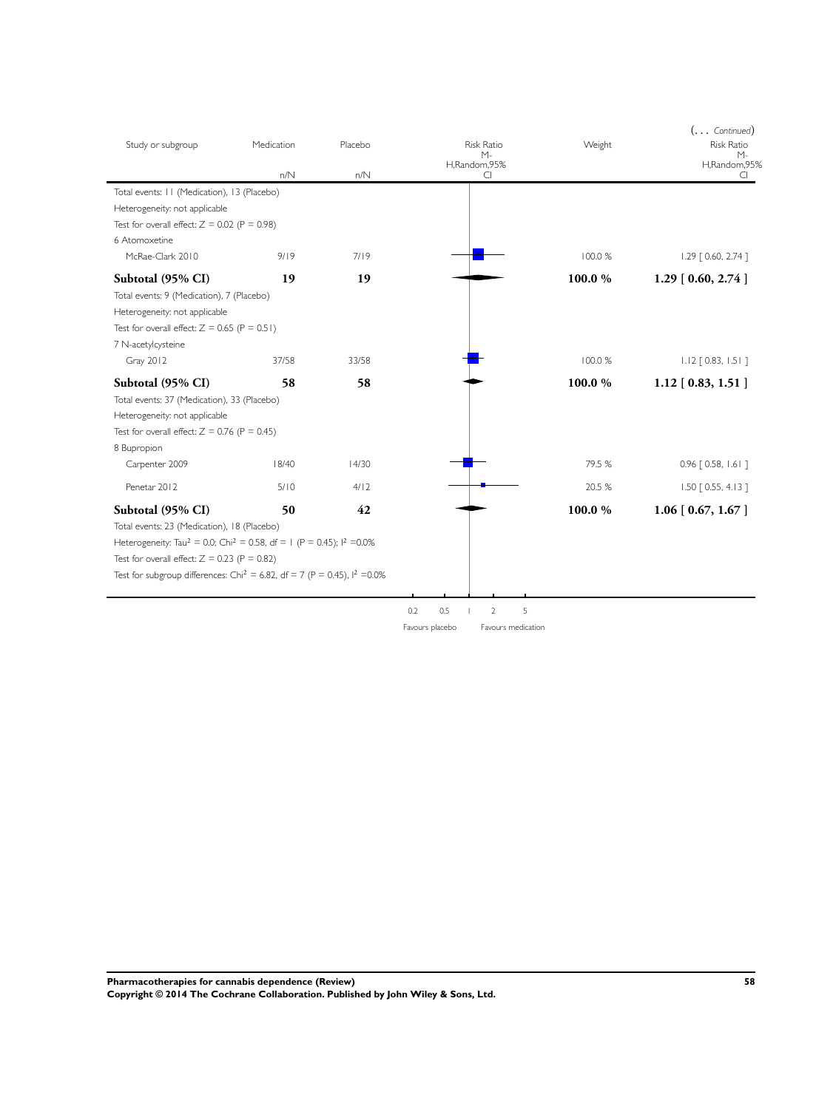| Weight  | <b>Risk Ratio</b> | Placebo      | Medication | Study or subgroup                                                                                                                                                                          |
|---------|-------------------|--------------|------------|--------------------------------------------------------------------------------------------------------------------------------------------------------------------------------------------|
|         | $M -$             |              |            |                                                                                                                                                                                            |
|         | C.                | n/N          | n/N        |                                                                                                                                                                                            |
|         |                   |              |            | Total events: 11 (Medication), 13 (Placebo)                                                                                                                                                |
|         |                   |              |            | Heterogeneity: not applicable                                                                                                                                                              |
|         |                   |              |            | Test for overall effect: $Z = 0.02$ (P = 0.98)                                                                                                                                             |
|         |                   |              |            | 6 Atomoxetine                                                                                                                                                                              |
| 100.0 % |                   | 7/19         | 9/19       | McRae-Clark 2010                                                                                                                                                                           |
| 100.0 % |                   | 19           | 19         | Subtotal (95% CI)                                                                                                                                                                          |
|         |                   |              |            | Total events: 9 (Medication), 7 (Placebo)                                                                                                                                                  |
|         |                   |              |            | Heterogeneity: not applicable                                                                                                                                                              |
|         |                   |              |            | Test for overall effect: $Z = 0.65$ (P = 0.51)                                                                                                                                             |
|         |                   |              |            | 7 N-acetylcysteine                                                                                                                                                                         |
| 100.0 % |                   | 33/58        | 37/58      | <b>Gray 2012</b>                                                                                                                                                                           |
| 100.0 % |                   | 58           | 58         | Subtotal (95% CI)                                                                                                                                                                          |
|         |                   |              |            | Total events: 37 (Medication), 33 (Placebo)                                                                                                                                                |
|         |                   |              |            | Heterogeneity: not applicable                                                                                                                                                              |
|         |                   |              |            | Test for overall effect: $Z = 0.76$ (P = 0.45)                                                                                                                                             |
|         |                   |              |            | 8 Bupropion                                                                                                                                                                                |
| 79.5 %  |                   | 14/30        | 18/40      | Carpenter 2009                                                                                                                                                                             |
| 20.5 %  |                   | 4/12         | 5/10       | Penetar 2012                                                                                                                                                                               |
| 100.0%  |                   | 42           | 50         | Subtotal (95% CI)                                                                                                                                                                          |
|         |                   |              |            | Total events: 23 (Medication), 18 (Placebo)                                                                                                                                                |
|         |                   |              |            |                                                                                                                                                                                            |
|         |                   |              |            | Test for overall effect: $Z = 0.23$ (P = 0.82)                                                                                                                                             |
|         |                   |              |            |                                                                                                                                                                                            |
|         |                   |              |            |                                                                                                                                                                                            |
|         |                   | H,Random,95% |            | Heterogeneity: Tau <sup>2</sup> = 0.0; Chi <sup>2</sup> = 0.58, df = 1 (P = 0.45); $1^2$ = 0.0%<br>Test for subgroup differences: Chi <sup>2</sup> = 6.82, df = 7 (P = 0.45), $1^2$ = 0.0% |

Favours placebo Favours medication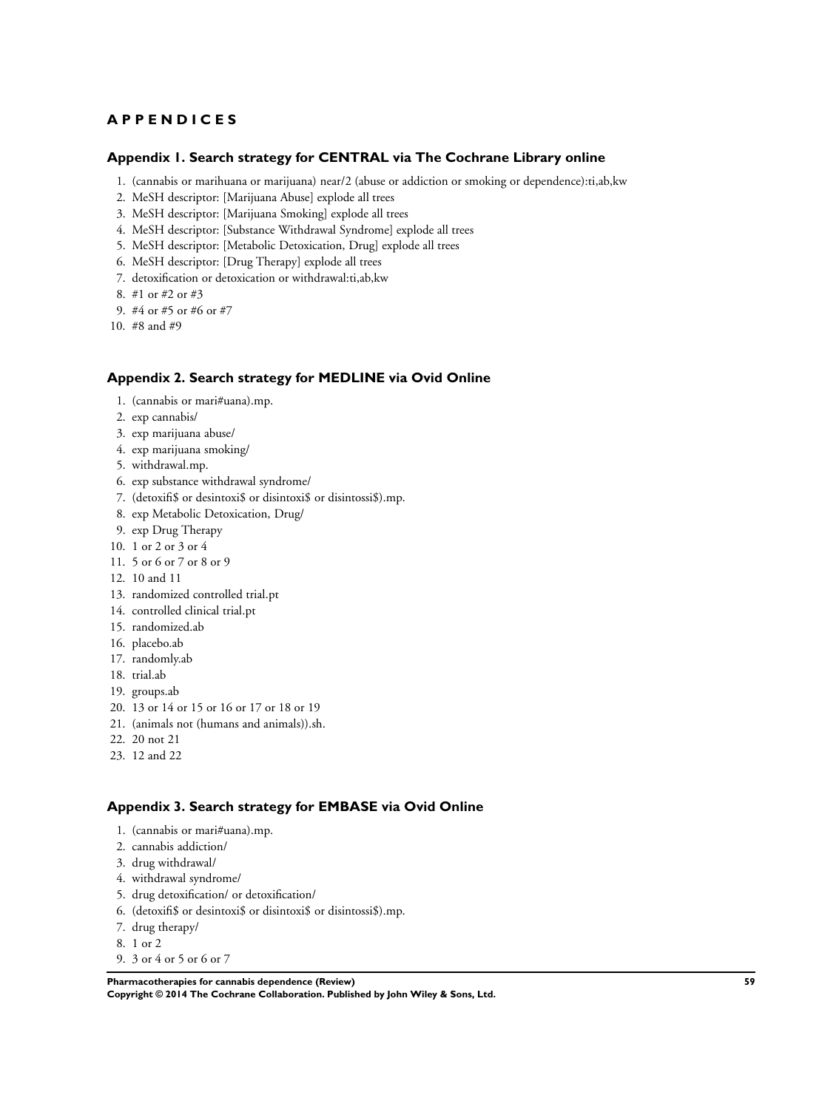# <span id="page-60-0"></span>**A P P E N D I C E S**

### **Appendix 1. Search strategy for CENTRAL via The Cochrane Library online**

- 1. (cannabis or marihuana or marijuana) near/2 (abuse or addiction or smoking or dependence):ti,ab,kw
- 2. MeSH descriptor: [Marijuana Abuse] explode all trees
- 3. MeSH descriptor: [Marijuana Smoking] explode all trees
- 4. MeSH descriptor: [Substance Withdrawal Syndrome] explode all trees
- 5. MeSH descriptor: [Metabolic Detoxication, Drug] explode all trees
- 6. MeSH descriptor: [Drug Therapy] explode all trees
- 7. detoxification or detoxication or withdrawal:ti,ab,kw
- 8. #1 or #2 or #3
- 9. #4 or #5 or #6 or #7
- 10. #8 and #9

# **Appendix 2. Search strategy for MEDLINE via Ovid Online**

- 1. (cannabis or mari#uana).mp.
- 2. exp cannabis/
- 3. exp marijuana abuse/
- 4. exp marijuana smoking/
- 5. withdrawal.mp.
- 6. exp substance withdrawal syndrome/
- 7. (detoxifi\$ or desintoxi\$ or disintoxi\$ or disintossi\$).mp.
- 8. exp Metabolic Detoxication, Drug/
- 9. exp Drug Therapy
- 10. 1 or 2 or 3 or 4
- 11. 5 or 6 or 7 or 8 or 9
- 12. 10 and 11
- 13. randomized controlled trial.pt
- 14. controlled clinical trial.pt
- 15. randomized.ab
- 16. placebo.ab
- 17. randomly.ab
- 18. trial.ab
- 19. groups.ab
- 20. 13 or 14 or 15 or 16 or 17 or 18 or 19
- 21. (animals not (humans and animals)).sh.
- 22. 20 not 21
- 23. 12 and 22

# **Appendix 3. Search strategy for EMBASE via Ovid Online**

- 1. (cannabis or mari#uana).mp.
- 2. cannabis addiction/
- 3. drug withdrawal/
- 4. withdrawal syndrome/
- 5. drug detoxification/ or detoxification/
- 6. (detoxifi\$ or desintoxi\$ or disintoxi\$ or disintossi\$).mp.
- 7. drug therapy/
- 8. 1 or 2
- 9. 3 or 4 or 5 or 6 or 7

**Pharmacotherapies for cannabis dependence (Review) 59 Copyright © 2014 The Cochrane Collaboration. Published by John Wiley & Sons, Ltd.**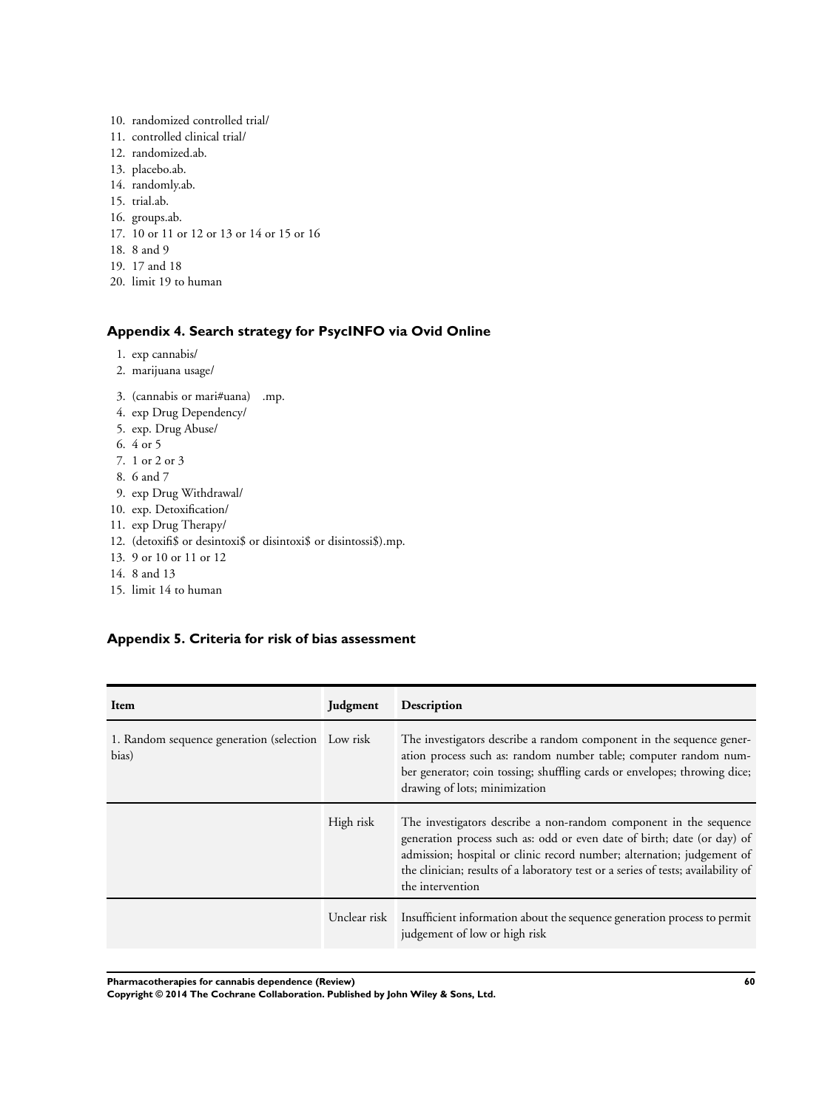- <span id="page-61-0"></span>10. randomized controlled trial/
- 11. controlled clinical trial/
- 12. randomized.ab.
- 13. placebo.ab.
- 14. randomly.ab.
- 15. trial.ab.
- 16. groups.ab.
- 17. 10 or 11 or 12 or 13 or 14 or 15 or 16
- 18. 8 and 9
- 19. 17 and 18
- 20. limit 19 to human

# **Appendix 4. Search strategy for PsycINFO via Ovid Online**

- 1. exp cannabis/
- 2. marijuana usage/
- 3. (cannabis or mari#uana) .mp.
- 4. exp Drug Dependency/
- 5. exp. Drug Abuse/
- 6. 4 or 5
- 7. 1 or 2 or 3
- 8. 6 and 7
- 9. exp Drug Withdrawal/
- 10. exp. Detoxification/
- 11. exp Drug Therapy/
- 12. (detoxifi\$ or desintoxi\$ or disintoxi\$ or disintossi\$).mp.
- 13. 9 or 10 or 11 or 12
- 14. 8 and 13
- 15. limit 14 to human

# **Appendix 5. Criteria for risk of bias assessment**

| Item                                                        | Judgment     | Description                                                                                                                                                                                                                                                                                                                     |
|-------------------------------------------------------------|--------------|---------------------------------------------------------------------------------------------------------------------------------------------------------------------------------------------------------------------------------------------------------------------------------------------------------------------------------|
| 1. Random sequence generation (selection Low risk)<br>bias) |              | The investigators describe a random component in the sequence gener-<br>ation process such as: random number table; computer random num-<br>ber generator; coin tossing; shuffling cards or envelopes; throwing dice;<br>drawing of lots; minimization                                                                          |
|                                                             | High risk    | The investigators describe a non-random component in the sequence<br>generation process such as: odd or even date of birth; date (or day) of<br>admission; hospital or clinic record number; alternation; judgement of<br>the clinician; results of a laboratory test or a series of tests; availability of<br>the intervention |
|                                                             | Unclear risk | Insufficient information about the sequence generation process to permit<br>judgement of low or high risk                                                                                                                                                                                                                       |

**Pharmacotherapies for cannabis dependence (Review) 60**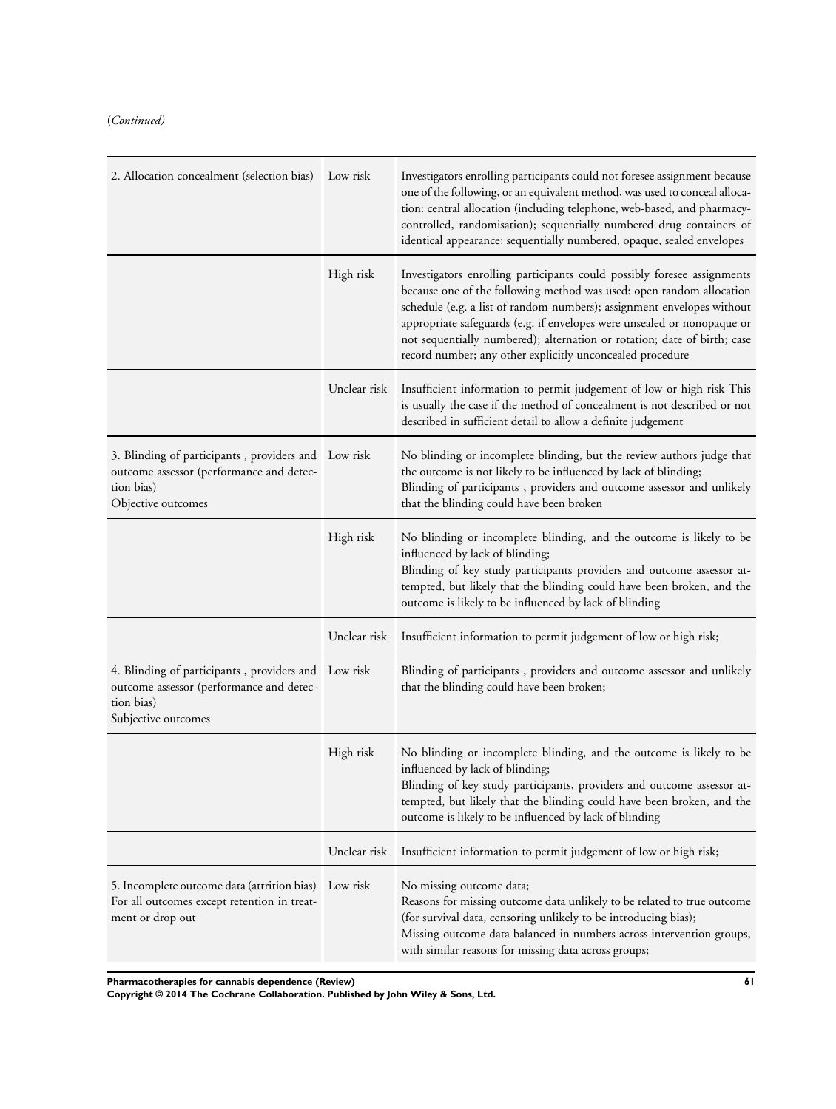| 2. Allocation concealment (selection bias) Low risk                                                                                  |              | Investigators enrolling participants could not foresee assignment because<br>one of the following, or an equivalent method, was used to conceal alloca-<br>tion: central allocation (including telephone, web-based, and pharmacy-<br>controlled, randomisation); sequentially numbered drug containers of<br>identical appearance; sequentially numbered, opaque, sealed envelopes                                                           |
|--------------------------------------------------------------------------------------------------------------------------------------|--------------|-----------------------------------------------------------------------------------------------------------------------------------------------------------------------------------------------------------------------------------------------------------------------------------------------------------------------------------------------------------------------------------------------------------------------------------------------|
|                                                                                                                                      | High risk    | Investigators enrolling participants could possibly foresee assignments<br>because one of the following method was used: open random allocation<br>schedule (e.g. a list of random numbers); assignment envelopes without<br>appropriate safeguards (e.g. if envelopes were unsealed or nonopaque or<br>not sequentially numbered); alternation or rotation; date of birth; case<br>record number; any other explicitly unconcealed procedure |
|                                                                                                                                      | Unclear risk | Insufficient information to permit judgement of low or high risk This<br>is usually the case if the method of concealment is not described or not<br>described in sufficient detail to allow a definite judgement                                                                                                                                                                                                                             |
| 3. Blinding of participants, providers and Low risk<br>outcome assessor (performance and detec-<br>tion bias)<br>Objective outcomes  |              | No blinding or incomplete blinding, but the review authors judge that<br>the outcome is not likely to be influenced by lack of blinding;<br>Blinding of participants, providers and outcome assessor and unlikely<br>that the blinding could have been broken                                                                                                                                                                                 |
|                                                                                                                                      | High risk    | No blinding or incomplete blinding, and the outcome is likely to be<br>influenced by lack of blinding;<br>Blinding of key study participants providers and outcome assessor at-<br>tempted, but likely that the blinding could have been broken, and the<br>outcome is likely to be influenced by lack of blinding                                                                                                                            |
|                                                                                                                                      |              | Unclear risk Insufficient information to permit judgement of low or high risk;                                                                                                                                                                                                                                                                                                                                                                |
| 4. Blinding of participants, providers and Low risk<br>outcome assessor (performance and detec-<br>tion bias)<br>Subjective outcomes |              | Blinding of participants, providers and outcome assessor and unlikely<br>that the blinding could have been broken;                                                                                                                                                                                                                                                                                                                            |
|                                                                                                                                      | High risk    | No blinding or incomplete blinding, and the outcome is likely to be<br>influenced by lack of blinding;<br>Blinding of key study participants, providers and outcome assessor at-<br>tempted, but likely that the blinding could have been broken, and the<br>outcome is likely to be influenced by lack of blinding                                                                                                                           |
|                                                                                                                                      | Unclear risk | Insufficient information to permit judgement of low or high risk;                                                                                                                                                                                                                                                                                                                                                                             |
| 5. Incomplete outcome data (attrition bias) Low risk<br>For all outcomes except retention in treat-<br>ment or drop out              |              | No missing outcome data;<br>Reasons for missing outcome data unlikely to be related to true outcome<br>(for survival data, censoring unlikely to be introducing bias);<br>Missing outcome data balanced in numbers across intervention groups,<br>with similar reasons for missing data across groups;                                                                                                                                        |

**Pharmacotherapies for cannabis dependence (Review) 61**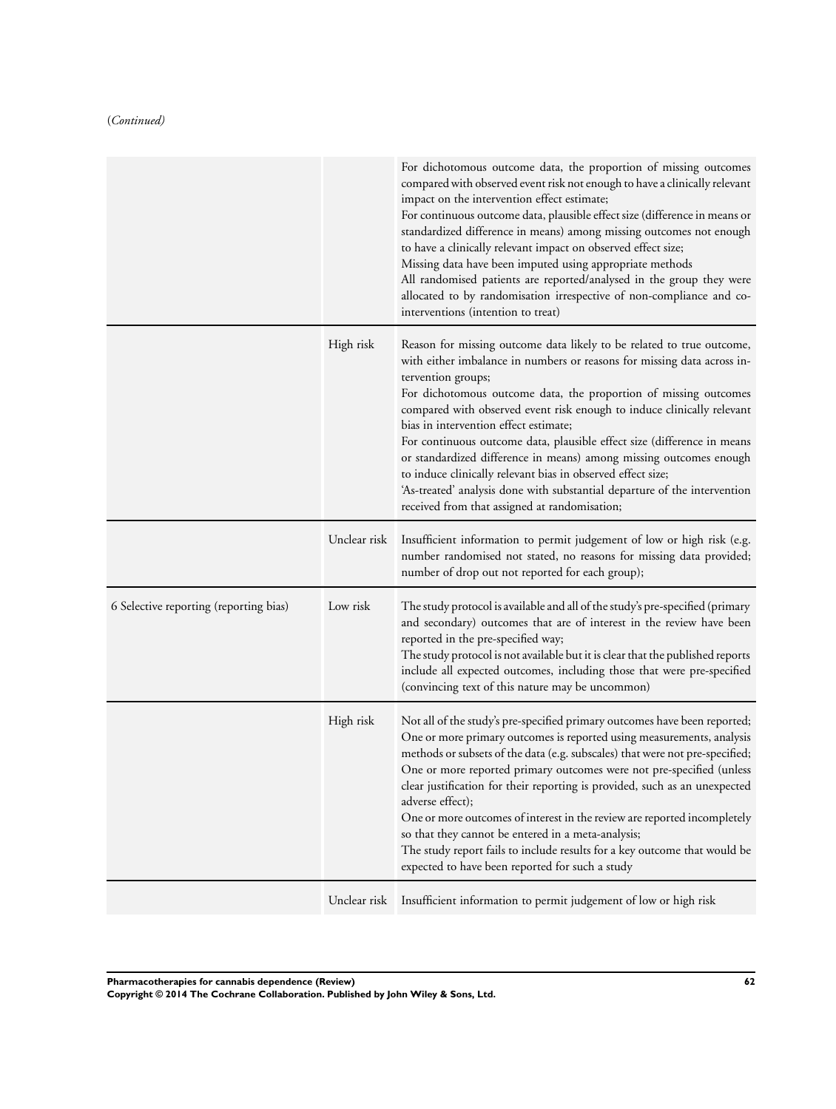|                                        |              | For dichotomous outcome data, the proportion of missing outcomes<br>compared with observed event risk not enough to have a clinically relevant<br>impact on the intervention effect estimate;<br>For continuous outcome data, plausible effect size (difference in means or<br>standardized difference in means) among missing outcomes not enough<br>to have a clinically relevant impact on observed effect size;<br>Missing data have been imputed using appropriate methods<br>All randomised patients are reported/analysed in the group they were<br>allocated to by randomisation irrespective of non-compliance and co-<br>interventions (intention to treat)                                       |
|----------------------------------------|--------------|-------------------------------------------------------------------------------------------------------------------------------------------------------------------------------------------------------------------------------------------------------------------------------------------------------------------------------------------------------------------------------------------------------------------------------------------------------------------------------------------------------------------------------------------------------------------------------------------------------------------------------------------------------------------------------------------------------------|
|                                        | High risk    | Reason for missing outcome data likely to be related to true outcome,<br>with either imbalance in numbers or reasons for missing data across in-<br>tervention groups;<br>For dichotomous outcome data, the proportion of missing outcomes<br>compared with observed event risk enough to induce clinically relevant<br>bias in intervention effect estimate;<br>For continuous outcome data, plausible effect size (difference in means<br>or standardized difference in means) among missing outcomes enough<br>to induce clinically relevant bias in observed effect size;<br>'As-treated' analysis done with substantial departure of the intervention<br>received from that assigned at randomisation; |
|                                        | Unclear risk | Insufficient information to permit judgement of low or high risk (e.g.<br>number randomised not stated, no reasons for missing data provided;<br>number of drop out not reported for each group);                                                                                                                                                                                                                                                                                                                                                                                                                                                                                                           |
| 6 Selective reporting (reporting bias) | Low risk     | The study protocol is available and all of the study's pre-specified (primary<br>and secondary) outcomes that are of interest in the review have been<br>reported in the pre-specified way;<br>The study protocol is not available but it is clear that the published reports<br>include all expected outcomes, including those that were pre-specified<br>(convincing text of this nature may be uncommon)                                                                                                                                                                                                                                                                                                 |
|                                        | High risk    | Not all of the study's pre-specified primary outcomes have been reported;<br>One or more primary outcomes is reported using measurements, analysis<br>methods or subsets of the data (e.g. subscales) that were not pre-specified;<br>One or more reported primary outcomes were not pre-specified (unless<br>clear justification for their reporting is provided, such as an unexpected<br>adverse effect);<br>One or more outcomes of interest in the review are reported incompletely<br>so that they cannot be entered in a meta-analysis;<br>The study report fails to include results for a key outcome that would be<br>expected to have been reported for such a study                              |
|                                        | Unclear risk | Insufficient information to permit judgement of low or high risk                                                                                                                                                                                                                                                                                                                                                                                                                                                                                                                                                                                                                                            |

**Pharmacotherapies for cannabis dependence (Review) 62**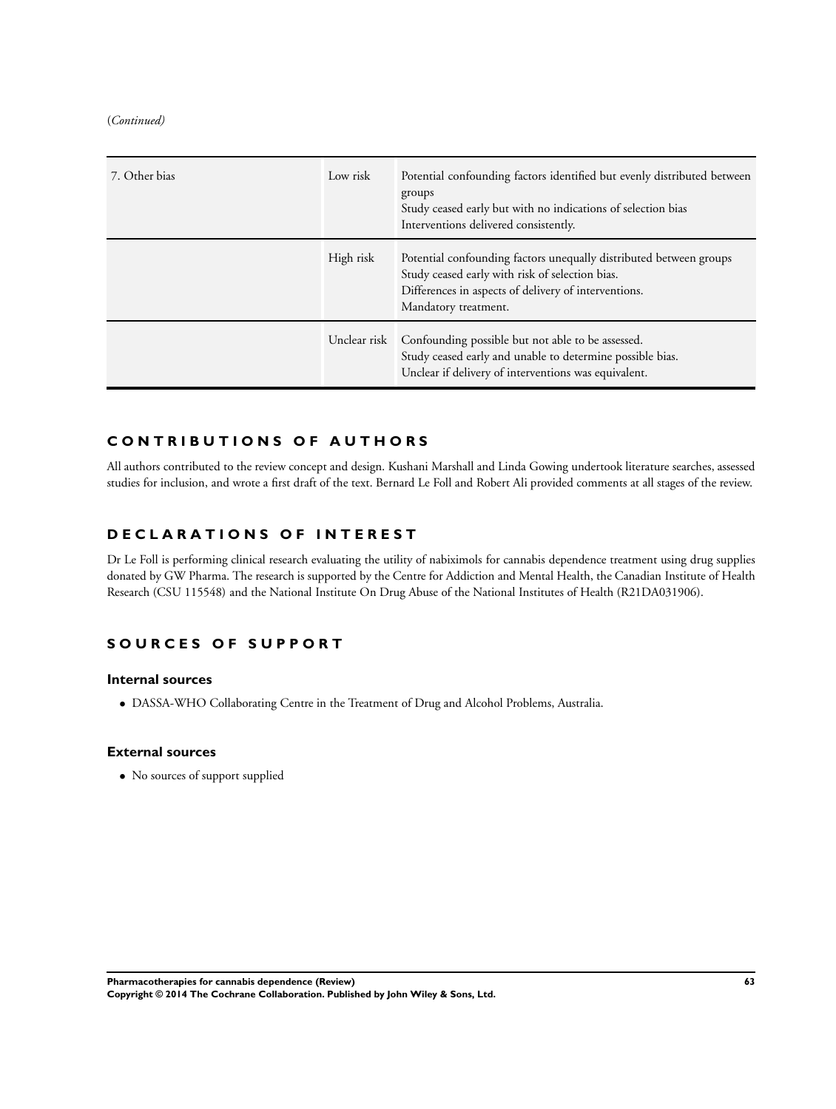| 7. Other bias | Low risk     | Potential confounding factors identified but evenly distributed between<br>groups<br>Study ceased early but with no indications of selection bias<br>Interventions delivered consistently.            |
|---------------|--------------|-------------------------------------------------------------------------------------------------------------------------------------------------------------------------------------------------------|
|               | High risk    | Potential confounding factors unequally distributed between groups<br>Study ceased early with risk of selection bias.<br>Differences in aspects of delivery of interventions.<br>Mandatory treatment. |
|               | Unclear risk | Confounding possible but not able to be assessed.<br>Study ceased early and unable to determine possible bias.<br>Unclear if delivery of interventions was equivalent.                                |

# **C O N T R I B U T I O N S O F A U T H O R S**

All authors contributed to the review concept and design. Kushani Marshall and Linda Gowing undertook literature searches, assessed studies for inclusion, and wrote a first draft of the text. Bernard Le Foll and Robert Ali provided comments at all stages of the review.

# **D E C L A R A T I O N S O F I N T E R E S T**

Dr Le Foll is performing clinical research evaluating the utility of nabiximols for cannabis dependence treatment using drug supplies donated by GW Pharma. The research is supported by the Centre for Addiction and Mental Health, the Canadian Institute of Health Research (CSU 115548) and the National Institute On Drug Abuse of the National Institutes of Health (R21DA031906).

# **S O U R C E S O F S U P P O R T**

# **Internal sources**

• DASSA-WHO Collaborating Centre in the Treatment of Drug and Alcohol Problems, Australia.

# **External sources**

• No sources of support supplied